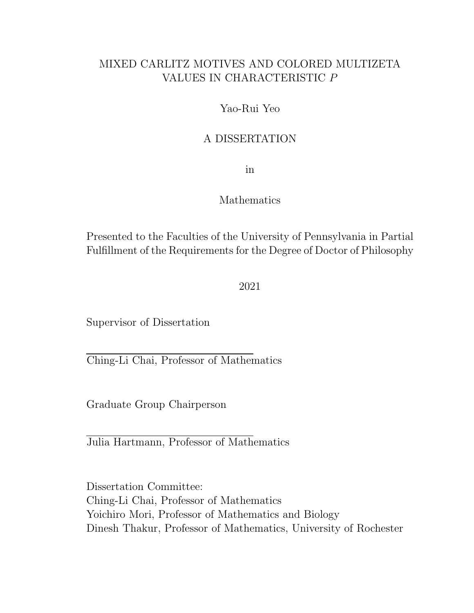#### MIXED CARLITZ MOTIVES AND COLORED MULTIZETA VALUES IN CHARACTERISTIC P

#### Yao-Rui Yeo

#### A DISSERTATION

in

#### Mathematics

Presented to the Faculties of the University of Pennsylvania in Partial Fulfillment of the Requirements for the Degree of Doctor of Philosophy

2021

Supervisor of Dissertation

Ching-Li Chai, Professor of Mathematics

Graduate Group Chairperson

Julia Hartmann, Professor of Mathematics

Dissertation Committee: Ching-Li Chai, Professor of Mathematics Yoichiro Mori, Professor of Mathematics and Biology Dinesh Thakur, Professor of Mathematics, University of Rochester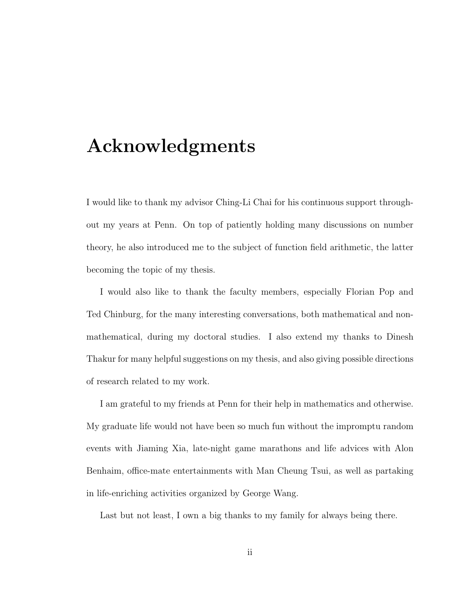# Acknowledgments

I would like to thank my advisor Ching-Li Chai for his continuous support throughout my years at Penn. On top of patiently holding many discussions on number theory, he also introduced me to the subject of function field arithmetic, the latter becoming the topic of my thesis.

I would also like to thank the faculty members, especially Florian Pop and Ted Chinburg, for the many interesting conversations, both mathematical and nonmathematical, during my doctoral studies. I also extend my thanks to Dinesh Thakur for many helpful suggestions on my thesis, and also giving possible directions of research related to my work.

I am grateful to my friends at Penn for their help in mathematics and otherwise. My graduate life would not have been so much fun without the impromptu random events with Jiaming Xia, late-night game marathons and life advices with Alon Benhaim, office-mate entertainments with Man Cheung Tsui, as well as partaking in life-enriching activities organized by George Wang.

Last but not least, I own a big thanks to my family for always being there.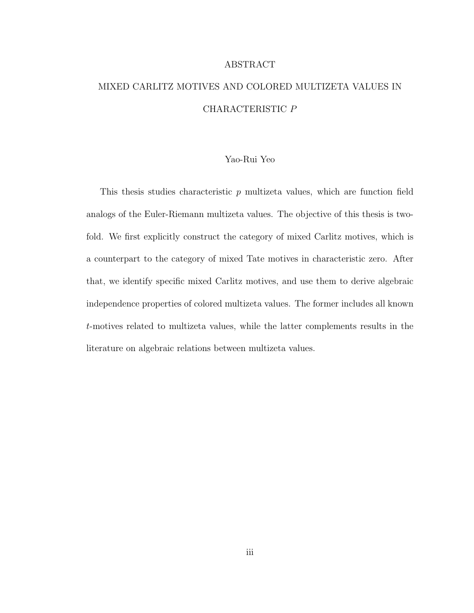#### ABSTRACT

## MIXED CARLITZ MOTIVES AND COLORED MULTIZETA VALUES IN CHARACTERISTIC P

#### Yao-Rui Yeo

This thesis studies characteristic  $p$  multizeta values, which are function field analogs of the Euler-Riemann multizeta values. The objective of this thesis is twofold. We first explicitly construct the category of mixed Carlitz motives, which is a counterpart to the category of mixed Tate motives in characteristic zero. After that, we identify specific mixed Carlitz motives, and use them to derive algebraic independence properties of colored multizeta values. The former includes all known t-motives related to multizeta values, while the latter complements results in the literature on algebraic relations between multizeta values.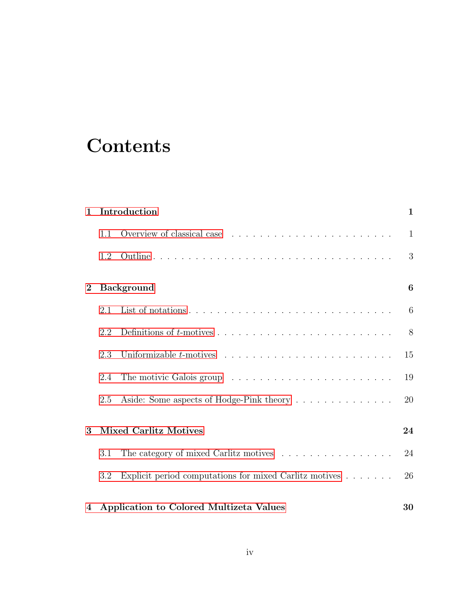# **Contents**

| $\mathbf{1}$ |                              | Introduction<br>1                                                          |              |  |
|--------------|------------------------------|----------------------------------------------------------------------------|--------------|--|
|              | 1.1                          |                                                                            | $\mathbf{1}$ |  |
|              | 1.2                          |                                                                            | 3            |  |
| $\bf{2}$     |                              | <b>Background</b>                                                          | 6            |  |
|              | 2.1                          |                                                                            | 6            |  |
|              | 2.2                          |                                                                            | 8            |  |
|              | 2.3                          |                                                                            | 15           |  |
|              | 2.4                          |                                                                            | 19           |  |
|              | 2.5                          | Aside: Some aspects of Hodge-Pink theory                                   | 20           |  |
| 3            | <b>Mixed Carlitz Motives</b> |                                                                            | 24           |  |
|              | 3.1                          | The category of mixed Carlitz motives $\ldots \ldots \ldots \ldots \ldots$ | 24           |  |
|              | 3.2                          | Explicit period computations for mixed Carlitz motives                     | 26           |  |
| 4            |                              | Application to Colored Multizeta Values                                    | 30           |  |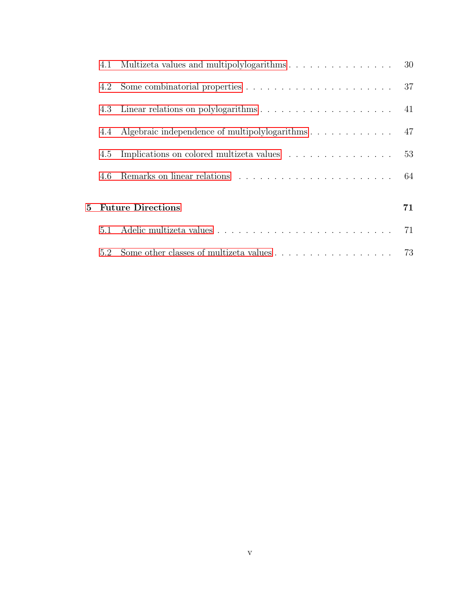|   |     | 4.1 Multizeta values and multipolylogarithms 30                                    |    |
|---|-----|------------------------------------------------------------------------------------|----|
|   |     |                                                                                    |    |
|   |     |                                                                                    |    |
|   |     | 4.4 Algebraic independence of multipolylogarithms 47                               |    |
|   | 4.5 | Implications on colored multizeta values 53                                        |    |
|   | 4.6 |                                                                                    |    |
|   |     |                                                                                    | 71 |
| 5 |     | <b>Future Directions</b>                                                           |    |
|   | 5.1 |                                                                                    | 71 |
|   |     | 5.2 Some other classes of multizeta values $\ldots \ldots \ldots \ldots \ldots$ 73 |    |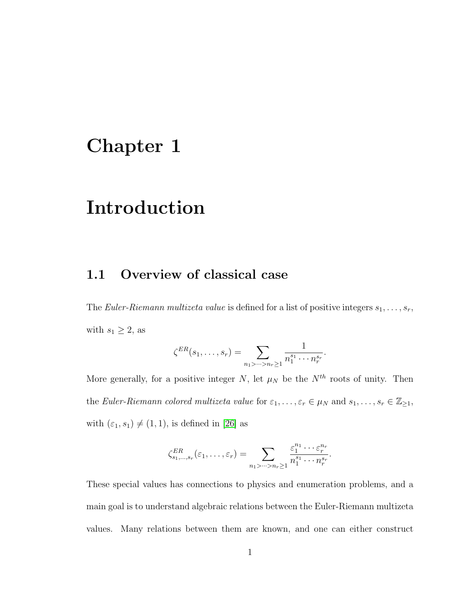# <span id="page-5-0"></span>Chapter 1

# Introduction

#### <span id="page-5-1"></span>1.1 Overview of classical case

The Euler-Riemann multizeta value is defined for a list of positive integers  $s_1, \ldots, s_r$ , with  $s_1 \geq 2$ , as

$$
\zeta^{ER}(s_1,\ldots,s_r)=\sum_{n_1>\cdots>n_r\geq 1}\frac{1}{n_1^{s_1}\cdots n_r^{s_r}}
$$

.

More generally, for a positive integer N, let  $\mu_N$  be the  $N^{th}$  roots of unity. Then the Euler-Riemann colored multizeta value for  $\varepsilon_1, \ldots, \varepsilon_r \in \mu_N$  and  $s_1, \ldots, s_r \in \mathbb{Z}_{\geq 1}$ , with  $(\varepsilon_1, s_1) \neq (1, 1)$ , is defined in [\[26\]](#page-82-0) as

$$
\zeta_{s_1,\ldots,s_r}^{ER}(\varepsilon_1,\ldots,\varepsilon_r)=\sum_{n_1>\cdots>n_r\geq 1}\frac{\varepsilon_1^{n_1}\cdots\varepsilon_r^{n_r}}{n_1^{s_1}\cdots n_r^{s_r}}.
$$

These special values has connections to physics and enumeration problems, and a main goal is to understand algebraic relations between the Euler-Riemann multizeta values. Many relations between them are known, and one can either construct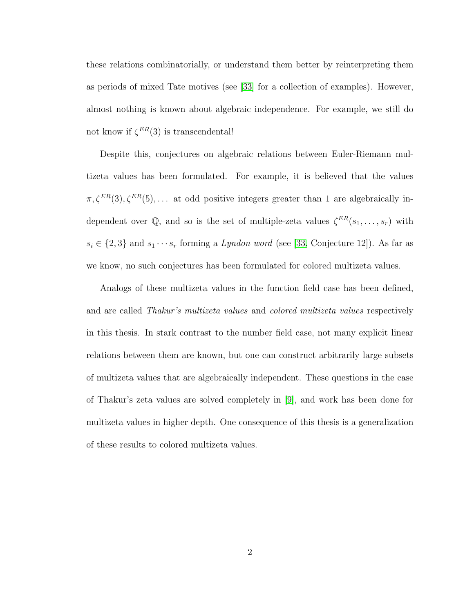these relations combinatorially, or understand them better by reinterpreting them as periods of mixed Tate motives (see [\[33\]](#page-83-0) for a collection of examples). However, almost nothing is known about algebraic independence. For example, we still do not know if  $\zeta^{ER}(3)$  is transcendental!

Despite this, conjectures on algebraic relations between Euler-Riemann multizeta values has been formulated. For example, it is believed that the values  $\pi, \zeta^{ER}(3), \zeta^{ER}(5), \ldots$  at odd positive integers greater than 1 are algebraically independent over  $\mathbb{Q}$ , and so is the set of multiple-zeta values  $\zeta^{ER}(s_1,\ldots,s_r)$  with  $s_i \in \{2,3\}$  and  $s_1 \cdots s_r$  forming a *Lyndon word* (see [\[33,](#page-83-0) Conjecture 12]). As far as we know, no such conjectures has been formulated for colored multizeta values.

Analogs of these multizeta values in the function field case has been defined, and are called Thakur's multizeta values and colored multizeta values respectively in this thesis. In stark contrast to the number field case, not many explicit linear relations between them are known, but one can construct arbitrarily large subsets of multizeta values that are algebraically independent. These questions in the case of Thakur's zeta values are solved completely in [\[9\]](#page-80-0), and work has been done for multizeta values in higher depth. One consequence of this thesis is a generalization of these results to colored multizeta values.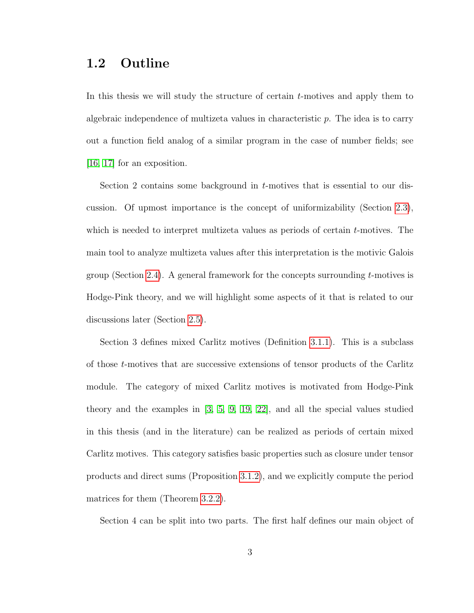#### <span id="page-7-0"></span>1.2 Outline

In this thesis we will study the structure of certain  $t$ -motives and apply them to algebraic independence of multizeta values in characteristic p. The idea is to carry out a function field analog of a similar program in the case of number fields; see [\[16,](#page-81-0) [17\]](#page-81-1) for an exposition.

Section 2 contains some background in t-motives that is essential to our discussion. Of upmost importance is the concept of uniformizability (Section [2.3\)](#page-19-0), which is needed to interpret multizeta values as periods of certain  $t$ -motives. The main tool to analyze multizeta values after this interpretation is the motivic Galois group (Section [2.4\)](#page-23-0). A general framework for the concepts surrounding  $t$ -motives is Hodge-Pink theory, and we will highlight some aspects of it that is related to our discussions later (Section [2.5\)](#page-24-0).

Section 3 defines mixed Carlitz motives (Definition [3.1.1\)](#page-28-2). This is a subclass of those t-motives that are successive extensions of tensor products of the Carlitz module. The category of mixed Carlitz motives is motivated from Hodge-Pink theory and the examples in [\[3,](#page-79-0) [5,](#page-79-1) [9,](#page-80-0) [19,](#page-81-2) [22\]](#page-81-3), and all the special values studied in this thesis (and in the literature) can be realized as periods of certain mixed Carlitz motives. This category satisfies basic properties such as closure under tensor products and direct sums (Proposition [3.1.2\)](#page-29-0), and we explicitly compute the period matrices for them (Theorem [3.2.2\)](#page-31-0).

Section 4 can be split into two parts. The first half defines our main object of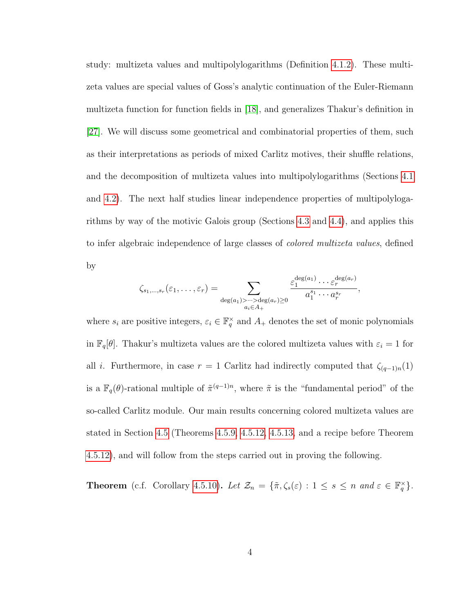study: multizeta values and multipolylogarithms (Definition [4.1.2\)](#page-35-0). These multizeta values are special values of Goss's analytic continuation of the Euler-Riemann multizeta function for function fields in [\[18\]](#page-81-4), and generalizes Thakur's definition in [\[27\]](#page-82-1). We will discuss some geometrical and combinatorial properties of them, such as their interpretations as periods of mixed Carlitz motives, their shuffle relations, and the decomposition of multizeta values into multipolylogarithms (Sections [4.1](#page-34-1) and [4.2\)](#page-41-0). The next half studies linear independence properties of multipolylogarithms by way of the motivic Galois group (Sections [4.3](#page-45-0) and [4.4\)](#page-51-0), and applies this to infer algebraic independence of large classes of *colored multizeta values*, defined by

$$
\zeta_{s_1,\ldots,s_r}(\varepsilon_1,\ldots,\varepsilon_r) = \sum_{\substack{\deg(a_1)>\cdots>\deg(a_r)\geq 0\\ a_i\in A_+}} \frac{\varepsilon_1^{\deg(a_1)}\cdots\varepsilon_r^{\deg(a_r)}}{a_1^{s_1}\cdots a_r^{s_r}},
$$

where  $s_i$  are positive integers,  $\varepsilon_i \in \mathbb{F}_q^{\times}$  and  $A_+$  denotes the set of monic polynomials in  $\mathbb{F}_q[\theta]$ . Thakur's multizeta values are the colored multizeta values with  $\varepsilon_i = 1$  for all *i*. Furthermore, in case  $r = 1$  Carlitz had indirectly computed that  $\zeta_{(q-1)n}(1)$ is a  $\mathbb{F}_q(\theta)$ -rational multiple of  $\tilde{\pi}^{(q-1)n}$ , where  $\tilde{\pi}$  is the "fundamental period" of the so-called Carlitz module. Our main results concerning colored multizeta values are stated in Section [4.5](#page-57-0) (Theorems [4.5.9,](#page-62-0) [4.5.12,](#page-67-0) [4.5.13,](#page-67-1) and a recipe before Theorem [4.5.12\)](#page-67-0), and will follow from the steps carried out in proving the following.

**Theorem** (c.f. Corollary [4.5.10\)](#page-63-0). Let  $\mathcal{Z}_n = {\{\tilde{\pi}, \zeta_s(\varepsilon) : 1 \leq s \leq n \text{ and } \varepsilon \in \mathbb{F}_q^{\times} \}}$ .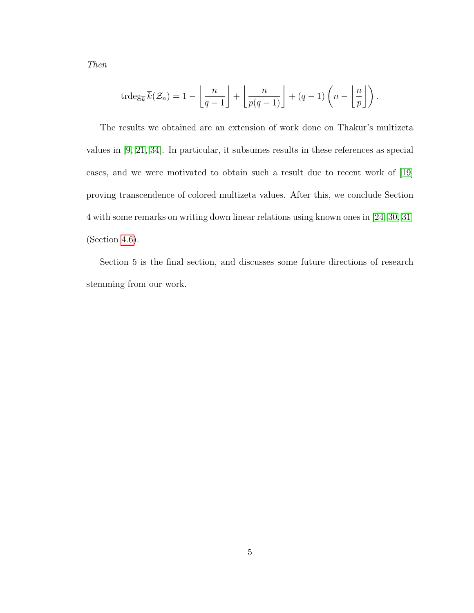Then

$$
\operatorname{trdeg}_{\overline{k}} \overline{k}(\mathcal{Z}_n) = 1 - \left\lfloor \frac{n}{q-1} \right\rfloor + \left\lfloor \frac{n}{p(q-1)} \right\rfloor + (q-1) \left( n - \left\lfloor \frac{n}{p} \right\rfloor \right).
$$

The results we obtained are an extension of work done on Thakur's multizeta values in [\[9,](#page-80-0) [21,](#page-81-5) [34\]](#page-83-1). In particular, it subsumes results in these references as special cases, and we were motivated to obtain such a result due to recent work of [\[19\]](#page-81-2) proving transcendence of colored multizeta values. After this, we conclude Section 4 with some remarks on writing down linear relations using known ones in [\[24,](#page-82-2) [30,](#page-82-3) [31\]](#page-82-4) (Section [4.6\)](#page-68-0).

Section 5 is the final section, and discusses some future directions of research stemming from our work.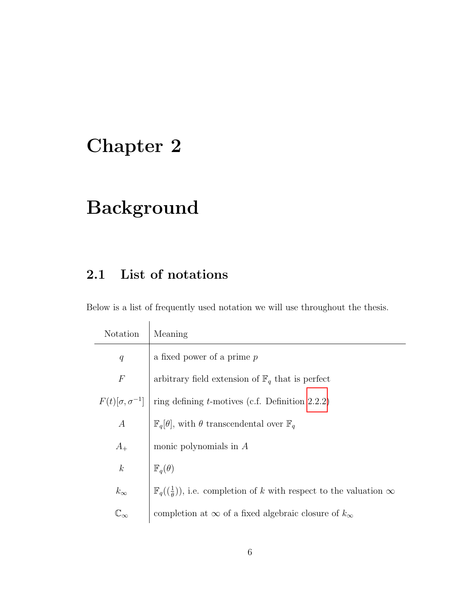# <span id="page-10-0"></span>Chapter 2

# Background

## <span id="page-10-1"></span>2.1 List of notations

Below is a list of frequently used notation we will use throughout the thesis.

| Notation         | Meaning                                                                                                     |
|------------------|-------------------------------------------------------------------------------------------------------------|
| q                | a fixed power of a prime $p$                                                                                |
| $\,F$            | arbitrary field extension of $\mathbb{F}_q$ that is perfect                                                 |
|                  | $F(t)[\sigma, \sigma^{-1}]$ ring defining t-motives (c.f. Definition 2.2.2)                                 |
| $\boldsymbol{A}$ | $\mathbb{F}_q[\theta]$ , with $\theta$ transcendental over $\mathbb{F}_q$                                   |
| $A_{+}$          | monic polynomials in $A$                                                                                    |
| $\boldsymbol{k}$ | $\mathbb{F}_q(\theta)$                                                                                      |
| $k_{\infty}$     | $\mathbb{F}_q(\left(\frac{1}{\theta}\right))$ , i.e. completion of k with respect to the valuation $\infty$ |
|                  | completion at $\infty$ of a fixed algebraic closure of $k_{\infty}$                                         |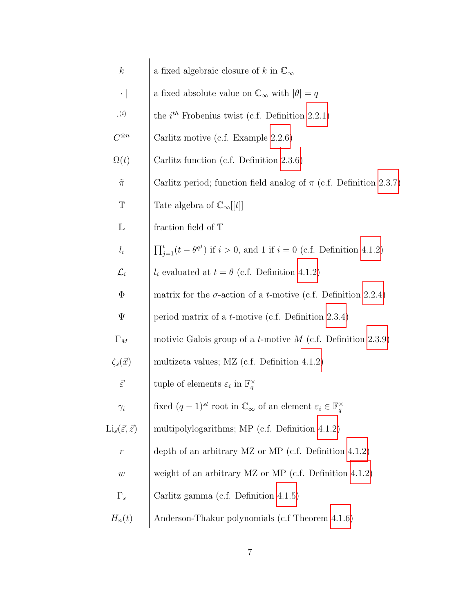| $\overline{k}$                                   | a fixed algebraic closure of k in $\mathbb{C}_{\infty}$                                                  |
|--------------------------------------------------|----------------------------------------------------------------------------------------------------------|
| $ \cdot $                                        | a fixed absolute value on $\mathbb{C}_{\infty}$ with $ \theta  = q$                                      |
| $\cdot$ <sup>(<i>i</i>)</sup>                    | the $i^{th}$ Frobenius twist (c.f. Definition 2.2.1)                                                     |
| $C^{\otimes n}$                                  | Carlitz motive (c.f. Example 2.2.6)                                                                      |
| $\Omega(t)$                                      | Carlitz function (c.f. Definition $2.3.6$ )                                                              |
| $\tilde{\pi}$                                    | Carlitz period; function field analog of $\pi$ (c.f. Definition 2.3.7)                                   |
| $\mathbb T$                                      | Tate algebra of $\mathbb{C}_{\infty}[[t]]$                                                               |
| $\mathbb L$                                      | fraction field of $\mathbb T$                                                                            |
| $l_i$                                            | $\prod_{i=1}^{i} (t - \theta^{q^j})$ if $i > 0$ , and 1 if $i = 0$ (c.f. Definition 4.1.2)               |
| $\mathcal{L}_i$                                  | $l_i$ evaluated at $t = \theta$ (c.f. Definition 4.1.2)                                                  |
| $\Phi$                                           | matrix for the $\sigma$ -action of a <i>t</i> -motive (c.f. Definition 2.2.4)                            |
| Ψ                                                | period matrix of a $t$ -motive (c.f. Definition 2.3.4)                                                   |
| $\Gamma_M$                                       | motivic Galois group of a <i>t</i> -motive $M$ (c.f. Definition 2.3.9)                                   |
| $\zeta_{\vec{s}}(\vec{x})$                       | multizeta values; MZ (c.f. Definition $4.1.2$ )                                                          |
| $\vec{\varepsilon}$                              | tuple of elements $\varepsilon_i$ in $\mathbb{F}_q^{\times}$                                             |
| $\gamma_i$                                       | fixed $(q-1)^{st}$ root in $\mathbb{C}_{\infty}$ of an element $\varepsilon_i \in \mathbb{F}_q^{\times}$ |
| $\text{Li}_{\vec{s}}(\vec{\varepsilon},\vec{z})$ | multipolylogarithms; MP (c.f. Definition 4.1.2)                                                          |
| $\,r$                                            | depth of an arbitrary MZ or MP (c.f. Definition $4.1.2$ )                                                |
| w                                                | weight of an arbitrary MZ or MP (c.f. Definition $4.1.2$ )                                               |
| $\Gamma_s$                                       | Carlitz gamma (c.f. Definition $4.1.5$ )                                                                 |
| $H_n(t)$                                         | Anderson-Thakur polynomials (c.f Theorem 4.1.6)                                                          |
|                                                  |                                                                                                          |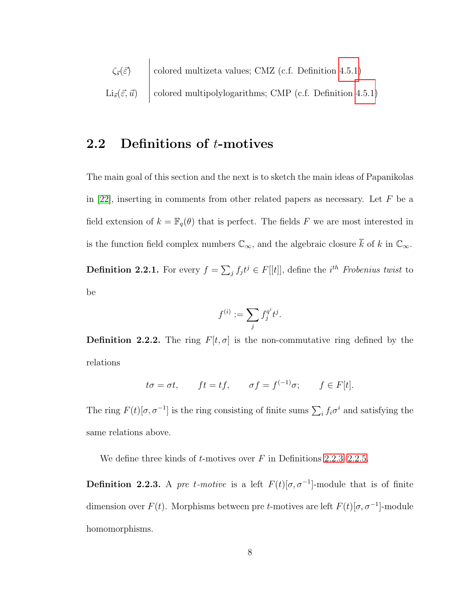$$
\zeta_{\vec{s}}(\vec{\varepsilon})
$$
 colored multizeta values; CMZ (c.f. Definition 4.5.1)  
Li <sub>$\vec{s}$</sub> ( $\vec{\varepsilon}, \vec{u}$ ) colored multipolylogarithms; CMP (c.f. Definition 4.5.1)

#### <span id="page-12-0"></span>2.2 Definitions of t-motives

The main goal of this section and the next is to sketch the main ideas of Papanikolas in [\[22\]](#page-81-3), inserting in comments from other related papers as necessary. Let  $F$  be a field extension of  $k = \mathbb{F}_q(\theta)$  that is perfect. The fields F we are most interested in is the function field complex numbers  $\mathbb{C}_{\infty}$ , and the algebraic closure  $\overline{k}$  of k in  $\mathbb{C}_{\infty}$ .

<span id="page-12-2"></span>**Definition 2.2.1.** For every  $f = \sum_j f_j t^j \in F[[t]]$ , define the *i*<sup>th</sup> Frobenius twist to be

$$
f^{(i)} := \sum_j f_j^{q^i} t^j.
$$

<span id="page-12-1"></span>**Definition 2.2.2.** The ring  $F[t, \sigma]$  is the non-commutative ring defined by the relations

$$
t\sigma = \sigma t
$$
,  $ft = tf$ ,  $\sigma f = f^{(-1)}\sigma$ ;  $f \in F[t]$ .

The ring  $F(t)[\sigma, \sigma^{-1}]$  is the ring consisting of finite sums  $\sum_i f_i \sigma^i$  and satisfying the same relations above.

We define three kinds of  $t$ -motives over  $F$  in Definitions [2.2.3](#page-12-3)[–2.2.5.](#page-13-2)

<span id="page-12-3"></span>**Definition 2.2.3.** A pre t-motive is a left  $F(t)[\sigma, \sigma^{-1}]$ -module that is of finite dimension over  $F(t)$ . Morphisms between pre t-motives are left  $F(t)[\sigma, \sigma^{-1}]$ -module homomorphisms.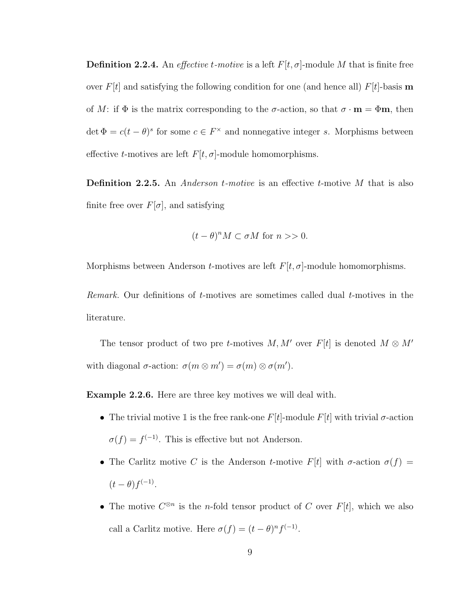<span id="page-13-1"></span>**Definition 2.2.4.** An *effective t-motive* is a left  $F[t, \sigma]$ -module M that is finite free over  $F[t]$  and satisfying the following condition for one (and hence all)  $F[t]$ -basis m of M: if  $\Phi$  is the matrix corresponding to the  $\sigma$ -action, so that  $\sigma \cdot \mathbf{m} = \Phi \mathbf{m}$ , then  $\det \Phi = c(t - \theta)^s$  for some  $c \in F^\times$  and nonnegative integer s. Morphisms between effective t-motives are left  $F[t, \sigma]$ -module homomorphisms.

<span id="page-13-2"></span>**Definition 2.2.5.** An Anderson  $t$ -motive is an effective  $t$ -motive  $M$  that is also finite free over  $F[\sigma]$ , and satisfying

$$
(t - \theta)^n M \subset \sigma M \text{ for } n >> 0.
$$

Morphisms between Anderson  $t$ -motives are left  $F[t, \sigma]$ -module homomorphisms.

Remark. Our definitions of  $t$ -motives are sometimes called dual  $t$ -motives in the literature.

The tensor product of two pre t-motives  $M, M'$  over  $F[t]$  is denoted  $M \otimes M'$ with diagonal  $\sigma$ -action:  $\sigma(m \otimes m') = \sigma(m) \otimes \sigma(m')$ .

<span id="page-13-0"></span>Example 2.2.6. Here are three key motives we will deal with.

- The trivial motive 1 is the free rank-one  $F[t]$ -module  $F[t]$  with trivial  $\sigma$ -action  $\sigma(f) = f^{(-1)}$ . This is effective but not Anderson.
- The Carlitz motive C is the Anderson t-motive  $F[t]$  with  $\sigma$ -action  $\sigma(f)$  =  $(t-\theta) f^{(-1)}$ .
- The motive  $C^{\otimes n}$  is the *n*-fold tensor product of C over  $F[t]$ , which we also call a Carlitz motive. Here  $\sigma(f) = (t - \theta)^n f^{(-1)}$ .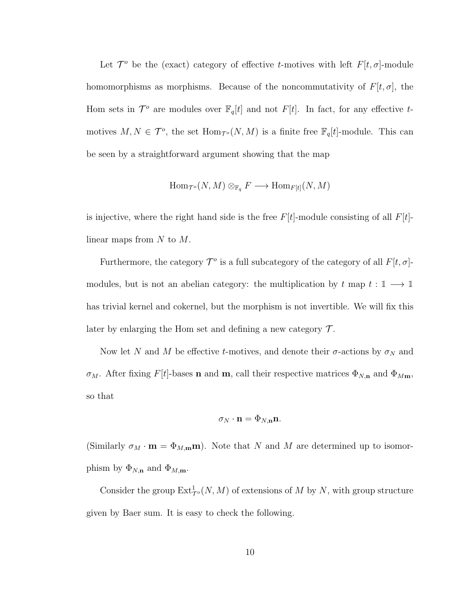Let  $\mathcal{T}^o$  be the (exact) category of effective t-motives with left  $F[t, \sigma]$ -module homomorphisms as morphisms. Because of the noncommutativity of  $F[t, \sigma]$ , the Hom sets in  $\mathcal{T}^o$  are modules over  $\mathbb{F}_q[t]$  and not  $F[t]$ . In fact, for any effective tmotives  $M, N \in \mathcal{T}^o$ , the set  $\text{Hom}_{\mathcal{T}^o}(N, M)$  is a finite free  $\mathbb{F}_q[t]$ -module. This can be seen by a straightforward argument showing that the map

$$
\operatorname{Hom}\nolimits_{\mathcal T^o}(N,M)\otimes_{\mathbb{F}_q}F\longrightarrow \operatorname{Hom}\nolimits_{F[t]}(N,M)
$$

is injective, where the right hand side is the free  $F[t]$ -module consisting of all  $F[t]$ linear maps from  $N$  to  $M$ .

Furthermore, the category  $\mathcal{T}^o$  is a full subcategory of the category of all  $F[t, \sigma]$ modules, but is not an abelian category: the multiplication by  $t$  map  $t : \mathbb{I} \longrightarrow \mathbb{I}$ has trivial kernel and cokernel, but the morphism is not invertible. We will fix this later by enlarging the Hom set and defining a new category  $\mathcal{T}$ .

Now let N and M be effective t-motives, and denote their  $\sigma$ -actions by  $\sigma_N$  and  $\sigma_M$ . After fixing F[t]-bases **n** and **m**, call their respective matrices  $\Phi_{N,n}$  and  $\Phi_{Mm}$ , so that

$$
\sigma_N \cdot \mathbf{n} = \Phi_{N,\mathbf{n}} \mathbf{n}.
$$

(Similarly  $\sigma_M \cdot \mathbf{m} = \Phi_{M,\mathbf{m}} \mathbf{m}$ ). Note that N and M are determined up to isomorphism by  $\Phi_{N,n}$  and  $\Phi_{M,m}$ .

Consider the group  $\text{Ext}^1_{\mathcal{T}^o}(N,M)$  of extensions of M by N, with group structure given by Baer sum. It is easy to check the following.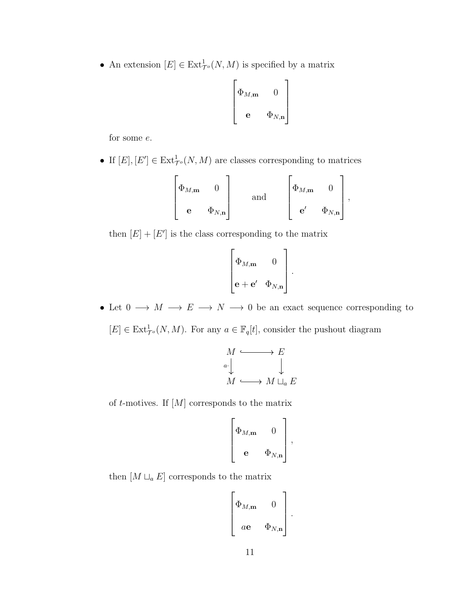• An extension  $[E] \in \text{Ext}^1_{\mathcal{T}^o}(N,M)$  is specified by a matrix

$$
\begin{bmatrix} \Phi_{M,\mathbf{m}} & 0 \\ \mathbf{e} & \Phi_{N,\mathbf{n}} \end{bmatrix}
$$

for some e.

• If  $[E], [E'] \in \text{Ext}^1_{\mathcal{T}^o}(N, M)$  are classes corresponding to matrices

$$
\begin{bmatrix} \Phi_{M,\mathbf{m}} & 0 \\ \mathbf{e} & \Phi_{N,\mathbf{n}} \end{bmatrix} \quad \text{and} \quad \begin{bmatrix} \Phi_{M,\mathbf{m}} & 0 \\ \mathbf{e'} & \Phi_{N,\mathbf{n}} \end{bmatrix},
$$

then  $[E] + [E']$  is the class corresponding to the matrix

$$
\begin{bmatrix} \Phi_{M,\mathbf{m}} & 0 \\ \mathbf{e} + \mathbf{e}' & \Phi_{N,\mathbf{n}} \end{bmatrix}.
$$

• Let  $0 \longrightarrow M \longrightarrow E \longrightarrow N \longrightarrow 0$  be an exact sequence corresponding to  $[E] \in \text{Ext}^1_{\mathcal{T}^o}(N,M)$ . For any  $a \in \mathbb{F}_q[t]$ , consider the pushout diagram

$$
M \xrightarrow{a} E
$$
  
\n
$$
M \xrightarrow{a} M \sqcup_a E
$$

of  $t$ -motives. If  $[M]$  corresponds to the matrix

$$
\left[\begin{matrix} \Phi_{M,\mathbf{m}} & 0 \\ \mathbf{e} & \Phi_{N,\mathbf{n}} \end{matrix}\right],
$$

then  $[M\sqcup_a E]$  corresponds to the matrix

$$
\begin{bmatrix} \Phi_{M,\mathbf{m}} & 0 \\ a\mathbf{e} & \Phi_{N,\mathbf{n}} \end{bmatrix}
$$

.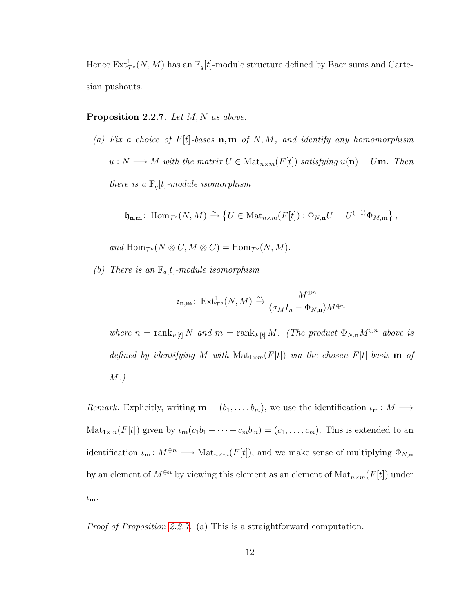Hence  $\mathrm{Ext}^1_{\mathcal{T}^o}(N,M)$  has an  $\mathbb{F}_q[t]$ -module structure defined by Baer sums and Cartesian pushouts.

#### <span id="page-16-0"></span>**Proposition 2.2.7.** Let  $M, N$  as above.

(a) Fix a choice of  $F[t]$ -bases  $\mathbf{n}, \mathbf{m}$  of N, M, and identify any homomorphism  $u : N \longrightarrow M$  with the matrix  $U \in Mat_{n \times m}(F[t])$  satisfying  $u(\mathbf{n}) = U\mathbf{m}$ . Then there is a  $\mathbb{F}_q[t]$ -module isomorphism

$$
\mathfrak{h}_{\mathbf{n},\mathbf{m}}\colon \operatorname{Hom}\nolimits_{\mathcal{T}^o}(N,M) \xrightarrow{\sim} \{U \in \operatorname{Mat}\nolimits_{n \times m}(F[t]) : \Phi_{N,\mathbf{n}}U = U^{(-1)}\Phi_{M,\mathbf{m}}\},\
$$

and  $\text{Hom}_{\mathcal{T}^o}(N \otimes C, M \otimes C) = \text{Hom}_{\mathcal{T}^o}(N, M).$ 

(b) There is an  $\mathbb{F}_q[t]$ -module isomorphism

$$
\mathfrak{e}_{\mathbf{n},\mathbf{m}}\colon \operatorname{Ext}^1_{\mathcal{T}^o}(N,M) \xrightarrow{\sim} \frac{M^{\oplus n}}{(\sigma_M I_n - \Phi_{N,\mathbf{n}})M^{\oplus n}}
$$

where  $n = \text{rank}_{F[t]} N$  and  $m = \text{rank}_{F[t]} M$ . (The product  $\Phi_{N,n} M^{\oplus n}$  above is defined by identifying M with  $\text{Mat}_{1\times m}(F[t])$  via the chosen  $F[t]$ -basis **m** of M.)

Remark. Explicitly, writing  $\mathbf{m} = (b_1, \ldots, b_m)$ , we use the identification  $\iota_{\mathbf{m}} : M \longrightarrow$  $\text{Mat}_{1\times m}(F[t])$  given by  $\iota_{\mathbf{m}}(c_1b_1+\cdots+c_mb_m)=(c_1,\ldots,c_m)$ . This is extended to an identification  $\iota_m: M^{\oplus n} \longrightarrow \text{Mat}_{n \times m}(F[t])$ , and we make sense of multiplying  $\Phi_{N,n}$ by an element of  $M^{\oplus n}$  by viewing this element as an element of  $\text{Mat}_{n\times m}(F[t])$  under  $\iota_{\mathbf{m}}$ .

Proof of Proposition [2.2.7.](#page-16-0) (a) This is a straightforward computation.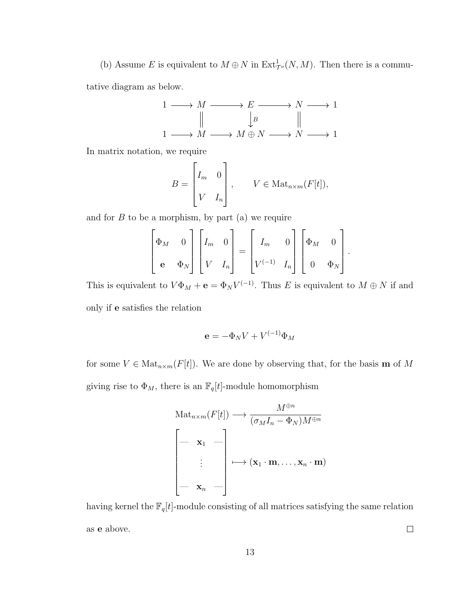(b) Assume E is equivalent to  $M \oplus N$  in  $\text{Ext}^1_{\mathcal{T}^o}(N,M)$ . Then there is a commu-

tative diagram as below.

$$
1 \longrightarrow M \longrightarrow E \longrightarrow N \longrightarrow 1
$$
  

$$
\parallel \qquad \qquad \downarrow B \qquad \qquad \parallel
$$
  

$$
1 \longrightarrow M \longrightarrow M \oplus N \longrightarrow N \longrightarrow 1
$$

In matrix notation, we require

$$
B = \begin{bmatrix} I_m & 0 \\ V & I_n \end{bmatrix}, \qquad V \in \text{Mat}_{n \times m}(F[t]),
$$

and for  $B$  to be a morphism, by part (a) we require

$$
\begin{bmatrix} \Phi_M & 0 \\ \mathbf{e} & \Phi_N \end{bmatrix} \begin{bmatrix} I_m & 0 \\ V & I_n \end{bmatrix} = \begin{bmatrix} I_m & 0 \\ V^{(-1)} & I_n \end{bmatrix} \begin{bmatrix} \Phi_M & 0 \\ 0 & \Phi_N \end{bmatrix}
$$

.

This is equivalent to  $V\Phi_M + \mathbf{e} = \Phi_N V^{(-1)}$ . Thus E is equivalent to  $M \oplus N$  if and only if e satisfies the relation

$$
\mathbf{e} = -\Phi_N V + V^{(-1)}\Phi_M
$$

for some  $V \in Mat_{n \times m}(F[t])$ . We are done by observing that, for the basis **m** of M giving rise to  $\Phi_M$ , there is an  $\mathbb{F}_q[t]$ -module homomorphism

$$
\operatorname{Mat}_{n \times m}(F[t]) \longrightarrow \frac{M^{\oplus n}}{(\sigma_M I_n - \Phi_N) M^{\oplus n}}
$$

$$
\begin{bmatrix} \mathbf{x}_1 & \cdots \\ \vdots & \vdots \\ \mathbf{x}_n & \cdots \end{bmatrix} \longmapsto (\mathbf{x}_1 \cdot \mathbf{m}, \dots, \mathbf{x}_n \cdot \mathbf{m})
$$

having kernel the  $\mathbb{F}_q[t]$ -module consisting of all matrices satisfying the same relation as e above.  $\Box$ 

13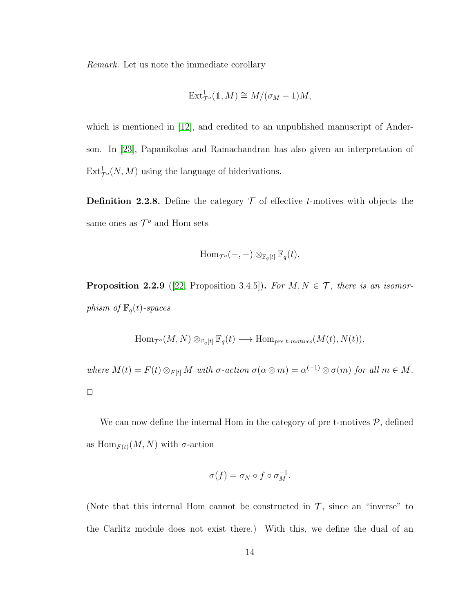Remark. Let us note the immediate corollary

$$
\text{Ext}^1_{\mathcal{T}^o}(\mathbb{1},M) \cong M/(\sigma_M - 1)M,
$$

which is mentioned in [\[12\]](#page-80-1), and credited to an unpublished manuscript of Anderson. In [\[23\]](#page-82-5), Papanikolas and Ramachandran has also given an interpretation of  $\text{Ext}^1_{\mathcal{T}^o}(N,M)$  using the language of biderivations.

**Definition 2.2.8.** Define the category  $\mathcal T$  of effective *t*-motives with objects the same ones as  $\mathcal{T}^o$  and Hom sets

$$
\mathrm{Hom}_{\mathcal{T}^o}(-,-)\otimes_{\mathbb{F}_q[t]} \mathbb{F}_q(t).
$$

<span id="page-18-0"></span>**Proposition 2.2.9** ([\[22,](#page-81-3) Proposition 3.4.5]). For  $M, N \in \mathcal{T}$ , there is an isomorphism of  $\mathbb{F}_q(t)$ -spaces

$$
\operatorname{Hom}\nolimits_{\mathcal T^o}(M,N)\otimes_{\mathbb F_q[t]} \mathbb F_q(t) \longrightarrow \operatorname{Hom}\nolimits_{pre \ t\text{-motives}}(M(t),N(t)),
$$

where  $M(t) = F(t) \otimes_{F[t]} M$  with  $\sigma$ -action  $\sigma(\alpha \otimes m) = \alpha^{(-1)} \otimes \sigma(m)$  for all  $m \in M$ .  $\Box$ 

We can now define the internal Hom in the category of pre t-motives  $P$ , defined as  $\text{Hom}_{F(t)}(M, N)$  with  $\sigma$ -action

$$
\sigma(f) = \sigma_N \circ f \circ \sigma_M^{-1}.
$$

(Note that this internal Hom cannot be constructed in  $\mathcal{T}$ , since an "inverse" to the Carlitz module does not exist there.) With this, we define the dual of an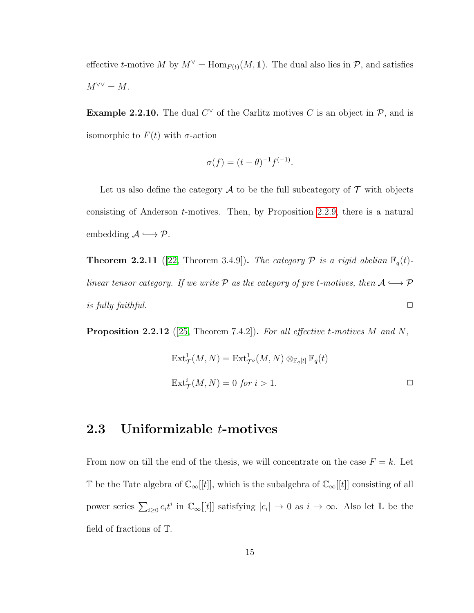effective t-motive M by  $M^{\vee} = \text{Hom}_{F(t)}(M, \mathbb{1})$ . The dual also lies in  $P$ , and satisfies  $M^{\vee\vee}=M.$ 

**Example 2.2.10.** The dual  $C^{\vee}$  of the Carlitz motives C is an object in  $\mathcal{P}$ , and is isomorphic to  $F(t)$  with  $\sigma$ -action

$$
\sigma(f) = (t - \theta)^{-1} f^{(-1)}.
$$

Let us also define the category  $\mathcal A$  to be the full subcategory of  $\mathcal T$  with objects consisting of Anderson t-motives. Then, by Proposition [2.2.9,](#page-18-0) there is a natural embedding  $\mathcal{A} \longrightarrow \mathcal{P}$ .

<span id="page-19-1"></span>**Theorem 2.2.11** ([\[22,](#page-81-3) Theorem 3.4.9]). The category  $P$  is a rigid abelian  $\mathbb{F}_q(t)$ linear tensor category. If we write  $P$  as the category of pre t-motives, then  $A \hookrightarrow P$ is fully faithful.  $\Box$ 

**Proposition 2.2.12** ([\[25,](#page-82-6) Theorem 7.4.2]). For all effective t-motives M and N,

$$
Ext^1_{\mathcal{T}}(M, N) = Ext^1_{\mathcal{T}^o}(M, N) \otimes_{\mathbb{F}_q[t]} \mathbb{F}_q(t)
$$
  

$$
Ext^i_{\mathcal{T}}(M, N) = 0 \text{ for } i > 1.
$$

#### <span id="page-19-0"></span>2.3 Uniformizable t-motives

From now on till the end of the thesis, we will concentrate on the case  $F = \overline{k}$ . Let T be the Tate algebra of  $\mathbb{C}_{\infty}[[t]]$ , which is the subalgebra of  $\mathbb{C}_{\infty}[[t]]$  consisting of all power series  $\sum_{i\geq 0} c_i t^i$  in  $\mathbb{C}_{\infty}[[t]]$  satisfying  $|c_i| \to 0$  as  $i \to \infty$ . Also let  $\mathbb{L}$  be the field of fractions of T.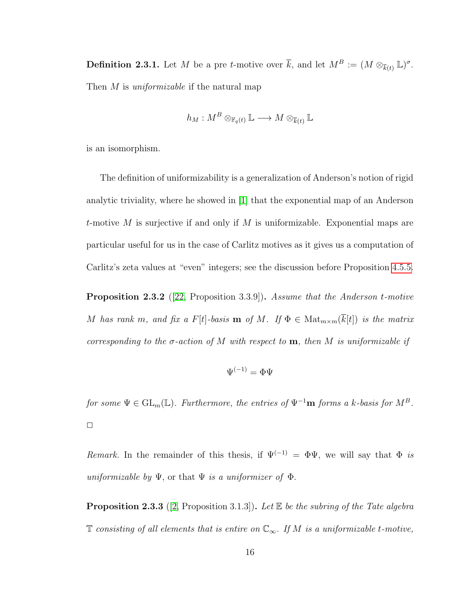<span id="page-20-0"></span>**Definition 2.3.1.** Let M be a pre t-motive over  $\overline{k}$ , and let  $M^B := (M \otimes_{\overline{k}(t)} \mathbb{L})^{\sigma}$ . Then M is *uniformizable* if the natural map

$$
h_M: M^B \otimes_{\mathbb{F}_q(t)} \mathbb{L} \longrightarrow M \otimes_{\overline{k}(t)} \mathbb{L}
$$

is an isomorphism.

The definition of uniformizability is a generalization of Anderson's notion of rigid analytic triviality, where he showed in [\[1\]](#page-79-2) that the exponential map of an Anderson t-motive M is surjective if and only if M is uniformizable. Exponential maps are particular useful for us in the case of Carlitz motives as it gives us a computation of Carlitz's zeta values at "even" integers; see the discussion before Proposition [4.5.5.](#page-61-0)

**Proposition 2.3.2** ([\[22,](#page-81-3) Proposition 3.3.9]). Assume that the Anderson t-motive M has rank m, and fix a F[t]-basis **m** of M. If  $\Phi \in \text{Mat}_{m \times m}(\overline{k}[t])$  is the matrix corresponding to the  $\sigma$ -action of M with respect to **m**, then M is uniformizable if

$$
\Psi^{(-1)}=\Phi\Psi
$$

for some  $\Psi \in GL_m(\mathbb{L})$ . Furthermore, the entries of  $\Psi^{-1}\mathbf{m}$  forms a k-basis for  $M^B$ .  $\Box$ 

Remark. In the remainder of this thesis, if  $\Psi^{(-1)} = \Phi \Psi$ , we will say that  $\Phi$  is uniformizable by  $\Psi$ , or that  $\Psi$  is a uniformizer of  $\Phi$ .

**Proposition 2.3.3** ([\[2,](#page-79-3) Proposition 3.1.3]). Let  $E$  be the subring of the Tate algebra T consisting of all elements that is entire on  $\mathbb{C}_{\infty}$ . If M is a uniformizable t-motive,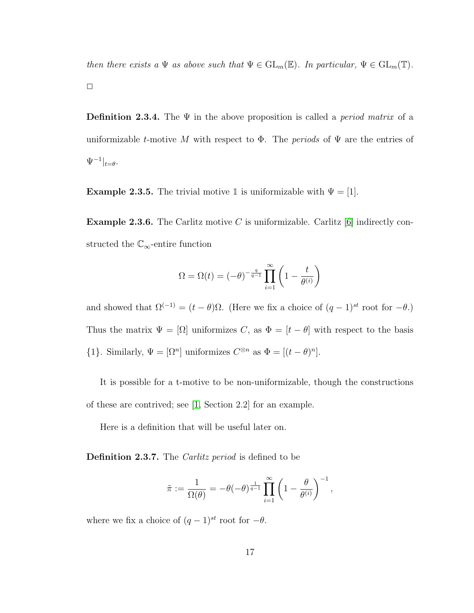then there exists a  $\Psi$  as above such that  $\Psi \in GL_m(\mathbb{E})$ . In particular,  $\Psi \in GL_m(\mathbb{T})$ .  $\Box$ 

<span id="page-21-2"></span>**Definition 2.3.4.** The  $\Psi$  in the above proposition is called a *period matrix* of a uniformizable t-motive M with respect to  $\Phi$ . The *periods* of  $\Psi$  are the entries of  $\Psi^{-1}|_{t=\theta}.$ 

**Example 2.3.5.** The trivial motive 1 is uniformizable with  $\Psi = [1]$ .

<span id="page-21-0"></span>**Example 2.3.6.** The Carlitz motive C is uniformizable. Carlitz  $[6]$  indirectly constructed the  $\mathbb{C}_{\infty}$ -entire function

$$
\Omega = \Omega(t) = (-\theta)^{-\frac{q}{q-1}} \prod_{i=1}^{\infty} \left( 1 - \frac{t}{\theta^{(i)}} \right)
$$

and showed that  $\Omega^{(-1)} = (t - \theta)\Omega$ . (Here we fix a choice of  $(q - 1)^{st}$  root for  $-\theta$ .) Thus the matrix  $\Psi = [\Omega]$  uniformizes C, as  $\Phi = [t - \theta]$  with respect to the basis  $\{1\}$ . Similarly,  $\Psi = [\Omega^n]$  uniformizes  $C^{\otimes n}$  as  $\Phi = [(t - \theta)^n]$ .

It is possible for a t-motive to be non-uniformizable, though the constructions of these are contrived; see [\[1,](#page-79-2) Section 2.2] for an example.

Here is a definition that will be useful later on.

<span id="page-21-1"></span>Definition 2.3.7. The *Carlitz period* is defined to be

$$
\tilde{\pi} := \frac{1}{\Omega(\theta)} = -\theta(-\theta)^{\frac{1}{q-1}} \prod_{i=1}^{\infty} \left(1 - \frac{\theta}{\theta^{(i)}}\right)^{-1},
$$

where we fix a choice of  $(q-1)^{st}$  root for  $-\theta$ .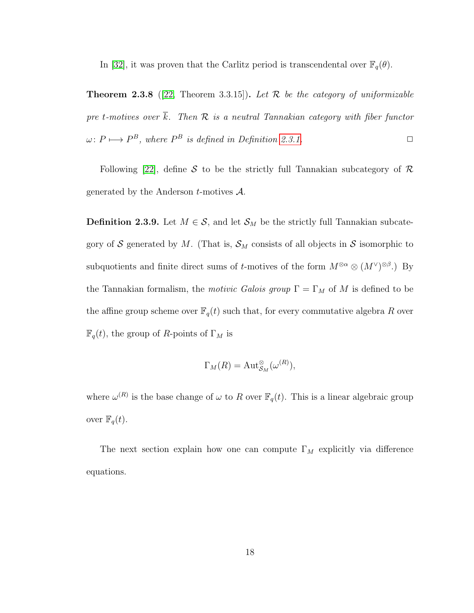In [\[32\]](#page-82-7), it was proven that the Carlitz period is transcendental over  $\mathbb{F}_q(\theta)$ .

**Theorem 2.3.8** ([\[22,](#page-81-3) Theorem 3.3.15]). Let  $\mathcal{R}$  be the category of uniformizable pre t-motives over  $\overline{k}$ . Then  $\mathcal R$  is a neutral Tannakian category with fiber functor  $\omega: P \longmapsto P^B$ , where  $P^B$  is defined in Definition [2.3.1.](#page-20-0)  $\square$ 

Following [\[22\]](#page-81-3), define S to be the strictly full Tannakian subcategory of  $\mathcal R$ generated by the Anderson  $t$ -motives  $\mathcal{A}$ .

<span id="page-22-0"></span>**Definition 2.3.9.** Let  $M \in \mathcal{S}$ , and let  $\mathcal{S}_M$  be the strictly full Tannakian subcategory of S generated by M. (That is,  $\mathcal{S}_M$  consists of all objects in S isomorphic to subquotients and finite direct sums of t-motives of the form  $M^{\otimes \alpha} \otimes (M^{\vee})^{\otimes \beta}$ . By the Tannakian formalism, the *motivic Galois group*  $\Gamma = \Gamma_M$  of M is defined to be the affine group scheme over  $\mathbb{F}_q(t)$  such that, for every commutative algebra R over  $\mathbb{F}_q(t)$ , the group of R-points of  $\Gamma_M$  is

$$
\Gamma_M(R) = \mathrm{Aut}^{\otimes}_{\mathcal{S}_M}(\omega^{(R)}),
$$

where  $\omega^{(R)}$  is the base change of  $\omega$  to R over  $\mathbb{F}_q(t)$ . This is a linear algebraic group over  $\mathbb{F}_q(t)$ .

The next section explain how one can compute  $\Gamma_M$  explicitly via difference equations.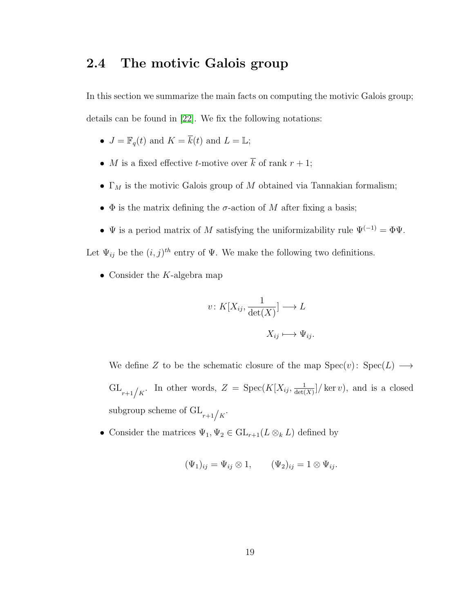## <span id="page-23-0"></span>2.4 The motivic Galois group

In this section we summarize the main facts on computing the motivic Galois group; details can be found in [\[22\]](#page-81-3). We fix the following notations:

- $J = \mathbb{F}_q(t)$  and  $K = \overline{k}(t)$  and  $L = \mathbb{L}$ ;
- M is a fixed effective t-motive over  $\overline{k}$  of rank  $r + 1$ ;
- $\Gamma_M$  is the motivic Galois group of M obtained via Tannakian formalism;
- $\Phi$  is the matrix defining the  $\sigma$ -action of M after fixing a basis;
- $\Psi$  is a period matrix of M satisfying the uniformizability rule  $\Psi^{(-1)} = \Phi \Psi$ .

Let  $\Psi_{ij}$  be the  $(i, j)^{th}$  entry of  $\Psi$ . We make the following two definitions.

• Consider the  $K$ -algebra map

$$
v \colon K[X_{ij}, \frac{1}{\det(X)}] \longrightarrow L
$$

$$
X_{ij} \longmapsto \Psi_{ij}.
$$

We define Z to be the schematic closure of the map  $Spec(v): Spec(L) \longrightarrow$  $\operatorname{GL}_{r+1/k}$ . In other words,  $Z = \operatorname{Spec}(K[X_{ij}, \frac{1}{\det(X)})$  $\frac{1}{\det(X)}$  / ker v), and is a closed subgroup scheme of  $\operatorname{GL}_{r+1/k}$ .

• Consider the matrices  $\Psi_1, \Psi_2 \in \mathrm{GL}_{r+1}(L \otimes_k L)$  defined by

$$
(\Psi_1)_{ij} = \Psi_{ij} \otimes 1, \qquad (\Psi_2)_{ij} = 1 \otimes \Psi_{ij}.
$$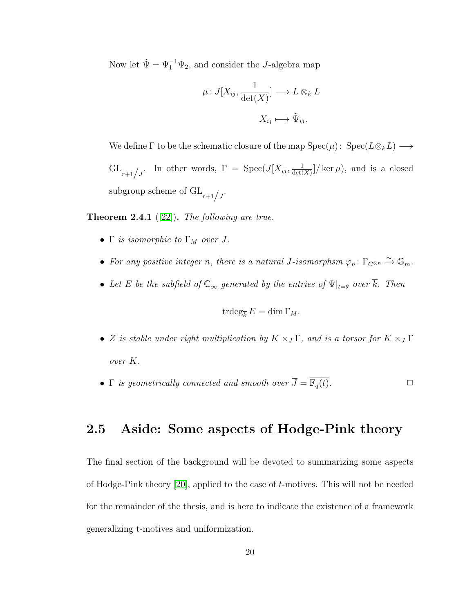Now let  $\tilde{\Psi} = \Psi_1^{-1} \Psi_2$ , and consider the *J*-algebra map

$$
\mu \colon J[X_{ij}, \frac{1}{\det(X)}] \longrightarrow L \otimes_k L
$$

$$
X_{ij} \longmapsto \tilde{\Psi}_{ij}.
$$

We define  $\Gamma$  to be the schematic closure of the map  $Spec(\mu)$ :  $Spec(L\otimes_k L) \longrightarrow$  $\operatorname{GL}_{r+1/2}$ . In other words,  $\Gamma = \operatorname{Spec}(J[X_{ij}, \frac{1}{\det(\Gamma)}])$  $\frac{1}{\det(X)}$  / ker  $\mu$ , and is a closed subgroup scheme of  $\operatorname{GL}_{r+1/j}$ .

**Theorem 2.4.1** ([\[22\]](#page-81-3)). The following are true.

- Γ is isomorphic to  $\Gamma_M$  over J.
- For any positive integer n, there is a natural J-isomorphsm  $\varphi_n \colon \Gamma_{C^{\otimes n}} \xrightarrow{\sim} \mathbb{G}_m$ .
- Let E be the subfield of  $\mathbb{C}_{\infty}$  generated by the entries of  $\Psi|_{t=\theta}$  over  $\overline{k}$ . Then

$$
\operatorname{trdeg}_{\overline{k}} E = \dim \Gamma_M.
$$

- Z is stable under right multiplication by  $K \times_J \Gamma$ , and is a torsor for  $K \times_J \Gamma$ over K.
- Γ is geometrically connected and smooth over  $\overline{J} = \overline{\mathbb{F}_q(t)}$ .

## <span id="page-24-0"></span>2.5 Aside: Some aspects of Hodge-Pink theory

The final section of the background will be devoted to summarizing some aspects of Hodge-Pink theory [\[20\]](#page-81-6), applied to the case of t-motives. This will not be needed for the remainder of the thesis, and is here to indicate the existence of a framework generalizing t-motives and uniformization.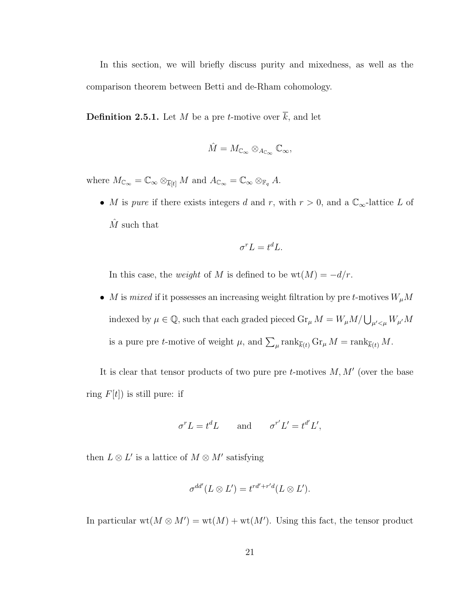In this section, we will briefly discuss purity and mixedness, as well as the comparison theorem between Betti and de-Rham cohomology.

<span id="page-25-0"></span>**Definition 2.5.1.** Let M be a pre t-motive over  $\overline{k}$ , and let

$$
\hat{M}=M_{\mathbb{C}_\infty}\otimes_{A_{\mathbb{C}_\infty}}\mathbb{C}_\infty,
$$

where  $M_{\mathbb{C}_{\infty}} = \mathbb{C}_{\infty} \otimes_{\overline{k}[t]} M$  and  $A_{\mathbb{C}_{\infty}} = \mathbb{C}_{\infty} \otimes_{\mathbb{F}_q} A$ .

• M is pure if there exists integers d and r, with  $r > 0$ , and a  $\mathbb{C}_{\infty}$ -lattice L of  $\hat{M}$  such that

$$
\sigma^r L = t^d L.
$$

In this case, the *weight* of M is defined to be  $wt(M) = -d/r$ .

 $\bullet~~ M$  is  $mixed$  if it possesses an increasing weight filtration by pre  $t\text{-motives }W_\mu M$ indexed by  $\mu \in \mathbb{Q}$ , such that each graded pieced  $\text{Gr}_{\mu} M = W_{\mu} M / \bigcup_{\mu' < \mu} W_{\mu'} M$ is a pure pre *t*-motive of weight  $\mu$ , and  $\sum_{\mu} \text{rank}_{\overline{k}(t)} \text{Gr}_{\mu} M = \text{rank}_{\overline{k}(t)} M$ .

It is clear that tensor products of two pure pre  $t$ -motives  $M, M'$  (over the base ring  $F[t]$ ) is still pure: if

$$
\sigma^r L = t^d L \qquad \text{and} \qquad \sigma^{r'} L' = t^{d'} L',
$$

then  $L \otimes L'$  is a lattice of  $M \otimes M'$  satisfying

$$
\sigma^{dd'}(L \otimes L') = t^{rd' + r'd}(L \otimes L').
$$

In particular  $wt(M \otimes M') = wt(M) + wt(M')$ . Using this fact, the tensor product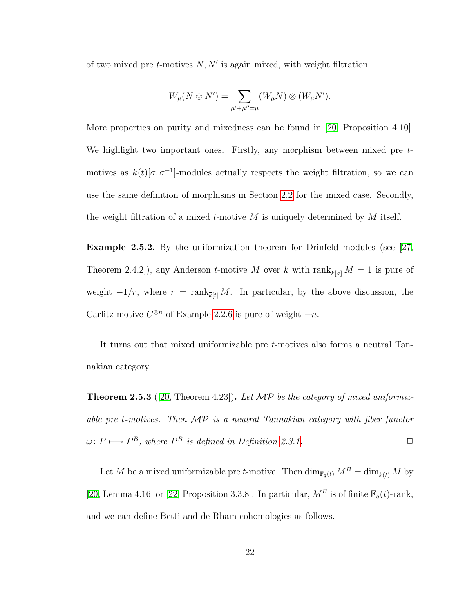of two mixed pre  $t$ -motives  $N, N'$  is again mixed, with weight filtration

$$
W_{\mu}(N \otimes N') = \sum_{\mu' + \mu'' = \mu} (W_{\mu}N) \otimes (W_{\mu}N').
$$

More properties on purity and mixedness can be found in [\[20,](#page-81-6) Proposition 4.10]. We highlight two important ones. Firstly, any morphism between mixed pre tmotives as  $\bar{k}(t)[\sigma, \sigma^{-1}]$ -modules actually respects the weight filtration, so we can use the same definition of morphisms in Section [2.2](#page-12-0) for the mixed case. Secondly, the weight filtration of a mixed t-motive M is uniquely determined by M itself.

Example 2.5.2. By the uniformization theorem for Drinfeld modules (see [\[27,](#page-82-1) Theorem 2.4.2]), any Anderson t-motive M over  $\bar{k}$  with rank $_{\bar{k}[\sigma]} M = 1$  is pure of weight  $-1/r$ , where  $r = \text{rank}_{\overline{k}[t]} M$ . In particular, by the above discussion, the Carlitz motive  $C^{\otimes n}$  of Example [2.2.6](#page-13-0) is pure of weight  $-n$ .

It turns out that mixed uniformizable pre t-motives also forms a neutral Tannakian category.

**Theorem 2.5.3** ([\[20,](#page-81-6) Theorem 4.23]). Let  $\mathcal{MP}$  be the category of mixed uniformizable pre t-motives. Then MP is a neutral Tannakian category with fiber functor  $\omega: P \longmapsto P^B$ , where  $P^B$  is defined in Definition [2.3.1.](#page-20-0)

Let M be a mixed uniformizable pre t-motive. Then  $\dim_{\mathbb{F}_q(t)} M^B = \dim_{\overline{k}(t)} M$  by [\[20,](#page-81-6) Lemma 4.16] or [\[22,](#page-81-3) Proposition 3.3.8]. In particular,  $M^B$  is of finite  $\mathbb{F}_q(t)$ -rank, and we can define Betti and de Rham cohomologies as follows.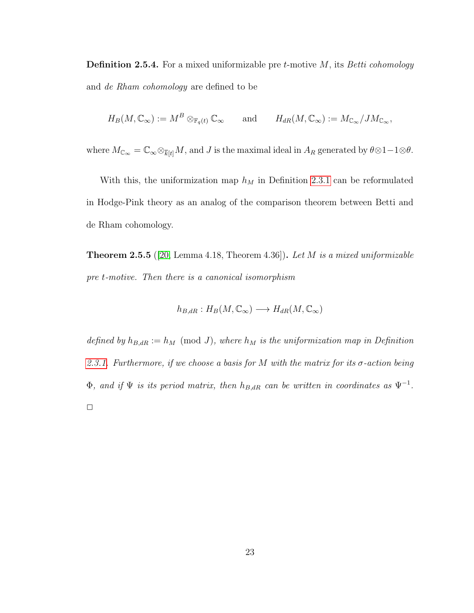**Definition 2.5.4.** For a mixed uniformizable pre  $t$ -motive  $M$ , its Betti cohomology and de Rham cohomology are defined to be

$$
H_B(M,\mathbb{C}_{\infty}) := M^B \otimes_{\mathbb{F}_q(t)} \mathbb{C}_{\infty} \quad \text{and} \quad H_{dR}(M,\mathbb{C}_{\infty}) := M_{\mathbb{C}_{\infty}} / J M_{\mathbb{C}_{\infty}},
$$

where  $M_{\mathbb{C}_{\infty}} = \mathbb{C}_{\infty} \otimes_{\overline{k}[t]} M$ , and J is the maximal ideal in  $A_R$  generated by  $\theta \otimes 1 - 1 \otimes \theta$ .

With this, the uniformization map  $h_M$  in Definition [2.3.1](#page-20-0) can be reformulated in Hodge-Pink theory as an analog of the comparison theorem between Betti and de Rham cohomology.

**Theorem 2.5.5** ([\[20,](#page-81-6) Lemma 4.18, Theorem 4.36]). Let M is a mixed uniformizable pre t-motive. Then there is a canonical isomorphism

$$
h_{B,dR}: H_B(M, \mathbb{C}_{\infty}) \longrightarrow H_{dR}(M, \mathbb{C}_{\infty})
$$

defined by  $h_{B,dR} := h_M \pmod{J}$ , where  $h_M$  is the uniformization map in Definition [2.3.1.](#page-20-0) Furthermore, if we choose a basis for M with the matrix for its  $\sigma$ -action being  $\Phi$ , and if  $\Psi$  is its period matrix, then  $h_{B,dR}$  can be written in coordinates as  $\Psi^{-1}$ .  $\Box$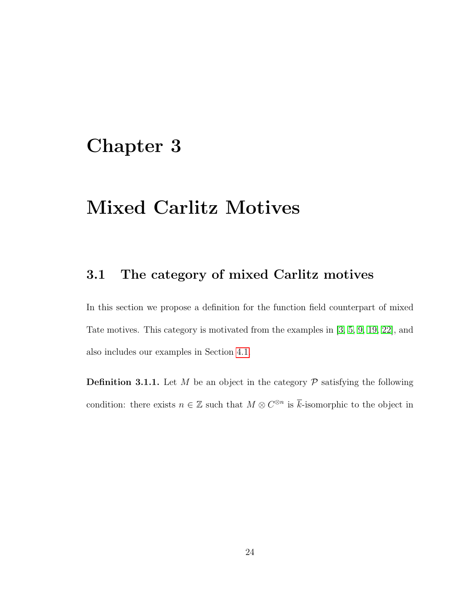# <span id="page-28-0"></span>Chapter 3

# Mixed Carlitz Motives

## <span id="page-28-1"></span>3.1 The category of mixed Carlitz motives

In this section we propose a definition for the function field counterpart of mixed Tate motives. This category is motivated from the examples in [\[3,](#page-79-0) [5,](#page-79-1) [9,](#page-80-0) [19,](#page-81-2) [22\]](#page-81-3), and also includes our examples in Section [4.1.](#page-34-1)

<span id="page-28-2"></span>**Definition 3.1.1.** Let M be an object in the category  $P$  satisfying the following condition: there exists  $n \in \mathbb{Z}$  such that  $M \otimes C^{\otimes n}$  is  $\overline{k}$ -isomorphic to the object in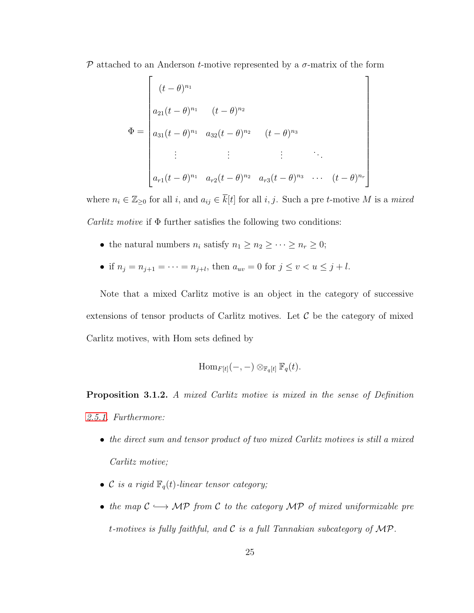P attached to an Anderson t-motive represented by a  $\sigma$ -matrix of the form

$$
\Phi = \begin{bmatrix}\n(t - \theta)^{n_1} & (t - \theta)^{n_2} \\
a_{21}(t - \theta)^{n_1} & (t - \theta)^{n_2} \\
a_{31}(t - \theta)^{n_1} & a_{32}(t - \theta)^{n_2} & (t - \theta)^{n_3} \\
\vdots & \vdots & \vdots & \ddots \\
a_{r1}(t - \theta)^{n_1} & a_{r2}(t - \theta)^{n_2} & a_{r3}(t - \theta)^{n_3} & \cdots & (t - \theta)^{n_r}\n\end{bmatrix}
$$

where  $n_i \in \mathbb{Z}_{\geq 0}$  for all  $i$ , and  $a_{ij} \in \overline{k}[t]$  for all  $i, j$ . Such a pre t-motive M is a mixed *Carlitz motive* if  $\Phi$  further satisfies the following two conditions:

- the natural numbers  $n_i$  satisfy  $n_1 \geq n_2 \geq \cdots \geq n_r \geq 0$ ;
- if  $n_j = n_{j+1} = \cdots = n_{j+l}$ , then  $a_{uv} = 0$  for  $j \le v < u \le j+l$ .

Note that a mixed Carlitz motive is an object in the category of successive extensions of tensor products of Carlitz motives. Let  $\mathcal C$  be the category of mixed Carlitz motives, with Hom sets defined by

$$
\mathrm{Hom}_{F[t]}(-,-)\otimes_{\mathbb{F}_q[t]} \mathbb{F}_q(t).
$$

<span id="page-29-0"></span>Proposition 3.1.2. A mixed Carlitz motive is mixed in the sense of Definition [2.5.1.](#page-25-0) Furthermore:

- the direct sum and tensor product of two mixed Carlitz motives is still a mixed Carlitz motive;
- C is a rigid  $\mathbb{F}_q(t)$ -linear tensor category;
- the map  $C \longrightarrow \mathcal{MP}$  from C to the category  $\mathcal{MP}$  of mixed uniformizable pre t-motives is fully faithful, and  $\mathcal C$  is a full Tannakian subcategory of  $\mathcal{MP}$ .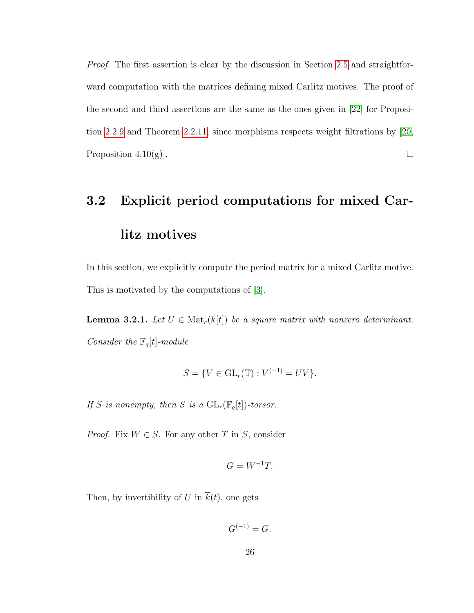Proof. The first assertion is clear by the discussion in Section [2.5](#page-24-0) and straightforward computation with the matrices defining mixed Carlitz motives. The proof of the second and third assertions are the same as the ones given in [\[22\]](#page-81-3) for Proposition [2.2.9](#page-18-0) and Theorem [2.2.11,](#page-19-1) since morphisms respects weight filtrations by [\[20,](#page-81-6) Proposition  $4.10(g)$ .  $\Box$ 

# <span id="page-30-0"></span>3.2 Explicit period computations for mixed Carlitz motives

In this section, we explicitly compute the period matrix for a mixed Carlitz motive. This is motivated by the computations of [\[3\]](#page-79-0).

<span id="page-30-1"></span>**Lemma 3.2.1.** Let  $U \in Mat_r(\overline{k}[t])$  be a square matrix with nonzero determinant. Consider the  $\mathbb{F}_q[t]$  -module

$$
S = \{ V \in GL_r(\mathbb{T}) : V^{(-1)} = UV \}.
$$

If S is nonempty, then S is a  $GL_r(\mathbb{F}_q[t])$ -torsor.

*Proof.* Fix  $W \in S$ . For any other T in S, consider

$$
G = W^{-1}T.
$$

Then, by invertibility of U in  $\overline{k}(t)$ , one gets

$$
G^{(-1)} = G.
$$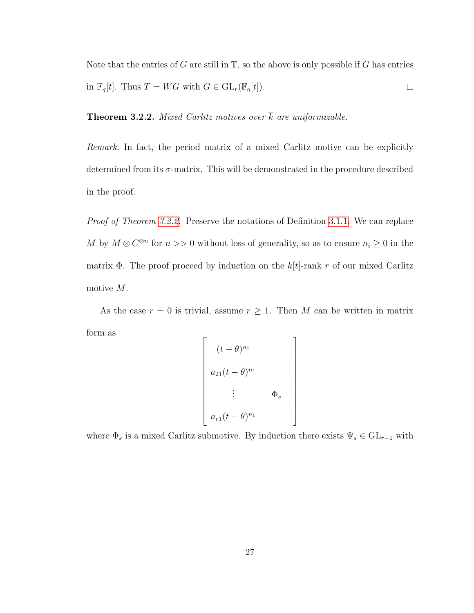Note that the entries of  $G$  are still in  $T$ , so the above is only possible if  $G$  has entries in  $\mathbb{F}_q[t]$ . Thus  $T = WG$  with  $G \in \mathrm{GL}_r(\mathbb{F}_q[t])$ .  $\Box$ 

<span id="page-31-0"></span>**Theorem 3.2.2.** Mixed Carlitz motives over  $\overline{k}$  are uniformizable.

Remark. In fact, the period matrix of a mixed Carlitz motive can be explicitly determined from its  $\sigma$ -matrix. This will be demonstrated in the procedure described in the proof.

Proof of Theorem [3.2.2.](#page-31-0) Preserve the notations of Definition [3.1.1.](#page-28-2) We can replace M by  $M \otimes C^{\otimes n}$  for  $n >> 0$  without loss of generality, so as to ensure  $n_i \geq 0$  in the matrix Φ. The proof proceed by induction on the  $\overline{k}[t]$ -rank r of our mixed Carlitz motive M.

As the case  $r = 0$  is trivial, assume  $r \geq 1$ . Then M can be written in matrix form as

$$
\begin{bmatrix}\n(t - \theta)^{n_1} \\
\hline\na_{21}(t - \theta)^{n_1} \\
\vdots \\
a_{r1}(t - \theta)^{n_1}\n\end{bmatrix}
$$

where  $\Phi_s$  is a mixed Carlitz submotive. By induction there exists  $\Psi_s \in \mathrm{GL}_{r-1}$  with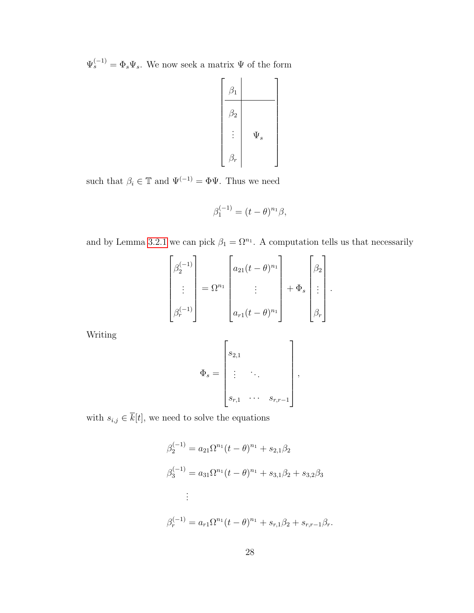$\Psi_s^{(-1)} = \Phi_s \Psi_s$ . We now seek a matrix  $\Psi$  of the form



such that  $\beta_i \in \mathbb{T}$  and  $\Psi^{(-1)} = \Phi \Psi.$  Thus we need

$$
\beta_1^{(-1)} = (t - \theta)^{n_1} \beta,
$$

and by Lemma [3.2.1](#page-30-1) we can pick  $\beta_1 = \Omega^{n_1}$ . A computation tells us that necessarily

$$
\begin{bmatrix} \beta_2^{(-1)} \\ \vdots \\ \beta_r^{(-1)} \end{bmatrix} = \Omega^{n_1} \begin{bmatrix} a_{21}(t-\theta)^{n_1} \\ \vdots \\ a_{r1}(t-\theta)^{n_1} \end{bmatrix} + \Phi_s \begin{bmatrix} \beta_2 \\ \vdots \\ \beta_r \end{bmatrix}.
$$

Writing

$$
\Phi_s = \begin{bmatrix} s_{2,1} & & & \\ \vdots & \ddots & & \\ s_{r,1} & \cdots & s_{r,r-1} \end{bmatrix},
$$

with  $s_{i,j} \in \overline{k}[t]$ , we need to solve the equations

$$
\beta_2^{(-1)} = a_{21} \Omega^{n_1} (t - \theta)^{n_1} + s_{2,1} \beta_2
$$
  
\n
$$
\beta_3^{(-1)} = a_{31} \Omega^{n_1} (t - \theta)^{n_1} + s_{3,1} \beta_2 + s_{3,2} \beta_3
$$
  
\n:  
\n:  
\n
$$
\beta_r^{(-1)} = a_{r1} \Omega^{n_1} (t - \theta)^{n_1} + s_{r,1} \beta_2 + s_{r,r-1} \beta_r.
$$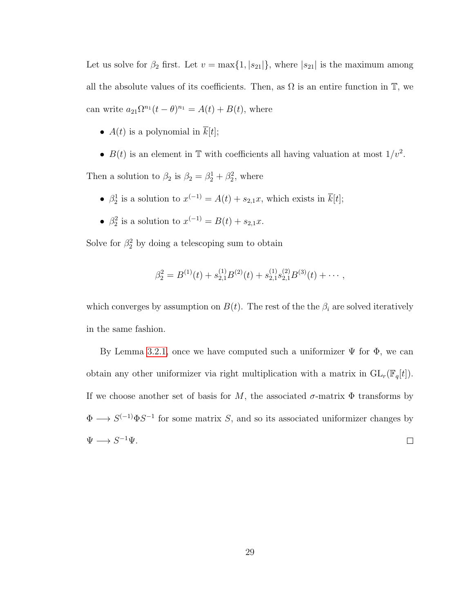Let us solve for  $\beta_2$  first. Let  $v = \max\{1, |s_{21}|\}$ , where  $|s_{21}|$  is the maximum among all the absolute values of its coefficients. Then, as  $\Omega$  is an entire function in  $\mathbb{T}$ , we can write  $a_{21}\Omega^{n_1}(t-\theta)^{n_1} = A(t) + B(t)$ , where

- $A(t)$  is a polynomial in  $\overline{k}[t]$ ;
- $B(t)$  is an element in T with coefficients all having valuation at most  $1/v^2$ .

Then a solution to  $\beta_2$  is  $\beta_2 = \beta_2^1 + \beta_2^2$ , where

- $\beta_2^1$  is a solution to  $x^{(-1)} = A(t) + s_{2,1}x$ , which exists in  $\overline{k}[t]$ ;
- $\beta_2^2$  is a solution to  $x^{(-1)} = B(t) + s_{2,1}x$ .

Solve for  $\beta_2^2$  by doing a telescoping sum to obtain

$$
\beta_2^2 = B^{(1)}(t) + s_{2,1}^{(1)}B^{(2)}(t) + s_{2,1}^{(1)}s_{2,1}^{(2)}B^{(3)}(t) + \cdots,
$$

which converges by assumption on  $B(t)$ . The rest of the the  $\beta_i$  are solved iteratively in the same fashion.

By Lemma [3.2.1,](#page-30-1) once we have computed such a uniformizer  $\Psi$  for  $\Phi$ , we can obtain any other uniformizer via right multiplication with a matrix in  $GL_r(\mathbb{F}_q[t])$ . If we choose another set of basis for M, the associated  $\sigma$ -matrix  $\Phi$  transforms by  $\Phi \longrightarrow S^{(-1)}\Phi S^{-1}$  for some matrix S, and so its associated uniformizer changes by  $\Psi \longrightarrow S^{-1}\Psi.$  $\Box$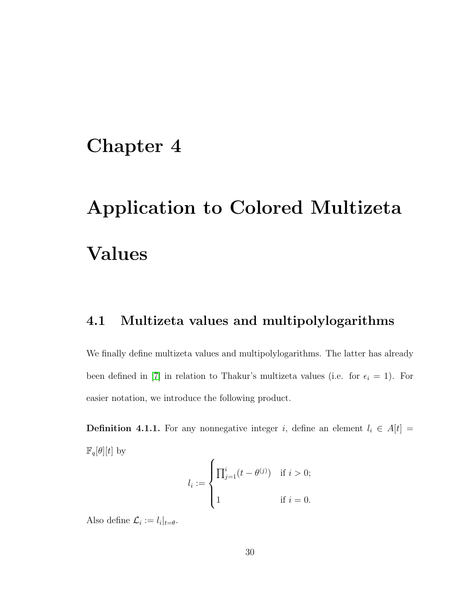# <span id="page-34-0"></span>Chapter 4

# Application to Colored Multizeta Values

## <span id="page-34-1"></span>4.1 Multizeta values and multipolylogarithms

We finally define multizeta values and multipolylogarithms. The latter has already been defined in [\[7\]](#page-80-2) in relation to Thakur's multizeta values (i.e. for  $\epsilon_i = 1$ ). For easier notation, we introduce the following product.

<span id="page-34-2"></span>**Definition 4.1.1.** For any nonnegative integer i, define an element  $l_i \in A[t]$  =  $\mathbb{F}_q[\theta][t]$  by

$$
l_i := \begin{cases} \prod_{j=1}^{i} (t - \theta^{(j)}) & \text{if } i > 0; \\ 1 & \text{if } i = 0. \end{cases}
$$

Also define  $\mathcal{L}_i := l_i|_{t=\theta}$ .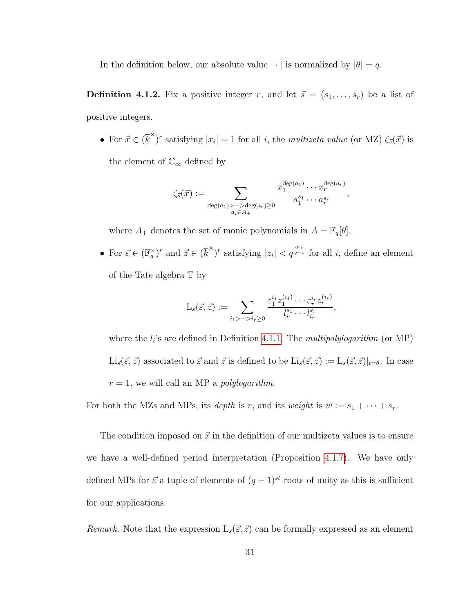In the definition below, our absolute value  $|\cdot|$  is normalized by  $|\theta| = q$ .

<span id="page-35-0"></span>**Definition 4.1.2.** Fix a positive integer r, and let  $\vec{s} = (s_1, \ldots, s_r)$  be a list of positive integers.

• For  $\vec{x} \in (\vec{k}^{\times})^r$  satisfying  $|x_i| = 1$  for all *i*, the *multizeta value* (or MZ)  $\zeta_{\vec{s}}(\vec{x})$  is the element of  $\mathbb{C}_{\infty}$  defined by

$$
\zeta_{\vec{s}}(\vec{x}) := \sum_{\substack{\deg(a_1) > \dots > \deg(a_r) \geq 0 \\ a_i \in A_+}} \frac{x_1^{\deg(a_1)} \cdots x_r^{\deg(a_r)}}{a_1^{s_1} \cdots a_r^{s_r}},
$$

where  $A_+$  denotes the set of monic polynomials in  $A = \mathbb{F}_q[\theta]$ .

• For  $\vec{\varepsilon} \in (\mathbb{F}_q^{\times})^r$  and  $\vec{z} \in (\overline{k}^{\times})^r$  satisfying  $|z_i| < q^{\frac{qs_i}{q-1}}$  for all i, define an element of the Tate algebra T by

$$
L_{\vec{s}}(\vec{\varepsilon},\vec{z}) := \sum_{i_1 > \dots > i_r \geq 0} \frac{\varepsilon_1^{i_1} z_1^{(i_1)} \cdots \varepsilon_r^{i_r} z_r^{(i_r)}}{l_{i_1}^{s_1} \cdots l_{i_r}^{s_r}},
$$

where the  $l_i$ 's are defined in Definition [4.1.1.](#page-34-2) The *multipolylogarithm* (or MP)  $\text{Li}_{\vec{s}}(\vec{\varepsilon}, \vec{z})$  associated to  $\vec{\varepsilon}$  and  $\vec{z}$  is defined to be  $\text{Li}_{\vec{s}}(\vec{\varepsilon}, \vec{z}) := \text{L}_{\vec{s}}(\vec{\varepsilon}, \vec{z})|_{t=\theta}$ . In case  $r = 1$ , we will call an MP a *polylogarithm*.

For both the MZs and MPs, its *depth* is r, and its *weight* is  $w := s_1 + \cdots + s_r$ .

The condition imposed on  $\vec{x}$  in the definition of our multizeta values is to ensure we have a well-defined period interpretation (Proposition [4.1.7\)](#page-40-1). We have only defined MPs for  $\vec{\varepsilon}$  a tuple of elements of  $(q-1)^{st}$  roots of unity as this is sufficient for our applications.

Remark. Note that the expression  $L_{\vec{s}}(\vec{\varepsilon}, \vec{z})$  can be formally expressed as an element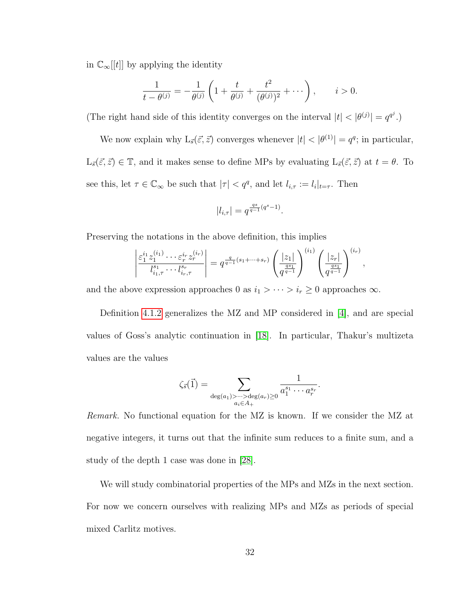in  $\mathbb{C}_{\infty}[[t]]$  by applying the identity

$$
\frac{1}{t - \theta^{(j)}} = -\frac{1}{\theta^{(j)}} \left( 1 + \frac{t}{\theta^{(j)}} + \frac{t^2}{(\theta^{(j)})^2} + \cdots \right), \qquad i > 0.
$$

(The right hand side of this identity converges on the interval  $|t| < |\theta^{(j)}| = q^{q^j}$ .)

We now explain why  $L_{\vec{s}}(\vec{\varepsilon}, \vec{z})$  converges whenever  $|t| < |\theta^{(1)}| = q^q$ ; in particular,  $L_{\vec{s}}(\vec{\varepsilon}, \vec{z}) \in \mathbb{T}$ , and it makes sense to define MPs by evaluating  $L_{\vec{s}}(\vec{\varepsilon}, \vec{z})$  at  $t = \theta$ . To see this, let  $\tau \in \mathbb{C}_{\infty}$  be such that  $|\tau| < q^q$ , and let  $l_{i,\tau} := l_i|_{t=\tau}$ . Then

$$
|l_{i,\tau}| = q^{\frac{qs}{q-1}(q^s - 1)}.
$$

Preserving the notations in the above definition, this implies

$$
\left| \frac{\varepsilon_1^{i_1} z_1^{(i_1)} \cdots \varepsilon_r^{i_r} z_r^{(i_r)}}{l_{i_1,\tau}^{s_1} \cdots l_{i_r,\tau}^{s_r}} \right| = q^{\frac{q}{q-1}(s_1 + \cdots + s_r)} \left( \frac{|z_1|}{q^{\frac{qs_1}{q-1}}} \right)^{(i_1)} \left( \frac{|z_r|}{q^{\frac{qs_1}{q-1}}} \right)^{(i_r)},
$$

and the above expression approaches 0 as  $i_1 > \cdots > i_r \ge 0$  approaches  $\infty$ .

Definition [4.1.2](#page-35-0) generalizes the MZ and MP considered in [\[4\]](#page-79-0), and are special values of Goss's analytic continuation in [\[18\]](#page-81-0). In particular, Thakur's multizeta values are the values

$$
\zeta_{\vec{s}}(\vec{1}) = \sum_{\substack{\deg(a_1) > \dots > \deg(a_r) \geq 0 \\ a_i \in A_+}} \frac{1}{a_1^{s_1} \cdots a_r^{s_r}}.
$$

Remark. No functional equation for the MZ is known. If we consider the MZ at negative integers, it turns out that the infinite sum reduces to a finite sum, and a study of the depth 1 case was done in [\[28\]](#page-82-0).

We will study combinatorial properties of the MPs and MZs in the next section. For now we concern ourselves with realizing MPs and MZs as periods of special mixed Carlitz motives.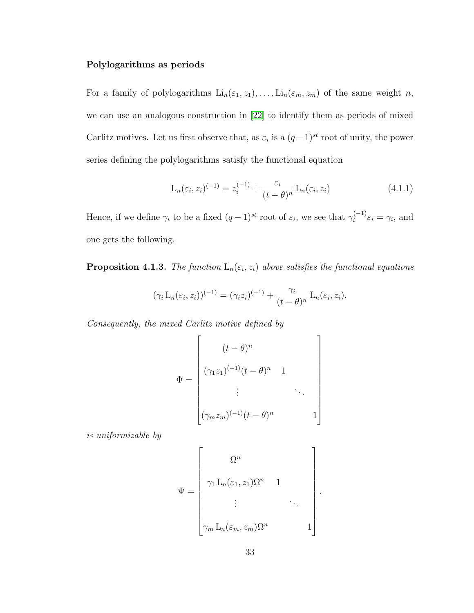### Polylogarithms as periods

For a family of polylogarithms  $\text{Li}_n(\varepsilon_1, z_1), \ldots, \text{Li}_n(\varepsilon_m, z_m)$  of the same weight n, we can use an analogous construction in [\[22\]](#page-81-1) to identify them as periods of mixed Carlitz motives. Let us first observe that, as  $\varepsilon_i$  is a  $(q-1)^{st}$  root of unity, the power series defining the polylogarithms satisfy the functional equation

<span id="page-37-0"></span>
$$
L_n(\varepsilon_i, z_i)^{(-1)} = z_i^{(-1)} + \frac{\varepsilon_i}{(t - \theta)^n} L_n(\varepsilon_i, z_i)
$$
\n(4.1.1)

Hence, if we define  $\gamma_i$  to be a fixed  $(q-1)^{st}$  root of  $\varepsilon_i$ , we see that  $\gamma_i^{(-1)}$  $\hat{\epsilon}_i^{(-1)}\epsilon_i = \gamma_i$ , and one gets the following.

<span id="page-37-1"></span>**Proposition 4.1.3.** The function  $\mathcal{L}_n(\varepsilon_i, z_i)$  above satisfies the functional equations

$$
(\gamma_i \mathcal{L}_n(\varepsilon_i, z_i))^{(-1)} = (\gamma_i z_i)^{(-1)} + \frac{\gamma_i}{(t-\theta)^n} \mathcal{L}_n(\varepsilon_i, z_i).
$$

Consequently, the mixed Carlitz motive defined by

$$
\Phi = \begin{bmatrix} (t - \theta)^n \\ (\gamma_1 z_1)^{(-1)} (t - \theta)^n & 1 \\ \vdots & \ddots \\ (\gamma_m z_m)^{(-1)} (t - \theta)^n & 1 \end{bmatrix}
$$

is uniformizable by

$$
\Psi = \begin{bmatrix} \Omega^n & & & \\ \gamma_1 \mathcal{L}_n(\varepsilon_1, z_1) \Omega^n & 1 & \\ & \vdots & & \ddots \\ \gamma_m \mathcal{L}_n(\varepsilon_m, z_m) \Omega^n & & 1 \end{bmatrix}.
$$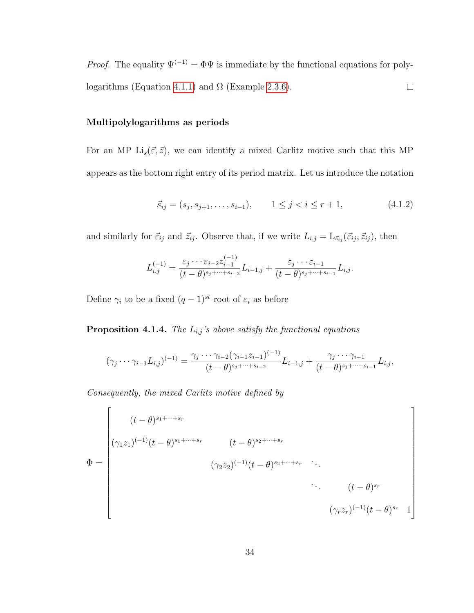*Proof.* The equality  $\Psi^{(-1)} = \Phi \Psi$  is immediate by the functional equations for poly-logarithms (Equation [4.1.1\)](#page-37-0) and  $\Omega$  (Example [2.3.6\)](#page-21-0).  $\Box$ 

#### Multipolylogarithms as periods

For an MP Li<sub>s</sub> $(\vec{\varepsilon}, \vec{z})$ , we can identify a mixed Carlitz motive such that this MP appears as the bottom right entry of its period matrix. Let us introduce the notation

<span id="page-38-0"></span>
$$
\vec{s}_{ij} = (s_j, s_{j+1}, \dots, s_{i-1}), \qquad 1 \le j < i \le r+1,\tag{4.1.2}
$$

and similarly for  $\vec{\varepsilon}_{ij}$  and  $\vec{z}_{ij}$ . Observe that, if we write  $L_{i,j} = L_{\vec{s}_{ij}} (\vec{\varepsilon}_{ij}, \vec{z}_{ij})$ , then

$$
L_{i,j}^{(-1)} = \frac{\varepsilon_j \cdots \varepsilon_{i-2} z_{i-1}^{(-1)}}{(t-\theta)^{s_j+\cdots+s_{i-2}}} L_{i-1,j} + \frac{\varepsilon_j \cdots \varepsilon_{i-1}}{(t-\theta)^{s_j+\cdots+s_{i-1}}} L_{i,j}.
$$

Define  $\gamma_i$  to be a fixed  $(q-1)^{st}$  root of  $\varepsilon_i$  as before

<span id="page-38-1"></span>**Proposition 4.1.4.** The  $L_{i,j}$ 's above satisfy the functional equations

$$
(\gamma_j \cdots \gamma_{i-1} L_{i,j})^{(-1)} = \frac{\gamma_j \cdots \gamma_{i-2} (\gamma_{i-1} z_{i-1})^{(-1)}}{(t-\theta)^{s_j+\cdots+s_{i-2}}} L_{i-1,j} + \frac{\gamma_j \cdots \gamma_{i-1}}{(t-\theta)^{s_j+\cdots+s_{i-1}}} L_{i,j},
$$

Consequently, the mixed Carlitz motive defined by

$$
\Phi = \begin{bmatrix}\n(t - \theta)^{s_1 + \dots + s_r} \\
(\gamma_1 z_1)^{(-1)}(t - \theta)^{s_1 + \dots + s_r} & (t - \theta)^{s_2 + \dots + s_r} \\
(\gamma_2 z_2)^{(-1)}(t - \theta)^{s_2 + \dots + s_r} & \cdots \\
\vdots & \vdots & \ddots \\
(t - \theta)^{s_r} & (\gamma_r z_r)^{(-1)}(t - \theta)^{s_r} & 1\n\end{bmatrix}
$$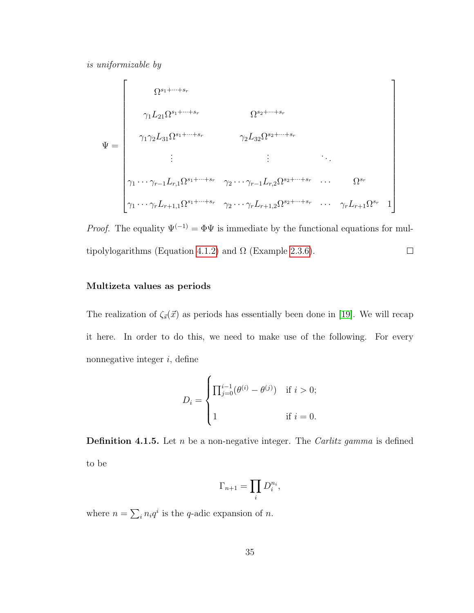is uniformizable by

$$
\Psi = \begin{bmatrix}\n\Omega^{s_1 + \dots + s_r} & \Omega^{s_2 + \dots + s_r} \\
\gamma_1 L_{21} \Omega^{s_1 + \dots + s_r} & \gamma_2 L_{32} \Omega^{s_2 + \dots + s_r} \\
\vdots & \vdots & \ddots \\
\gamma_1 \cdots \gamma_{r-1} L_{r,1} \Omega^{s_1 + \dots + s_r} & \gamma_2 \cdots \gamma_{r-1} L_{r,2} \Omega^{s_2 + \dots + s_r} & \dots & \Omega^{s_r} \\
\gamma_1 \cdots \gamma_r L_{r+1,1} \Omega^{s_1 + \dots + s_r} & \gamma_2 \cdots \gamma_r L_{r+1,2} \Omega^{s_2 + \dots + s_r} & \dots & \gamma_r L_{r+1} \Omega^{s_r} & 1\n\end{bmatrix}
$$

*Proof.* The equality  $\Psi^{(-1)} = \Phi \Psi$  is immediate by the functional equations for mul-tipolylogarithms (Equation [4.1.2\)](#page-38-0) and  $\Omega$  (Example [2.3.6\)](#page-21-0).  $\Box$ 

### Multizeta values as periods

The realization of  $\zeta_{\vec{s}}(\vec{x})$  as periods has essentially been done in [\[19\]](#page-81-2). We will recap it here. In order to do this, we need to make use of the following. For every nonnegative integer  $i$ , define

$$
D_i = \begin{cases} \prod_{j=0}^{i-1} (\theta^{(i)} - \theta^{(j)}) & \text{if } i > 0; \\ 1 & \text{if } i = 0. \end{cases}
$$

**Definition 4.1.5.** Let *n* be a non-negative integer. The *Carlitz gamma* is defined to be

$$
\Gamma_{n+1} = \prod_i D_i^{n_i},
$$

where  $n = \sum_i n_i q^i$  is the q-adic expansion of n.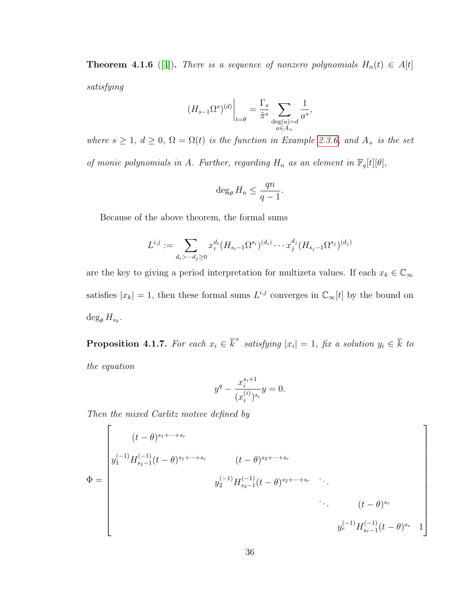<span id="page-40-0"></span>**Theorem 4.1.6** ([\[4\]](#page-79-0)). There is a sequence of nonzero polynomials  $H_n(t) \in A[t]$ satisfying

$$
(H_{s-1}\Omega^s)^{(d)}\bigg|_{t=\theta} = \frac{\Gamma_s}{\tilde{\pi}^s} \sum_{\substack{\deg(a)=d\\ a\in A_+}} \frac{1}{a^s},
$$

where  $s \geq 1$ ,  $d \geq 0$ ,  $\Omega = \Omega(t)$  is the function in Example [2.3.6,](#page-21-0) and  $A_+$  is the set of monic polynomials in A. Further, regarding  $H_n$  as an element in  $\mathbb{F}_q[t][\theta]$ ,

$$
\deg_{\theta} H_n \le \frac{qn}{q-1}.
$$

Because of the above theorem, the formal sums

$$
L^{i,j} := \sum_{d_i > \dotsb d_j \ge 0} x_i^{d_i} (H_{s_i-1} \Omega^{s_i})^{(d_i)} \dotsb x_j^{d_j} (H_{s_j-1} \Omega^{s_j})^{(d_j)}
$$

are the key to giving a period interpretation for multizeta values. If each  $x_k \in \mathbb{C}_{\infty}$ satisfies  $|x_k| = 1$ , then these formal sums  $L^{i,j}$  converges in  $\mathbb{C}_{\infty}[t]$  by the bound on  $\deg_{\theta} H_{s_k}$ .

**Proposition 4.1.7.** For each  $x_i \in \overline{k}^\times$  satisfying  $|x_i| = 1$ , fix a solution  $y_i \in \overline{k}$  to the equation

$$
y^{q} - \frac{x_{i}^{s_{i}+1}}{(x_{i}^{(i)})^{s_{i}}}y = 0.
$$

Then the mixed Carlitz motive defined by

$$
\Phi = \begin{bmatrix}\n(t - \theta)^{s_1 + \dots + s_r} \\
y_1^{(-1)} H_{s_1 - 1}^{(-1)}(t - \theta)^{s_1 + \dots + s_r} & (t - \theta)^{s_2 + \dots + s_r} \\
y_2^{(-1)} H_{s_2 - 1}^{(-1)}(t - \theta)^{s_2 + \dots + s_r} & \ddots \\
\vdots & \ddots & \ddots \\
y_r^{(-1)} H_{s_r - 1}^{(-1)}(t - \theta)^{s_r} & 1\n\end{bmatrix}
$$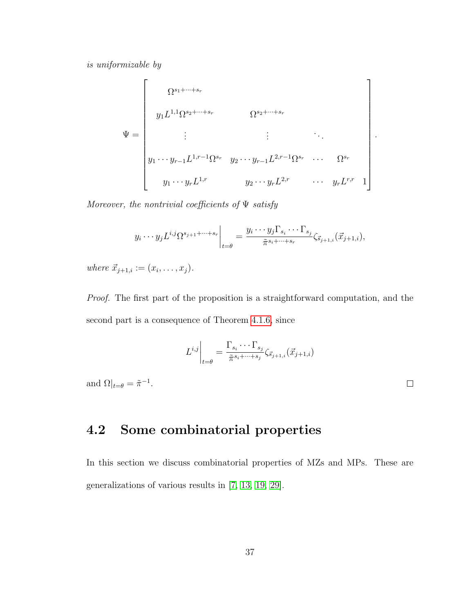is uniformizable by

$$
\Psi = \begin{bmatrix} \Omega^{s_1 + \dots + s_r} & \Omega^{s_2 + \dots + s_r} \\ y_1 L^{1,1} \Omega^{s_2 + \dots + s_r} & \Omega^{s_2 + \dots + s_r} \\ \vdots & \vdots & \ddots \\ y_1 \cdots y_{r-1} L^{1,r-1} \Omega^{s_r} & y_2 \cdots y_{r-1} L^{2,r-1} \Omega^{s_r} & \dots & \Omega^{s_r} \\ y_1 \cdots y_r L^{1,r} & y_2 \cdots y_r L^{2,r} & \dots & y_r L^{r,r} \end{bmatrix}
$$

Moreover, the nontrivial coefficients of  $\Psi$  satisfy

$$
y_i \cdots y_j L^{i,j} \Omega^{s_{j+1}+\cdots+s_r} \bigg|_{t=\theta} = \frac{y_i \cdots y_j \Gamma_{s_i} \cdots \Gamma_{s_j}}{\tilde{\pi}^{s_i+\cdots+s_r}} \zeta_{\vec{s}_{j+1,i}}(\vec{x}_{j+1,i}),
$$

where  $\vec{x}_{j+1,i} := (x_i, \ldots, x_j).$ 

Proof. The first part of the proposition is a straightforward computation, and the second part is a consequence of Theorem [4.1.6,](#page-40-0) since

$$
L^{i,j}\bigg|_{t=\theta} = \frac{\Gamma_{s_i} \cdots \Gamma_{s_j}}{\tilde{\pi}^{s_i + \cdots + s_j}} \zeta_{\vec{s}_{j+1,i}}(\vec{x}_{j+1,i})
$$

and  $\Omega|_{t=\theta} = \tilde{\pi}^{-1}$ .

 $\Box$ 

.

# 4.2 Some combinatorial properties

In this section we discuss combinatorial properties of MZs and MPs. These are generalizations of various results in [\[7,](#page-80-0) [13,](#page-80-1) [19,](#page-81-2) [29\]](#page-82-1).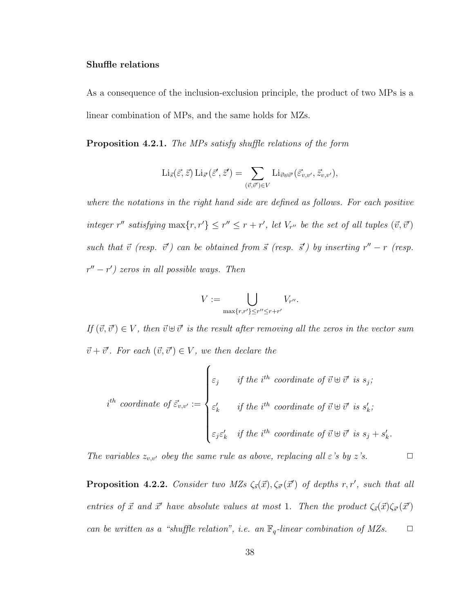### Shuffle relations

As a consequence of the inclusion-exclusion principle, the product of two MPs is a linear combination of MPs, and the same holds for MZs.

Proposition 4.2.1. The MPs satisfy shuffle relations of the form

$$
\mathrm{Li}_{\vec{s}}(\vec{\varepsilon},\vec{z})\,\mathrm{Li}_{\vec{s}'}(\vec{\varepsilon}',\vec{z}') = \sum_{(\vec{v},\vec{v}') \in V} \mathrm{Li}_{\vec{v}\oplus\vec{v}'}(\vec{\varepsilon}_{v,v'},\vec{z}_{v,v'}),
$$

where the notations in the right hand side are defined as follows. For each positive integer r'' satisfying  $\max\{r, r'\} \leq r'' \leq r + r'$ , let  $V_{r''}$  be the set of all tuples  $(\vec{v}, \vec{v}')$ such that  $\vec{v}$  (resp.  $\vec{v}'$ ) can be obtained from  $\vec{s}$  (resp.  $\vec{s}'$ ) by inserting  $r'' - r$  (resp.  $r'' - r'$ ) zeros in all possible ways. Then

$$
V:=\bigcup_{\max\{r,r'\}\leq r''\leq r+r'}V_{r''}.
$$

If  $(\vec{v}, \vec{v}') \in V$ , then  $\vec{v} \oplus \vec{v}'$  is the result after removing all the zeros in the vector sum  $\vec{v} + \vec{v}'$ . For each  $(\vec{v}, \vec{v}') \in V$ , we then declare the

$$
i^{th} \text{ coordinate of } \vec{\varepsilon}_{v,v'} := \begin{cases} \varepsilon_j & \text{if the } i^{th} \text{ coordinate of } \vec{v} \oplus \vec{v}' \text{ is } s_j; \\ \varepsilon_k' & \text{if the } i^{th} \text{ coordinate of } \vec{v} \oplus \vec{v}' \text{ is } s_k; \\ \varepsilon_j \varepsilon_k' & \text{if the } i^{th} \text{ coordinate of } \vec{v} \oplus \vec{v}' \text{ is } s_j + s_k'. \end{cases}
$$

<span id="page-42-0"></span>The variables  $z_{v,v'}$  obey the same rule as above, replacing all  $\varepsilon$ 's by  $z$ 's.  $\Box$ 

**Proposition 4.2.2.** Consider two MZs  $\zeta_{\vec{s}}(\vec{x}), \zeta_{\vec{s}'}(\vec{x}')$  of depths r, r', such that all entries of  $\vec{x}$  and  $\vec{x}'$  have absolute values at most 1. Then the product  $\zeta_{\vec{s}}(\vec{x})\zeta_{\vec{s}'}(\vec{x}')$ can be written as a "shuffle relation", i.e. an  $\mathbb{F}_q$ -linear combination of MZs.  $\Box$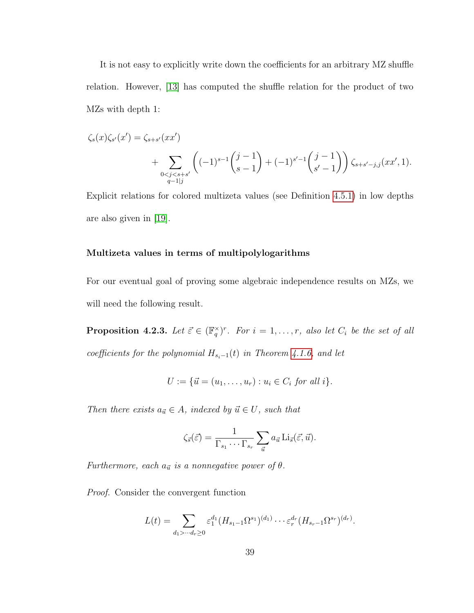It is not easy to explicitly write down the coefficients for an arbitrary MZ shuffle relation. However, [\[13\]](#page-80-1) has computed the shuffle relation for the product of two MZs with depth 1:

$$
\zeta_s(x)\zeta_{s'}(x') = \zeta_{s+s'}(xx') + \sum_{\substack{0 < j < s+s' \\ q-1|j}} \left( (-1)^{s-1} \binom{j-1}{s-1} + (-1)^{s'-1} \binom{j-1}{s'-1} \right) \zeta_{s+s'-j,j}(xx',1).
$$

Explicit relations for colored multizeta values (see Definition [4.5.1\)](#page-57-0) in low depths are also given in [\[19\]](#page-81-2).

### Multizeta values in terms of multipolylogarithms

For our eventual goal of proving some algebraic independence results on MZs, we will need the following result.

<span id="page-43-0"></span>**Proposition 4.2.3.** Let  $\vec{\varepsilon} \in (\mathbb{F}_q^{\times})^r$ . For  $i = 1, \ldots, r$ , also let  $C_i$  be the set of all coefficients for the polynomial  $H_{s_i-1}(t)$  in Theorem [4.1.6,](#page-40-0) and let

$$
U := \{ \vec{u} = (u_1, \dots, u_r) : u_i \in C_i \text{ for all } i \}.
$$

Then there exists  $a_{\vec{u}} \in A$ , indexed by  $\vec{u} \in U$ , such that

$$
\zeta_{\vec{s}}(\vec{\varepsilon}) = \frac{1}{\Gamma_{s_1} \cdots \Gamma_{s_r}} \sum_{\vec{u}} a_{\vec{u}} \operatorname{Li}_{\vec{s}}(\vec{\varepsilon}, \vec{u}).
$$

Furthermore, each  $a_{\vec{u}}$  is a nonnegative power of  $\theta$ .

Proof. Consider the convergent function

$$
L(t) = \sum_{d_1 > \dots < d_r \ge 0} \varepsilon_1^{d_1} (H_{s_1-1} \Omega^{s_1})^{(d_1)} \dots \varepsilon_r^{d_r} (H_{s_r-1} \Omega^{s_r})^{(d_r)}.
$$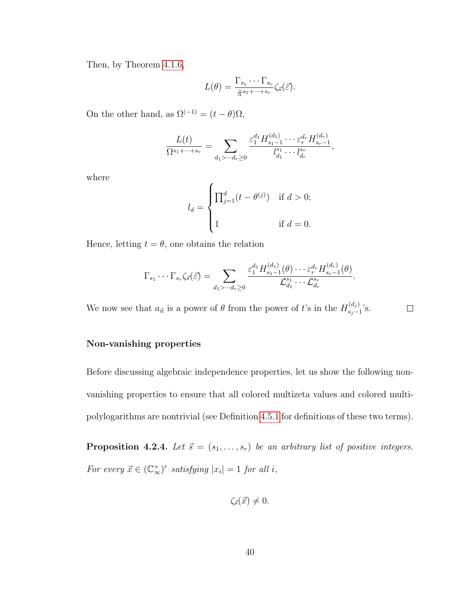Then, by Theorem [4.1.6,](#page-40-0)

$$
L(\theta) = \frac{\Gamma_{s_1} \cdots \Gamma_{s_r}}{\tilde{\pi}^{s_1 + \cdots + s_r}} \zeta_{\tilde{s}}(\tilde{\varepsilon}).
$$

On the other hand, as  $\Omega^{(-1)} = (t - \theta)\Omega$ ,

$$
\frac{L(t)}{\Omega^{s_1+\cdots+s_r}} = \sum_{d_1 > \cdots d_r \ge 0} \frac{\varepsilon_1^{d_1} H_{s_1-1}^{(d_1)} \cdots \varepsilon_r^{d_r} H_{s_r-1}^{(d_r)}}{l_{d_1}^{s_1} \cdots l_{d_r}^{s_r}},
$$

where

$$
l_d = \begin{cases} \prod_{j=1}^d (t - \theta^{(j)}) & \text{if } d > 0; \\ 1 & \text{if } d = 0. \end{cases}
$$

Hence, letting  $t = \theta$ , one obtains the relation

$$
\Gamma_{s_1}\cdots\Gamma_{s_r}\zeta_{\vec{s}}(\vec{\varepsilon})=\sum_{d_1>\cdots d_r\geq 0}\frac{\varepsilon_1^{d_1}H_{s_1-1}^{(d_1)}(\theta)\cdots\varepsilon_r^{d_r}H_{s_r-1}^{(d_r)}(\theta)}{\mathcal{L}_{d_1}^{s_1}\cdots\mathcal{L}_{d_r}^{s_r}}.
$$

We now see that  $a_{\vec{u}}$  is a power of  $\theta$  from the power of t's in the  $H_{s,-}^{(d_j)}$  $\binom{a_j}{s_j-1}$ 's.  $\Box$ 

#### Non-vanishing properties

Before discussing algebraic independence properties, let us show the following nonvanishing properties to ensure that all colored multizeta values and colored multipolylogarithms are nontrivial (see Definition [4.5.1](#page-57-0) for definitions of these two terms).

<span id="page-44-0"></span>**Proposition 4.2.4.** Let  $\vec{s} = (s_1, \ldots, s_r)$  be an arbitrary list of positive integers. For every  $\vec{x} \in (\mathbb{C}_{\infty}^{\times})^r$  satisfying  $|x_i| = 1$  for all i,

$$
\zeta_{\vec{s}}(\vec{x}) \neq 0.
$$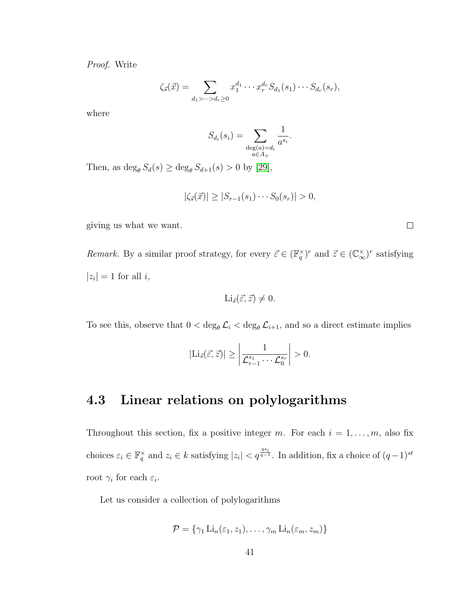Proof. Write

$$
\zeta_{\vec{s}}(\vec{x}) = \sum_{d_1 > \dots > d_r \ge 0} x_1^{d_1} \cdots x_r^{d_r} S_{d_1}(s_1) \cdots S_{d_r}(s_r),
$$

where

$$
S_{d_i}(s_i) = \sum_{\substack{\deg(a) = d_i \\ a \in A_+}} \frac{1}{a^{s_i}}.
$$

Then, as  $\deg_{\theta} S_d(s) \geq \deg_{\theta} S_{d+1}(s) > 0$  by [\[29\]](#page-82-1),

$$
|\zeta_{\vec{s}}(\vec{x})| \geq |S_{r-1}(s_1)\cdots S_0(s_r)| > 0,
$$

giving us what we want.

Remark. By a similar proof strategy, for every  $\vec{\varepsilon} \in (\mathbb{F}_q^{\times})^r$  and  $\vec{z} \in (\mathbb{C}_{\infty}^{\times})^r$  satisfying  $|z_i| = 1$  for all i,

$$
\mathrm{Li}_{\vec{s}}(\vec{\varepsilon},\vec{z})\neq 0.
$$

To see this, observe that  $0 < \deg_{\theta} \mathcal{L}_i < \deg_{\theta} \mathcal{L}_{i+1}$ , and so a direct estimate implies

$$
|\mathrm{Li}_{\vec{s}}(\vec{\varepsilon},\vec{z})| \ge \left| \frac{1}{\mathcal{L}_{r-1}^{s_1} \cdots \mathcal{L}_0^{s_r}} \right| > 0.
$$

# 4.3 Linear relations on polylogarithms

Throughout this section, fix a positive integer m. For each  $i = 1, \ldots, m$ , also fix choices  $\varepsilon_i \in \mathbb{F}_q^{\times}$  and  $z_i \in k$  satisfying  $|z_i| < q^{\frac{qs_i}{q-1}}$ . In addition, fix a choice of  $(q-1)^{st}$ root  $\gamma_i$  for each  $\varepsilon_i$ .

Let us consider a collection of polylogarithms

$$
\mathcal{P} = \{ \gamma_1 \operatorname{Li}_n(\varepsilon_1, z_1), \ldots, \gamma_m \operatorname{Li}_n(\varepsilon_m, z_m) \}
$$

 $\Box$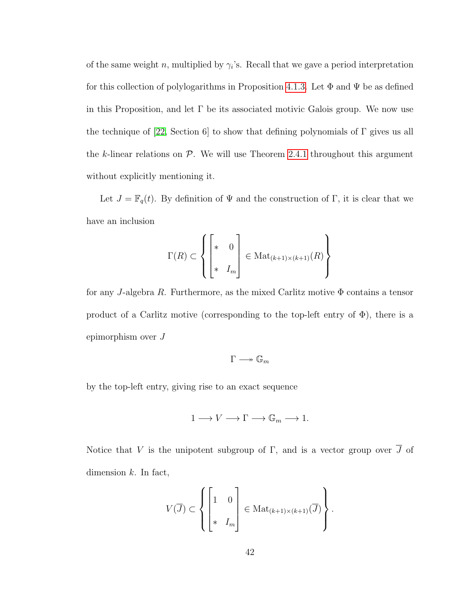of the same weight n, multiplied by  $\gamma_i$ 's. Recall that we gave a period interpretation for this collection of polylogarithms in Proposition [4.1.3.](#page-37-1) Let  $\Phi$  and  $\Psi$  be as defined in this Proposition, and let  $\Gamma$  be its associated motivic Galois group. We now use the technique of [\[22,](#page-81-1) Section 6] to show that defining polynomials of  $\Gamma$  gives us all the k-linear relations on  $P$ . We will use Theorem [2.4.1](#page-24-0) throughout this argument without explicitly mentioning it.

Let  $J = \mathbb{F}_q(t)$ . By definition of  $\Psi$  and the construction of Γ, it is clear that we have an inclusion

$$
\Gamma(R) \subset \left\{ \begin{bmatrix} * & 0 \\ * & I_m \end{bmatrix} \in \text{Mat}_{(k+1)\times (k+1)}(R) \right\}
$$

for any J-algebra R. Furthermore, as the mixed Carlitz motive  $\Phi$  contains a tensor product of a Carlitz motive (corresponding to the top-left entry of  $\Phi$ ), there is a epimorphism over J

$$
\Gamma \longrightarrow \mathbb{G}_m
$$

by the top-left entry, giving rise to an exact sequence

$$
1 \longrightarrow V \longrightarrow \Gamma \longrightarrow \mathbb{G}_m \longrightarrow 1.
$$

Notice that V is the unipotent subgroup of  $\Gamma$ , and is a vector group over  $\overline{J}$  of dimension  $k$ . In fact,

$$
V(\overline{J}) \subset \left\{ \begin{bmatrix} 1 & 0 \\ \ast & I_m \end{bmatrix} \in \text{Mat}_{(k+1)\times (k+1)}(\overline{J}) \right\}.
$$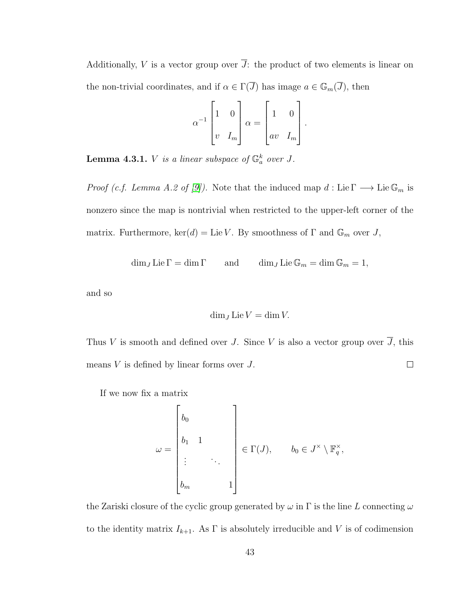Additionally, V is a vector group over  $\overline{J}$ : the product of two elements is linear on the non-trivial coordinates, and if  $\alpha \in \Gamma(\overline{J})$  has image  $a \in \mathbb{G}_m(\overline{J})$ , then

$$
\alpha^{-1} \begin{bmatrix} 1 & 0 \\ v & I_m \end{bmatrix} \alpha = \begin{bmatrix} 1 & 0 \\ av & I_m \end{bmatrix}.
$$

**Lemma 4.3.1.** V is a linear subspace of  $\mathbb{G}_a^k$  over J.

*Proof (c.f. Lemma A.2 of [\[9\]](#page-80-2)).* Note that the induced map  $d : Lie \Gamma \longrightarrow Lie \mathbb{G}_m$  is nonzero since the map is nontrivial when restricted to the upper-left corner of the matrix. Furthermore,  $\ker(d) = \text{Lie } V$ . By smoothness of  $\Gamma$  and  $\mathbb{G}_m$  over J,

 $\dim_J \mathrm{Lie} \Gamma = \dim \Gamma$  and  $\dim_J \mathrm{Lie} \mathbb{G}_m = \dim \mathbb{G}_m = 1$ ,

and so

$$
\dim_J \mathrm{Lie} V = \dim V.
$$

Thus V is smooth and defined over J. Since V is also a vector group over  $\overline{J}$ , this means  $V$  is defined by linear forms over  $J$ .  $\Box$ 

If we now fix a matrix

$$
\omega = \begin{bmatrix} b_0 \\ b_1 & 1 \\ \vdots & \ddots \\ b_m & & 1 \end{bmatrix} \in \Gamma(J), \qquad b_0 \in J^\times \setminus \mathbb{F}_q^\times,
$$

the Zariski closure of the cyclic group generated by  $\omega$  in  $\Gamma$  is the line L connecting  $\omega$ to the identity matrix  $I_{k+1}$ . As  $\Gamma$  is absolutely irreducible and V is of codimension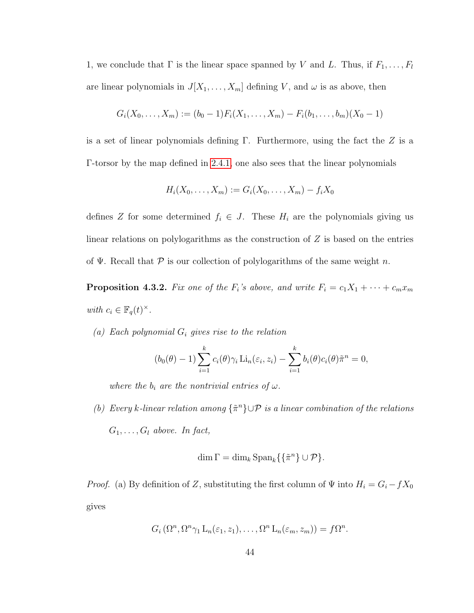1, we conclude that  $\Gamma$  is the linear space spanned by V and L. Thus, if  $F_1, \ldots, F_l$ are linear polynomials in  $J[X_1, \ldots, X_m]$  defining V, and  $\omega$  is as above, then

$$
G_i(X_0,\ldots,X_m) := (b_0-1)F_i(X_1,\ldots,X_m) - F_i(b_1,\ldots,b_m)(X_0-1)
$$

is a set of linear polynomials defining  $\Gamma$ . Furthermore, using the fact the Z is a Γ-torsor by the map defined in [2.4.1,](#page-24-0) one also sees that the linear polynomials

$$
H_i(X_0,\ldots,X_m):=G_i(X_0,\ldots,X_m)-f_iX_0
$$

defines Z for some determined  $f_i \in J$ . These  $H_i$  are the polynomials giving us linear relations on polylogarithms as the construction of  $Z$  is based on the entries of  $\Psi$ . Recall that P is our collection of polylogarithms of the same weight n.

**Proposition 4.3.2.** Fix one of the  $F_i$ 's above, and write  $F_i = c_1X_1 + \cdots + c_mx_m$ with  $c_i \in \mathbb{F}_q(t)^{\times}$ .

(a) Each polynomial  $G_i$  gives rise to the relation

$$
(b_0(\theta) - 1) \sum_{i=1}^k c_i(\theta) \gamma_i \operatorname{Li}_n(\varepsilon_i, z_i) - \sum_{i=1}^k b_i(\theta) c_i(\theta) \tilde{\pi}^n = 0,
$$

where the  $b_i$  are the nontrivial entries of  $\omega$ .

(b) Every k-linear relation among  $\{\tilde{\pi}^n\}\cup \mathcal{P}$  is a linear combination of the relations  $G_1, \ldots, G_l$  above. In fact,

$$
\dim \Gamma = \dim_k \operatorname{Span}_k \{ \{ \tilde{\pi}^n \} \cup \mathcal{P} \}.
$$

*Proof.* (a) By definition of Z, substituting the first column of  $\Psi$  into  $H_i = G_i - fX_0$ gives

$$
G_i(\Omega^n,\Omega^n\gamma_1\mathcal{L}_n(\varepsilon_1,z_1),\ldots,\Omega^n\mathcal{L}_n(\varepsilon_m,z_m))=f\Omega^n.
$$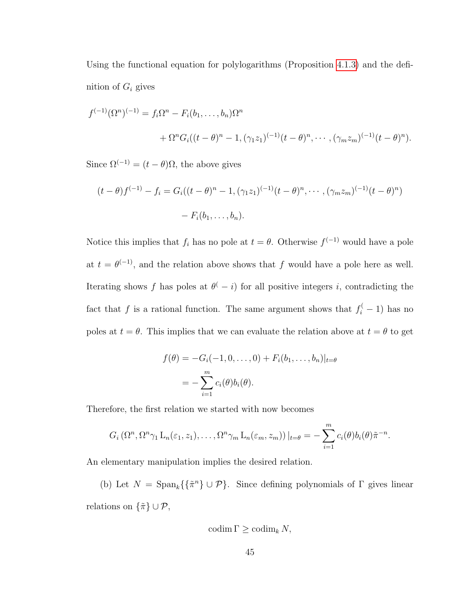Using the functional equation for polylogarithms (Proposition [4.1.3\)](#page-37-1) and the definition of  $G_i$  gives

$$
f^{(-1)}(\Omega^n)^{(-1)} = f_i \Omega^n - F_i(b_1, \dots, b_n) \Omega^n
$$
  
+ 
$$
\Omega^n G_i((t - \theta)^n - 1, (\gamma_1 z_1)^{(-1)}(t - \theta)^n, \dots, (\gamma_m z_m)^{(-1)}(t - \theta)^n).
$$

Since  $\Omega^{(-1)} = (t - \theta)\Omega$ , the above gives

$$
(t - \theta)f^{(-1)} - f_i = G_i((t - \theta)^n - 1, (\gamma_1 z_1)^{(-1)}(t - \theta)^n, \cdots, (\gamma_m z_m)^{(-1)}(t - \theta)^n)
$$

$$
- F_i(b_1, \ldots, b_n).
$$

Notice this implies that  $f_i$  has no pole at  $t = \theta$ . Otherwise  $f^{(-1)}$  would have a pole at  $t = \theta^{(-1)}$ , and the relation above shows that f would have a pole here as well. Iterating shows f has poles at  $\theta(-i)$  for all positive integers i, contradicting the fact that f is a rational function. The same argument shows that  $f_i^(-1)$  has no poles at  $t = \theta$ . This implies that we can evaluate the relation above at  $t = \theta$  to get

$$
f(\theta) = -G_i(-1, 0, ..., 0) + F_i(b_1, ..., b_n)|_{t=\theta}
$$
  
= 
$$
-\sum_{i=1}^m c_i(\theta)b_i(\theta).
$$

Therefore, the first relation we started with now becomes

$$
G_i\left(\Omega^n,\Omega^n\gamma_1\mathop{\rm L}_n(\varepsilon_1,z_1),\ldots,\Omega^n\gamma_m\mathop{\rm L}_n(\varepsilon_m,z_m)\right)|_{t=\theta}=-\sum_{i=1}^m c_i(\theta)b_i(\theta)\tilde{\pi}^{-n}.
$$

An elementary manipulation implies the desired relation.

(b) Let  $N = \text{Span}_k\{\{\tilde{\pi}^n\} \cup \mathcal{P}\}\$ . Since defining polynomials of  $\Gamma$  gives linear relations on  $\{\tilde{\pi}\} \cup \mathcal{P}$ ,

$$
\mathrm{codim}\,\Gamma\geq\mathrm{codim}_k\,N,
$$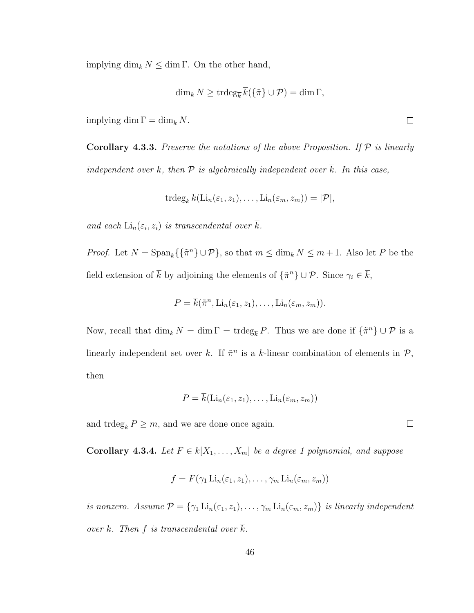implying  $\dim_k N \leq \dim \Gamma$ . On the other hand,

$$
\dim_k N \geq \operatorname{trdeg}_{\overline{k}} \overline{k}(\{\tilde{\pi}\} \cup \mathcal{P}) = \dim \Gamma,
$$

implying dim  $\Gamma = \dim_k N$ .

**Corollary 4.3.3.** Preserve the notations of the above Proposition. If  $P$  is linearly independent over k, then  $P$  is algebraically independent over  $\overline{k}$ . In this case,

$$
\operatorname{trdeg}_{\overline{k}} \overline{k}(\operatorname{Li}_n(\varepsilon_1, z_1), \dots, \operatorname{Li}_n(\varepsilon_m, z_m)) = |\mathcal{P}|,
$$

and each  $\text{Li}_n(\varepsilon_i, z_i)$  is transcendental over k.

*Proof.* Let  $N = \text{Span}_k\{\{\tilde{\pi}^n\} \cup \mathcal{P}\}\$ , so that  $m \leq \dim_k N \leq m+1$ . Also let P be the field extension of  $\bar{k}$  by adjoining the elements of  $\{\tilde{\pi}^n\} \cup \mathcal{P}$ . Since  $\gamma_i \in \bar{k}$ ,

$$
P = \overline{k}(\tilde{\pi}^n, \mathrm{Li}_n(\varepsilon_1, z_1), \ldots, \mathrm{Li}_n(\varepsilon_m, z_m)).
$$

Now, recall that  $\dim_k N = \dim \Gamma = \text{trdeg}_{\overline{k}} P$ . Thus we are done if  $\{\tilde{\pi}^n\} \cup \mathcal{P}$  is a linearly independent set over k. If  $\tilde{\pi}^n$  is a k-linear combination of elements in  $\mathcal{P}$ , then

$$
P = k(\mathrm{Li}_n(\varepsilon_1, z_1), \dots, \mathrm{Li}_n(\varepsilon_m, z_m))
$$

<span id="page-50-0"></span>and  $\text{trdeg}_{\overline{k}}\,P\geq m,$  and we are done once again.

Corollary 4.3.4. Let  $F \in \overline{k}[X_1, \ldots, X_m]$  be a degree 1 polynomial, and suppose

$$
f = F(\gamma_1 \operatorname{Li}_n(\varepsilon_1, z_1), \dots, \gamma_m \operatorname{Li}_n(\varepsilon_m, z_m))
$$

is nonzero. Assume  $P = \{ \gamma_1 \text{Li}_n(\varepsilon_1, z_1), \dots, \gamma_m \text{Li}_n(\varepsilon_m, z_m) \}$  is linearly independent over k. Then f is transcendental over  $\overline{k}$ .

 $\Box$ 

 $\Box$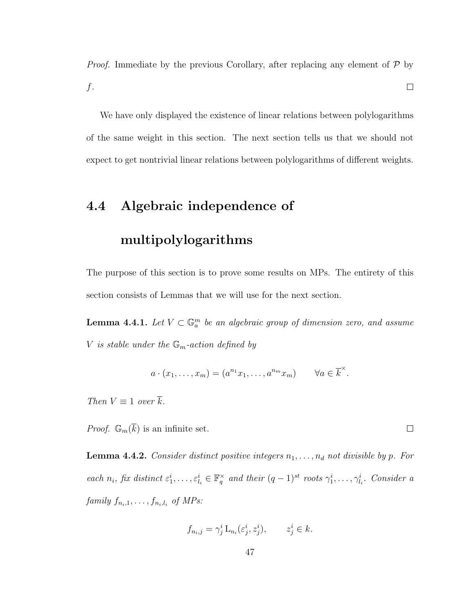*Proof.* Immediate by the previous Corollary, after replacing any element of  $\mathcal{P}$  by  $\Box$  $f$ .

We have only displayed the existence of linear relations between polylogarithms of the same weight in this section. The next section tells us that we should not expect to get nontrivial linear relations between polylogarithms of different weights.

## 4.4 Algebraic independence of

### multipolylogarithms

The purpose of this section is to prove some results on MPs. The entirety of this section consists of Lemmas that we will use for the next section.

<span id="page-51-0"></span>**Lemma 4.4.1.** Let  $V \subset \mathbb{G}_a^m$  be an algebraic group of dimension zero, and assume V is stable under the  $\mathbb{G}_m$ -action defined by

$$
a \cdot (x_1, \ldots, x_m) = (a^{n_1} x_1, \ldots, a^{n_m} x_m) \qquad \forall a \in \overline{k}^{\times}.
$$

Then  $V \equiv 1$  over  $\overline{k}$ .

<span id="page-51-1"></span>*Proof.*  $\mathbb{G}_m(\overline{k})$  is an infinite set.

**Lemma 4.4.2.** Consider distinct positive integers  $n_1, \ldots, n_d$  not divisible by p. For each  $n_i$ , fix distinct  $\varepsilon_1^i, \ldots, \varepsilon_{l_i}^i \in \mathbb{F}_q^\times$  and their  $(q-1)^{st}$  roots  $\gamma_1^i, \ldots, \gamma_{l_i}^i$ . Consider a family  $f_{n_i,1}, \ldots, f_{n_i,l_i}$  of MPs:

$$
f_{n_i,j} = \gamma_j^i \mathcal{L}_{n_i}(\varepsilon_j^i, z_j^i), \qquad z_j^i \in k.
$$

 $\Box$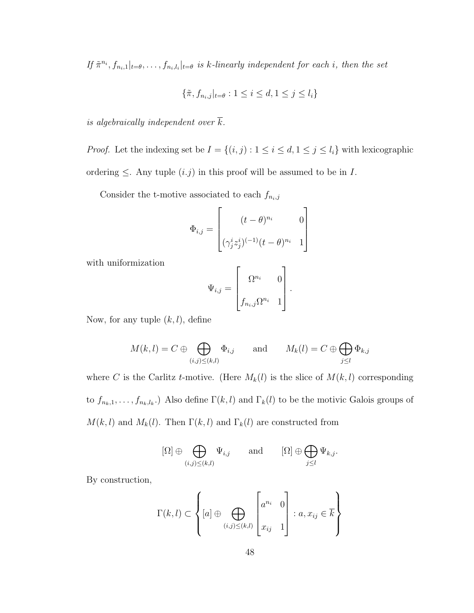If  $\tilde{\pi}^{n_i}, f_{n_i,1}|_{t=\theta}, \ldots, f_{n_i,l_i}|_{t=\theta}$  is k-linearly independent for each i, then the set

$$
\{\tilde{\pi}, f_{n_i,j}|_{t=\theta} : 1 \le i \le d, 1 \le j \le l_i\}
$$

is algebraically independent over  $\overline{k}$ .

*Proof.* Let the indexing set be  $I = \{(i, j) : 1 \le i \le d, 1 \le j \le l_i\}$  with lexicographic ordering  $\leq$ . Any tuple  $(i.j)$  in this proof will be assumed to be in *I*.

Consider the t-motive associated to each  $f_{n_i,j}$ 

$$
\Phi_{i,j} = \begin{bmatrix} (t-\theta)^{n_i} & 0 \\ (\gamma_j^i z_j^i)^{(-1)} (t-\theta)^{n_i} & 1 \end{bmatrix}
$$

with uniformization

$$
\Psi_{i,j} = \begin{bmatrix} \Omega^{n_i} & 0 \\ f_{n_i,j} \Omega^{n_i} & 1 \end{bmatrix}.
$$

Now, for any tuple  $(k, l)$ , define

$$
M(k, l) = C \oplus \bigoplus_{(i,j)\leq (k,l)} \Phi_{i,j}
$$
 and  $M_k(l) = C \oplus \bigoplus_{j\leq l} \Phi_{k,j}$ 

where C is the Carlitz t-motive. (Here  $M_k(l)$  is the slice of  $M(k, l)$  corresponding to  $f_{n_k,1},\ldots,f_{n_k,l_k}$ .) Also define  $\Gamma(k,l)$  and  $\Gamma_k(l)$  to be the motivic Galois groups of  $M(k, l)$  and  $M_k(l)$ . Then  $\Gamma(k, l)$  and  $\Gamma_k(l)$  are constructed from

$$
[\Omega] \oplus \bigoplus_{(i,j)\leq (k,l)} \Psi_{i,j} \quad \text{and} \quad [\Omega] \oplus \bigoplus_{j\leq l} \Psi_{k,j}.
$$

By construction,

$$
\Gamma(k,l) \subset \left\{ [a] \oplus \bigoplus_{(i,j)\leq (k,l)} \begin{bmatrix} a^{n_i} & 0 \\ x_{ij} & 1 \end{bmatrix} : a, x_{ij} \in \overline{k} \right\}
$$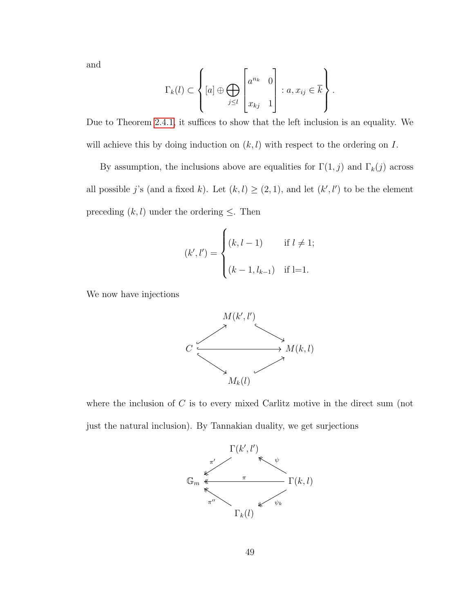and

$$
\Gamma_k(l) \subset \left\{ [a] \oplus \bigoplus_{j \leq l} \begin{bmatrix} a^{n_k} & 0 \\ x_{kj} & 1 \end{bmatrix} : a, x_{ij} \in \overline{k} \right\}.
$$

Due to Theorem [2.4.1,](#page-24-0) it suffices to show that the left inclusion is an equality. We will achieve this by doing induction on  $(k, l)$  with respect to the ordering on I.

By assumption, the inclusions above are equalities for  $\Gamma(1, j)$  and  $\Gamma_k(j)$  across all possible j's (and a fixed k). Let  $(k, l) \geq (2, 1)$ , and let  $(k', l')$  to be the element preceding  $(k, l)$  under the ordering  $\leq$ . Then

$$
(k', l') = \begin{cases} (k, l-1) & \text{if } l \neq 1; \\ (k-1, l_{k-1}) & \text{if } l=1. \end{cases}
$$

We now have injections



where the inclusion of  $C$  is to every mixed Carlitz motive in the direct sum (not just the natural inclusion). By Tannakian duality, we get surjections

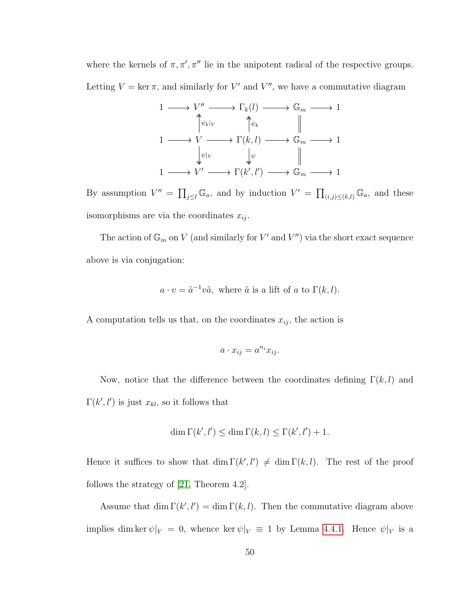where the kernels of  $\pi, \pi', \pi''$  lie in the unipotent radical of the respective groups. Letting  $V = \ker \pi$ , and similarly for V' and V'', we have a commutative diagram



By assumption  $V'' = \prod_{j\leq l} \mathbb{G}_a$ , and by induction  $V' = \prod_{(i,j)\leq (k,l)} \mathbb{G}_a$ , and these isomorphisms are via the coordinates  $x_{ij}$ .

The action of  $\mathbb{G}_m$  on V (and similarly for V' and V'') via the short exact sequence above is via conjugation:

$$
a \cdot v = \tilde{a}^{-1}v\tilde{a}
$$
, where  $\tilde{a}$  is a lift of a to  $\Gamma(k, l)$ .

A computation tells us that, on the coordinates  $x_{ij}$ , the action is

$$
a \cdot x_{ij} = a^{n_i} x_{ij}.
$$

Now, notice that the difference between the coordinates defining  $\Gamma(k, l)$  and  $\Gamma(k', l')$  is just  $x_{kl}$ , so it follows that

$$
\dim \Gamma(k', l') \le \dim \Gamma(k, l) \le \Gamma(k', l') + 1.
$$

Hence it suffices to show that  $\dim \Gamma(k', l') \neq \dim \Gamma(k, l)$ . The rest of the proof follows the strategy of [\[21,](#page-81-3) Theorem 4.2].

Assume that  $\dim \Gamma(k', l') = \dim \Gamma(k, l)$ . Then the commutative diagram above implies dim ker  $\psi|_V = 0$ , whence ker  $\psi|_V \equiv 1$  by Lemma [4.4.1.](#page-51-0) Hence  $\psi|_V$  is a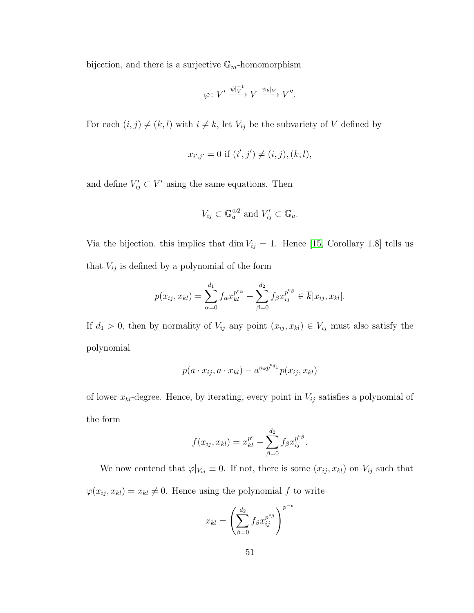bijection, and there is a surjective  $\mathbb{G}_m$ -homomorphism

$$
\varphi\colon V'\xrightarrow{\psi|_V^{-1}} V\xrightarrow{\psi_k|_V} V''.
$$

For each  $(i, j) \neq (k, l)$  with  $i \neq k$ , let  $V_{ij}$  be the subvariety of V defined by

$$
x_{i',j'} = 0 \text{ if } (i',j') \neq (i,j), (k,l),
$$

and define  $V'_{ij} \subset V'$  using the same equations. Then

$$
V_{ij} \subset \mathbb{G}_a^{\oplus 2} \text{ and } V'_{ij} \subset \mathbb{G}_a.
$$

Via the bijection, this implies that dim  $V_{ij} = 1$ . Hence [\[15,](#page-81-4) Corollary 1.8] tells us that  $V_{ij}$  is defined by a polynomial of the form

$$
p(x_{ij}, x_{kl}) = \sum_{\alpha=0}^{d_1} f_{\alpha} x_{kl}^{p^{e_{\alpha}}} - \sum_{\beta=0}^{d_2} f_{\beta} x_{ij}^{p^{e_{\beta}}} \in \overline{k}[x_{ij}, x_{kl}].
$$

If  $d_1 > 0$ , then by normality of  $V_{ij}$  any point  $(x_{ij}, x_{kl}) \in V_{ij}$  must also satisfy the polynomial

$$
p(a \cdot x_{ij}, a \cdot x_{kl}) - a^{n_k p^{e_{d_1}}} p(x_{ij}, x_{kl})
$$

of lower  $x_{kl}$ -degree. Hence, by iterating, every point in  $V_{ij}$  satisfies a polynomial of the form

$$
f(x_{ij}, x_{kl}) = x_{kl}^{p^e} - \sum_{\beta=0}^{d_2} f_{\beta} x_{ij}^{p^{e_{\beta}}}
$$

We now contend that  $\varphi|_{V_{ij}} \equiv 0$ . If not, there is some  $(x_{ij}, x_{kl})$  on  $V_{ij}$  such that  $\varphi(x_{ij}, x_{kl}) = x_{kl} \neq 0$ . Hence using the polynomial f to write

$$
x_{kl} = \left(\sum_{\beta=0}^{d_2} f_{\beta} x_{ij}^{p^{e_{\beta}}}\right)^{p^{-e}}
$$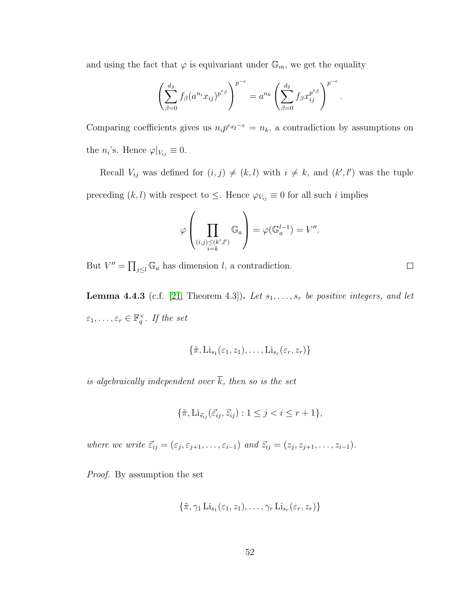and using the fact that  $\varphi$  is equivariant under  $\mathbb{G}_m$ , we get the equality

$$
\left(\sum_{\beta=0}^{d_2} f_{\beta}(a^{n_i}x_{ij})^{p^{e_{\beta}}}\right)^{p^{-e}} = a^{n_k} \left(\sum_{\beta=0}^{d_2} f_{\beta} x_{ij}^{p^{e_{\beta}}}\right)^{p^{-e}}.
$$

Comparing coefficients gives us  $n_i p^{e_{d_2}-e} = n_k$ , a contradiction by assumptions on the  $n_i$ 's. Hence  $\varphi|_{V_{ij}} \equiv 0$ .

Recall  $V_{ij}$  was defined for  $(i, j) \neq (k, l)$  with  $i \neq k$ , and  $(k', l')$  was the tuple preceding  $(k, l)$  with respect to  $\leq$ . Hence  $\varphi_{V_{ij}} \equiv 0$  for all such i implies

$$
\varphi\left(\prod_{\substack{(i,j)\leq (k',l')\\i=k}}\mathbb{G}_a\right)=\varphi(\mathbb{G}_a^{l-1})=V''.
$$

But  $V'' = \prod_{j \leq l} \mathbb{G}_a$  has dimension l, a contradiction.

<span id="page-56-0"></span>**Lemma 4.4.3** (c.f. [\[21,](#page-81-3) Theorem 4.3]). Let  $s_1, \ldots, s_r$  be positive integers, and let  $\varepsilon_1,\ldots,\varepsilon_r\in\mathbb{F}_q^\times$ . If the set

$$
\{\tilde{\pi},\mathrm{Li}_{s_1}(\varepsilon_1,z_1),\ldots,\mathrm{Li}_{s_r}(\varepsilon_r,z_r)\}\
$$

is algebraically independent over  $\overline{k}$ , then so is the set

$$
\{\tilde{\pi}, \mathrm{Li}_{\vec{s}_{ij}}(\vec{\varepsilon}_{ij}, \vec{z}_{ij}): 1 \le j < i \le r+1\},\
$$

where we write  $\vec{\varepsilon}_{ij} = (\varepsilon_j, \varepsilon_{j+1}, \dots, \varepsilon_{i-1})$  and  $\vec{z}_{ij} = (z_j, z_{j+1}, \dots, z_{i-1}).$ 

Proof. By assumption the set

$$
\{\tilde{\pi}, \gamma_1 \operatorname{Li}_{s_1}(\varepsilon_1, z_1), \ldots, \gamma_r \operatorname{Li}_{s_r}(\varepsilon_r, z_r)\}
$$

 $\Box$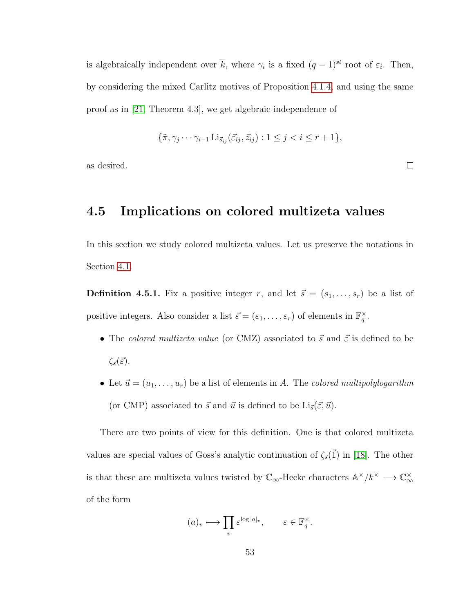is algebraically independent over  $\bar{k}$ , where  $\gamma_i$  is a fixed  $(q-1)^{st}$  root of  $\varepsilon_i$ . Then, by considering the mixed Carlitz motives of Proposition [4.1.4,](#page-38-1) and using the same proof as in [\[21,](#page-81-3) Theorem 4.3], we get algebraic independence of

$$
\{\tilde{\pi}, \gamma_j \cdots \gamma_{i-1} \operatorname{Li}_{\vec{s}_{ij}}(\vec{\varepsilon}_{ij}, \vec{z}_{ij}) : 1 \le j < i \le r+1\},\
$$

as desired.

### 4.5 Implications on colored multizeta values

In this section we study colored multizeta values. Let us preserve the notations in Section [4.1.](#page-34-0)

<span id="page-57-0"></span>**Definition 4.5.1.** Fix a positive integer r, and let  $\vec{s} = (s_1, \ldots, s_r)$  be a list of positive integers. Also consider a list  $\vec{\varepsilon} = (\varepsilon_1, \dots, \varepsilon_r)$  of elements in  $\mathbb{F}_q^{\times}$ .

- The colored multizeta value (or CMZ) associated to  $\vec{s}$  and  $\vec{\varepsilon}$  is defined to be  $\zeta_{\vec{s}}(\vec{\varepsilon}).$
- Let  $\vec{u} = (u_1, \ldots, u_r)$  be a list of elements in A. The colored multipolylogarithm (or CMP) associated to  $\vec{s}$  and  $\vec{u}$  is defined to be  $\text{Li}_{\vec{s}}(\vec{\varepsilon}, \vec{u})$ .

There are two points of view for this definition. One is that colored multizeta values are special values of Goss's analytic continuation of  $\zeta_{\vec{s}}(\vec{1})$  in [\[18\]](#page-81-0). The other is that these are multizeta values twisted by  $\mathbb{C}_{\infty}$ -Hecke characters  $\mathbb{A}^{\times}/k^{\times} \longrightarrow \mathbb{C}_{\infty}^{\times}$ of the form

$$
(a)_v \longmapsto \prod_v \varepsilon^{\log |a|_v}, \qquad \varepsilon \in \mathbb{F}_q^{\times}.
$$

 $\Box$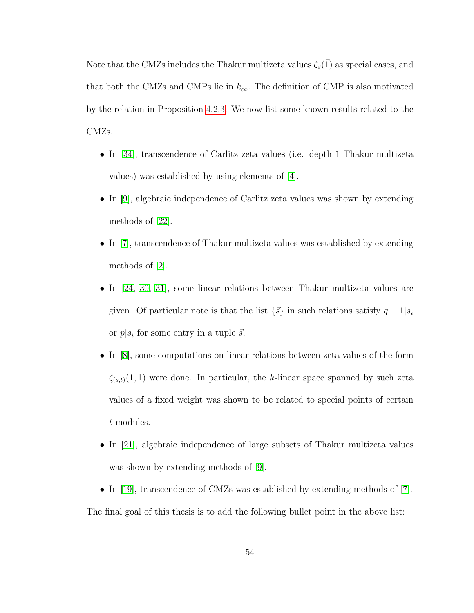Note that the CMZs includes the Thakur multizeta values  $\zeta_{\vec{s}}(\vec{1})$  as special cases, and that both the CMZs and CMPs lie in  $k_{\infty}$ . The definition of CMP is also motivated by the relation in Proposition [4.2.3.](#page-43-0) We now list some known results related to the CMZs.

- In [\[34\]](#page-83-0), transcendence of Carlitz zeta values (i.e. depth 1 Thakur multizeta values) was established by using elements of [\[4\]](#page-79-0).
- In [\[9\]](#page-80-2), algebraic independence of Carlitz zeta values was shown by extending methods of [\[22\]](#page-81-1).
- In [\[7\]](#page-80-0), transcendence of Thakur multizeta values was established by extending methods of [\[2\]](#page-79-1).
- In [\[24,](#page-82-2) [30,](#page-82-3) [31\]](#page-82-4), some linear relations between Thakur multizeta values are given. Of particular note is that the list  $\{\vec{s}\}\$ in such relations satisfy  $q-1|s_i$ or  $p|s_i$  for some entry in a tuple  $\vec{s}$ .
- In [\[8\]](#page-80-3), some computations on linear relations between zeta values of the form  $\zeta_{(s,t)}(1,1)$  were done. In particular, the k-linear space spanned by such zeta values of a fixed weight was shown to be related to special points of certain t-modules.
- In [\[21\]](#page-81-3), algebraic independence of large subsets of Thakur multizeta values was shown by extending methods of [\[9\]](#page-80-2).
- In [\[19\]](#page-81-2), transcendence of CMZs was established by extending methods of [\[7\]](#page-80-0).

The final goal of this thesis is to add the following bullet point in the above list: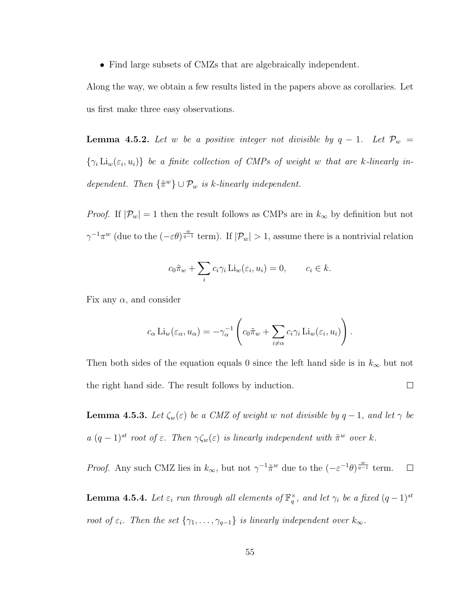• Find large subsets of CMZs that are algebraically independent.

Along the way, we obtain a few results listed in the papers above as corollaries. Let us first make three easy observations.

<span id="page-59-0"></span>**Lemma 4.5.2.** Let w be a positive integer not divisible by  $q - 1$ . Let  $\mathcal{P}_w$  =  $\{\gamma_i \operatorname{Li}_w(\varepsilon_i, u_i)\}\;$  be a finite collection of CMPs of weight w that are k-linearly independent. Then  $\{\tilde{\pi}^w\} \cup \mathcal{P}_w$  is k-linearly independent.

*Proof.* If  $|\mathcal{P}_w| = 1$  then the result follows as CMPs are in  $k_{\infty}$  by definition but not  $\gamma^{-1}\pi^w$  (due to the  $(-\varepsilon\theta)^{\frac{w}{q-1}}$  term). If  $|\mathcal{P}_w|>1$ , assume there is a nontrivial relation

$$
c_0 \tilde{\pi}_w + \sum_i c_i \gamma_i \operatorname{Li}_w(\varepsilon_i, u_i) = 0, \qquad c_i \in k.
$$

Fix any  $\alpha$ , and consider

$$
c_{\alpha} \operatorname{Li}_{w}(\varepsilon_{\alpha}, u_{\alpha}) = -\gamma_{\alpha}^{-1} \left( c_{0} \tilde{\pi}_{w} + \sum_{i \neq \alpha} c_{i} \gamma_{i} \operatorname{Li}_{w}(\varepsilon_{i}, u_{i}) \right).
$$

Then both sides of the equation equals 0 since the left hand side is in  $k_{\infty}$  but not the right hand side. The result follows by induction.  $\Box$ 

**Lemma 4.5.3.** Let  $\zeta_w(\varepsilon)$  be a CMZ of weight w not divisible by  $q-1$ , and let  $\gamma$  be  $a (q-1)^{st}$  root of  $\varepsilon$ . Then  $\gamma \zeta_w(\varepsilon)$  is linearly independent with  $\tilde{\pi}^w$  over k.

*Proof.* Any such CMZ lies in  $k_{\infty}$ , but not  $\gamma^{-1} \tilde{\pi}^w$  due to the  $(-\varepsilon^{-1} \theta)^{\frac{w}{q-1}}$  term.  $\Box$ 

<span id="page-59-1"></span>**Lemma 4.5.4.** Let  $\varepsilon_i$  run through all elements of  $\mathbb{F}_q^{\times}$ , and let  $\gamma_i$  be a fixed  $(q-1)^{st}$ root of  $\varepsilon_i$ . Then the set  $\{\gamma_1, \ldots, \gamma_{q-1}\}$  is linearly independent over  $k_{\infty}$ .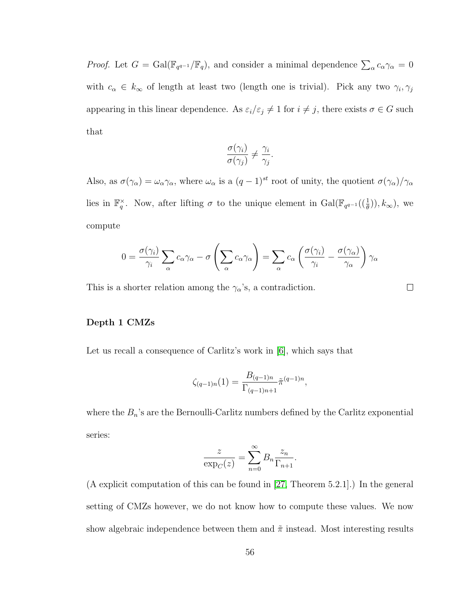*Proof.* Let  $G = \text{Gal}(\mathbb{F}_{q^{q-1}}/\mathbb{F}_q)$ , and consider a minimal dependence  $\sum_{\alpha} c_{\alpha} \gamma_{\alpha} = 0$ with  $c_{\alpha} \in k_{\infty}$  of length at least two (length one is trivial). Pick any two  $\gamma_i, \gamma_j$ appearing in this linear dependence. As  $\varepsilon_i/\varepsilon_j \neq 1$  for  $i \neq j$ , there exists  $\sigma \in G$  such that

$$
\frac{\sigma(\gamma_i)}{\sigma(\gamma_j)} \neq \frac{\gamma_i}{\gamma_j}
$$

.

 $\Box$ 

Also, as  $\sigma(\gamma_\alpha) = \omega_\alpha \gamma_\alpha$ , where  $\omega_\alpha$  is a  $(q-1)^{st}$  root of unity, the quotient  $\sigma(\gamma_\alpha)/\gamma_\alpha$ lies in  $\mathbb{F}_q^{\times}$ . Now, after lifting  $\sigma$  to the unique element in  $Gal(\mathbb{F}_{q^{q-1}}(\frac{1}{\theta})), k_{\infty})$ , we compute

$$
0 = \frac{\sigma(\gamma_i)}{\gamma_i} \sum_{\alpha} c_{\alpha} \gamma_{\alpha} - \sigma \left( \sum_{\alpha} c_{\alpha} \gamma_{\alpha} \right) = \sum_{\alpha} c_{\alpha} \left( \frac{\sigma(\gamma_i)}{\gamma_i} - \frac{\sigma(\gamma_{\alpha})}{\gamma_{\alpha}} \right) \gamma_{\alpha}
$$

This is a shorter relation among the  $\gamma_{\alpha}$ 's, a contradiction.

Depth 1 CMZs

Let us recall a consequence of Carlitz's work in [\[6\]](#page-79-2), which says that

$$
\zeta_{(q-1)n}(1) = \frac{B_{(q-1)n}}{\Gamma_{(q-1)n+1}} \tilde{\pi}^{(q-1)n},
$$

where the  $B_n$ 's are the Bernoulli-Carlitz numbers defined by the Carlitz exponential series:

$$
\frac{z}{\exp_C(z)} = \sum_{n=0}^{\infty} B_n \frac{z_n}{\Gamma_{n+1}}.
$$

(A explicit computation of this can be found in [\[27,](#page-82-5) Theorem 5.2.1].) In the general setting of CMZs however, we do not know how to compute these values. We now show algebraic independence between them and  $\tilde{\pi}$  instead. Most interesting results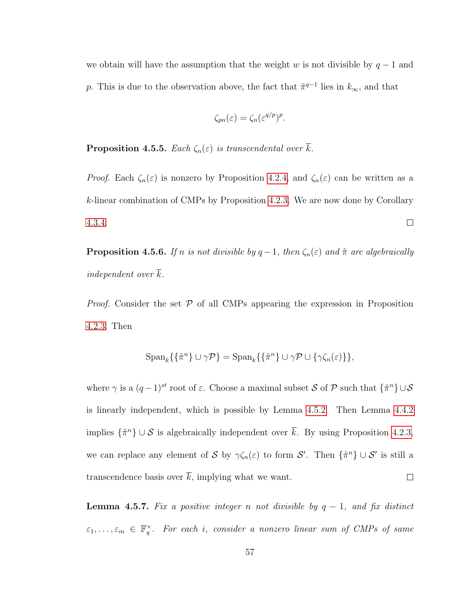we obtain will have the assumption that the weight w is not divisible by  $q-1$  and p. This is due to the observation above, the fact that  $\tilde{\pi}^{q-1}$  lies in  $k_{\infty}$ , and that

$$
\zeta_{pn}(\varepsilon) = \zeta_n(\varepsilon^{q/p})^p.
$$

**Proposition 4.5.5.** Each  $\zeta_n(\varepsilon)$  is transcendental over  $\overline{k}$ .

*Proof.* Each  $\zeta_n(\varepsilon)$  is nonzero by Proposition [4.2.4,](#page-44-0) and  $\zeta_n(\varepsilon)$  can be written as a k-linear combination of CMPs by Proposition [4.2.3.](#page-43-0) We are now done by Corollary [4.3.4.](#page-50-0)  $\Box$ 

**Proposition 4.5.6.** If n is not divisible by  $q-1$ , then  $\zeta_n(\varepsilon)$  and  $\tilde{\pi}$  are algebraically independent over k.

*Proof.* Consider the set  $P$  of all CMPs appearing the expression in Proposition [4.2.3.](#page-43-0) Then

$$
\operatorname{Span}_k\{\{\tilde{\pi}^n\}\cup\gamma\mathcal{P}\}=\operatorname{Span}_k\{\{\tilde{\pi}^n\}\cup\gamma\mathcal{P}\cup\{\gamma\zeta_n(\varepsilon)\}\},\
$$

where  $\gamma$  is a  $(q-1)^{st}$  root of  $\varepsilon$ . Choose a maximal subset S of P such that  $\{\tilde{\pi}^n\}\cup\mathcal{S}$ is linearly independent, which is possible by Lemma [4.5.2.](#page-59-0) Then Lemma [4.4.2](#page-51-1) implies  $\{\tilde{\pi}^n\} \cup \mathcal{S}$  is algebraically independent over  $\bar{k}$ . By using Proposition [4.2.3,](#page-43-0) we can replace any element of S by  $\gamma \zeta_n(\varepsilon)$  to form S'. Then  $\{\tilde{\pi}^n\} \cup \mathcal{S}'$  is still a transcendence basis over  $\overline{k}$ , implying what we want.  $\Box$ 

<span id="page-61-0"></span>**Lemma 4.5.7.** Fix a positive integer n not divisible by  $q - 1$ , and fix distinct  $\varepsilon_1,\ldots,\varepsilon_m\,\in\,\mathbb{F}_q^{\times}$ . For each i, consider a nonzero linear sum of CMPs of same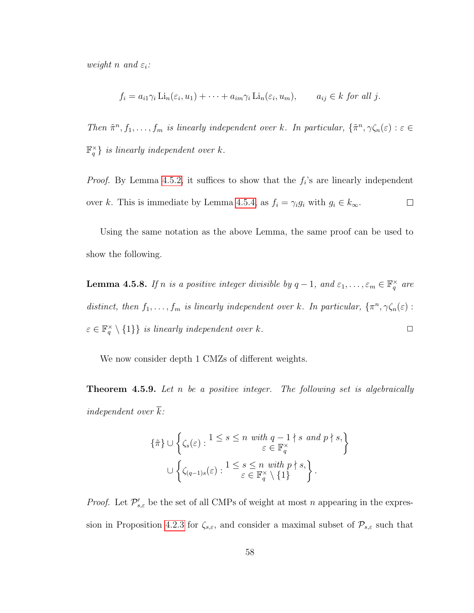weight n and  $\varepsilon_i$ :

$$
f_i = a_{i1}\gamma_i \operatorname{Li}_n(\varepsilon_i, u_1) + \cdots + a_{im}\gamma_i \operatorname{Li}_n(\varepsilon_i, u_m), \qquad a_{ij} \in k \text{ for all } j.
$$

Then  $\tilde{\pi}^n, f_1, \ldots, f_m$  is linearly independent over k. In particular,  $\{\tilde{\pi}^n, \gamma \zeta_n(\varepsilon) : \varepsilon \in$  $\mathbb{F}_q^{\times}$  is linearly independent over k.

*Proof.* By Lemma [4.5.2,](#page-59-0) it suffices to show that the  $f_i$ 's are linearly independent over k. This is immediate by Lemma [4.5.4,](#page-59-1) as  $f_i = \gamma_i g_i$  with  $g_i \in k_\infty$ .  $\Box$ 

Using the same notation as the above Lemma, the same proof can be used to show the following.

<span id="page-62-0"></span>**Lemma 4.5.8.** If n is a positive integer divisible by  $q-1$ , and  $\varepsilon_1, \ldots, \varepsilon_m \in \mathbb{F}_q^{\times}$  are distinct, then  $f_1, \ldots, f_m$  is linearly independent over k. In particular,  $\{\pi^n, \gamma \zeta_n(\varepsilon) :$  $\varepsilon \in \mathbb{F}_q^{\times} \setminus \{1\}$  is linearly independent over k.

We now consider depth 1 CMZs of different weights.

<span id="page-62-1"></span>**Theorem 4.5.9.** Let n be a positive integer. The following set is algebraically independent over  $\overline{k}$ :

$$
\{\tilde{\pi}\} \cup \left\{\zeta_s(\varepsilon) : 1 \le s \le n \text{ with } q-1 \nmid s \text{ and } p \nmid s,\}
$$

$$
\cup \left\{\zeta_{(q-1)s}(\varepsilon) : 1 \le s \le n \text{ with } p \nmid s,\right\}
$$

$$
\cup \left\{\zeta_{(q-1)s}(\varepsilon) : 1 \le s \le n \text{ with } p \nmid s,\right\}.
$$

*Proof.* Let  $\mathcal{P}'_{s,\varepsilon}$  be the set of all CMPs of weight at most n appearing in the expres-sion in Proposition [4.2.3](#page-43-0) for  $\zeta_{s,\varepsilon}$ , and consider a maximal subset of  $\mathcal{P}_{s,\varepsilon}$  such that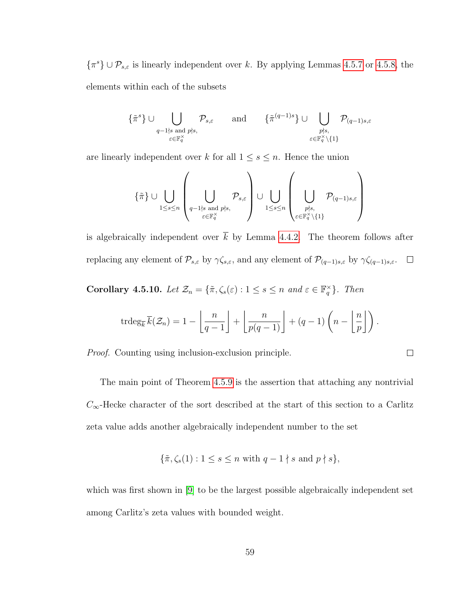$\{\pi^s\} \cup \mathcal{P}_{s,\varepsilon}$  is linearly independent over k. By applying Lemmas [4.5.7](#page-61-0) or [4.5.8,](#page-62-0) the elements within each of the subsets

$$
\{\tilde{\pi}^s\} \cup \bigcup_{\substack{q-1 \nmid s \text{ and } p \nmid s, \\ \varepsilon \in \mathbb{F}_q^\times}} \mathcal{P}_{s,\varepsilon} \quad \text{and} \quad \{\tilde{\pi}^{(q-1)s}\} \cup \bigcup_{\substack{p \nmid s, \\ \varepsilon \in \mathbb{F}_q^\times \setminus \{1\}}} \mathcal{P}_{(q-1)s,\varepsilon}
$$

are linearly independent over k for all  $1 \leq s \leq n$ . Hence the union

$$
\{\tilde{\pi}\}\cup\bigcup_{1\leq s\leq n}\left(\bigcup_{\substack{q-1\nmid s\text{ and }p\nmid s,\\ \varepsilon\in\mathbb{F}_q^\times}}\mathcal{P}_{s,\varepsilon}\right)\cup\bigcup_{1\leq s\leq n}\left(\bigcup_{\substack{p\nmid s,\\ \varepsilon\in\mathbb{F}_q^\times\backslash\{1\}}}\mathcal{P}_{(q-1)s,\varepsilon}\right)
$$

is algebraically independent over  $\overline{k}$  by Lemma [4.4.2.](#page-51-1) The theorem follows after replacing any element of  $\mathcal{P}_{s,\varepsilon}$  by  $\gamma \zeta_{s,\varepsilon}$ , and any element of  $\mathcal{P}_{(q-1)s,\varepsilon}$  by  $\gamma \zeta_{(q-1)s,\varepsilon}$ .  $\Box$ 

Corollary 4.5.10. Let  $\mathcal{Z}_n = \{ \tilde{\pi}, \zeta_s(\varepsilon) : 1 \leq s \leq n \text{ and } \varepsilon \in \mathbb{F}_q^{\times} \}$ . Then

$$
\operatorname{trdeg}_{\overline{k}} \overline{k}(\mathcal{Z}_n) = 1 - \left\lfloor \frac{n}{q-1} \right\rfloor + \left\lfloor \frac{n}{p(q-1)} \right\rfloor + (q-1) \left( n - \left\lfloor \frac{n}{p} \right\rfloor \right).
$$

 $\Box$ 

Proof. Counting using inclusion-exclusion principle.

The main point of Theorem [4.5.9](#page-62-1) is the assertion that attaching any nontrivial  $C_{\infty}$ -Hecke character of the sort described at the start of this section to a Carlitz zeta value adds another algebraically independent number to the set

$$
\{\tilde{\pi}, \zeta_s(1) : 1 \le s \le n \text{ with } q - 1 \nmid s \text{ and } p \nmid s\},\
$$

which was first shown in [\[9\]](#page-80-2) to be the largest possible algebraically independent set among Carlitz's zeta values with bounded weight.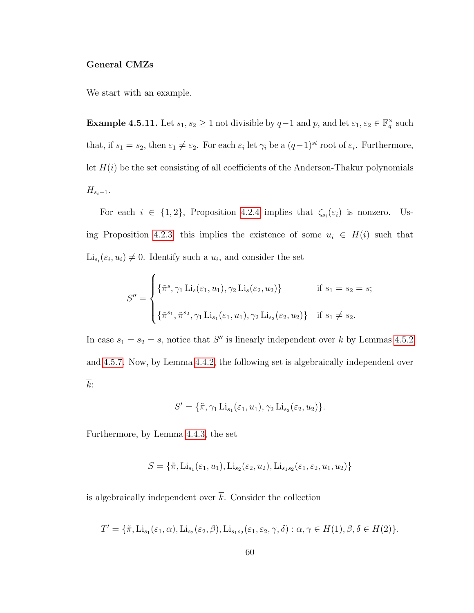### General CMZs

We start with an example.

**Example 4.5.11.** Let  $s_1, s_2 \geq 1$  not divisible by  $q-1$  and  $p$ , and let  $\varepsilon_1, \varepsilon_2 \in \mathbb{F}_q^{\times}$  such that, if  $s_1 = s_2$ , then  $\varepsilon_1 \neq \varepsilon_2$ . For each  $\varepsilon_i$  let  $\gamma_i$  be a  $(q-1)^{st}$  root of  $\varepsilon_i$ . Furthermore, let  $H(i)$  be the set consisting of all coefficients of the Anderson-Thakur polynomials  $H_{s_i-1}.$ 

For each  $i \in \{1,2\}$ , Proposition [4.2.4](#page-44-0) implies that  $\zeta_{s_i}(\varepsilon_i)$  is nonzero. Us-ing Proposition [4.2.3,](#page-43-0) this implies the existence of some  $u_i \in H(i)$  such that  $\mathrm{Li}_{s_i}(\varepsilon_i, u_i) \neq 0$ . Identify such a  $u_i$ , and consider the set

$$
S'' = \begin{cases} \{\tilde{\pi}^s, \gamma_1 \operatorname{Li}_s(\varepsilon_1, u_1), \gamma_2 \operatorname{Li}_s(\varepsilon_2, u_2) \} & \text{if } s_1 = s_2 = s; \\ \\ \{\tilde{\pi}^{s_1}, \tilde{\pi}^{s_2}, \gamma_1 \operatorname{Li}_{s_1}(\varepsilon_1, u_1), \gamma_2 \operatorname{Li}_{s_2}(\varepsilon_2, u_2) \} & \text{if } s_1 \neq s_2. \end{cases}
$$

In case  $s_1 = s_2 = s$ , notice that S'' is linearly independent over k by Lemmas [4.5.2](#page-59-0) and [4.5.7.](#page-61-0) Now, by Lemma [4.4.2,](#page-51-1) the following set is algebraically independent over  $\overline{k}$ :

$$
S' = \{ \tilde{\pi}, \gamma_1 \operatorname{Li}_{s_1}(\varepsilon_1, u_1), \gamma_2 \operatorname{Li}_{s_2}(\varepsilon_2, u_2) \}.
$$

Furthermore, by Lemma [4.4.3,](#page-56-0) the set

$$
S = {\tilde{\pi}, \text{Li}_{s_1}(\varepsilon_1, u_1), \text{Li}_{s_2}(\varepsilon_2, u_2), \text{Li}_{s_1 s_2}(\varepsilon_1, \varepsilon_2, u_1, u_2)}
$$

is algebraically independent over  $\overline{k}$ . Consider the collection

$$
T' = \{ \tilde{\pi}, Li_{s_1}(\varepsilon_1, \alpha), Li_{s_2}(\varepsilon_2, \beta), Li_{s_1s_2}(\varepsilon_1, \varepsilon_2, \gamma, \delta) : \alpha, \gamma \in H(1), \beta, \delta \in H(2) \}.
$$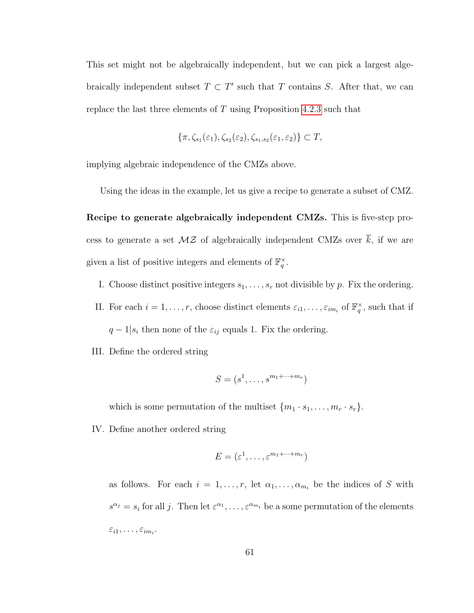This set might not be algebraically independent, but we can pick a largest algebraically independent subset  $T \subset T'$  such that T contains S. After that, we can replace the last three elements of  $T$  using Proposition [4.2.3](#page-43-0) such that

$$
\{\pi, \zeta_{s_1}(\varepsilon_1), \zeta_{s_2}(\varepsilon_2), \zeta_{s_1, s_2}(\varepsilon_1, \varepsilon_2)\} \subset T,
$$

implying algebraic independence of the CMZs above.

Using the ideas in the example, let us give a recipe to generate a subset of CMZ.

Recipe to generate algebraically independent CMZs. This is five-step process to generate a set  $M\mathcal{Z}$  of algebraically independent CMZs over  $\overline{k}$ , if we are given a list of positive integers and elements of  $\mathbb{F}_q^{\times}$ .

- I. Choose distinct positive integers  $s_1, \ldots, s_r$  not divisible by p. Fix the ordering.
- II. For each  $i = 1, \ldots, r$ , choose distinct elements  $\varepsilon_{i1}, \ldots, \varepsilon_{im_i}$  of  $\mathbb{F}_q^{\times}$ , such that if  $q-1|s_i$  then none of the  $\varepsilon_{ij}$  equals 1. Fix the ordering.
- III. Define the ordered string

$$
S = (s1, \ldots, sm1+ \cdots + mr)
$$

which is some permutation of the multiset  $\{m_1 \cdot s_1, \ldots, m_r \cdot s_r\}.$ 

IV. Define another ordered string

$$
E = (\varepsilon^1, \dots, \varepsilon^{m_1 + \dots + m_r})
$$

as follows. For each  $i = 1, \ldots, r$ , let  $\alpha_1, \ldots, \alpha_{m_i}$  be the indices of S with  $s^{\alpha_j} = s_i$  for all j. Then let  $\varepsilon^{\alpha_1}, \ldots, \varepsilon^{\alpha_{m_i}}$  be a some permutation of the elements  $\varepsilon_{i1},\ldots,\varepsilon_{im_i}.$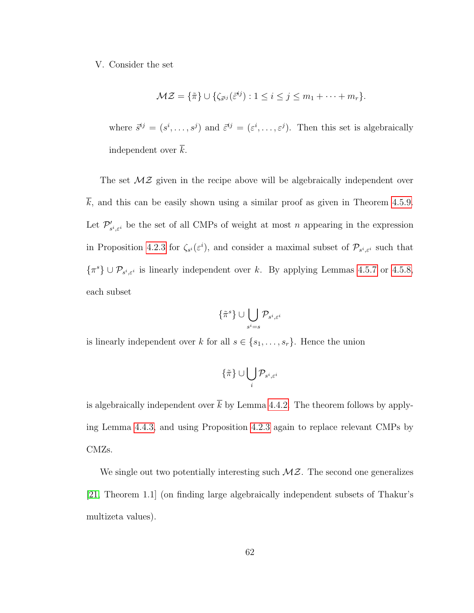#### V. Consider the set

$$
\mathcal{MZ} = \{\tilde{\pi}\} \cup \{\zeta_{\tilde{s}^{ij}}(\tilde{\varepsilon}^{ij}) : 1 \leq i \leq j \leq m_1 + \cdots + m_r\}.
$$

where  $\vec{s}^{ij} = (s^i, \ldots, s^j)$  and  $\vec{\varepsilon}^{ij} = (\varepsilon^i, \ldots, \varepsilon^j)$ . Then this set is algebraically independent over  $\overline{k}$ .

The set  $M\mathcal{Z}$  given in the recipe above will be algebraically independent over  $\overline{k}$ , and this can be easily shown using a similar proof as given in Theorem [4.5.9.](#page-62-1) Let  $\mathcal{P}'_s$  $s'_{s^i, \varepsilon^i}$  be the set of all CMPs of weight at most n appearing in the expression in Proposition [4.2.3](#page-43-0) for  $\zeta_{s}(s^i)$ , and consider a maximal subset of  $\mathcal{P}_{s^i,\varepsilon^i}$  such that  $\{\pi^s\} \cup \mathcal{P}_{s^i,\varepsilon^i}$  is linearly independent over k. By applying Lemmas [4.5.7](#page-61-0) or [4.5.8,](#page-62-0) each subset

$$
\{\tilde{\pi}^s\}\cup\bigcup_{s^i=s}\mathcal{P}_{s^i,\varepsilon^i}
$$

is linearly independent over k for all  $s \in \{s_1, \ldots, s_r\}$ . Hence the union

$$
\{\tilde{\pi}\}\cup\bigcup_i\mathcal{P}_{s^i,\varepsilon^i}
$$

is algebraically independent over  $\bar{k}$  by Lemma [4.4.2.](#page-51-1) The theorem follows by applying Lemma [4.4.3,](#page-56-0) and using Proposition [4.2.3](#page-43-0) again to replace relevant CMPs by CMZs.

We single out two potentially interesting such  $M\mathcal{Z}$ . The second one generalizes [\[21,](#page-81-3) Theorem 1.1] (on finding large algebraically independent subsets of Thakur's multizeta values).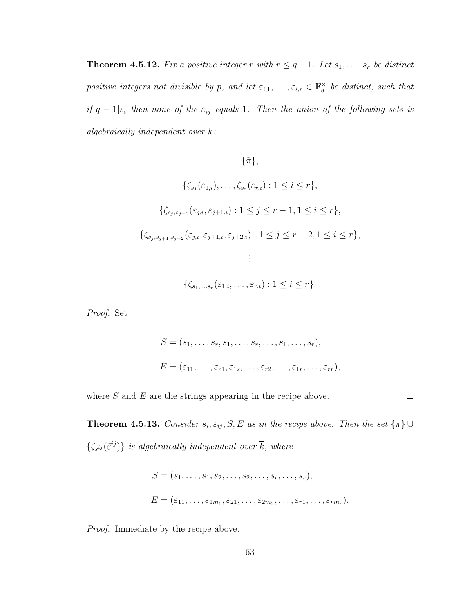**Theorem 4.5.12.** Fix a positive integer r with  $r \leq q-1$ . Let  $s_1, \ldots, s_r$  be distinct positive integers not divisible by p, and let  $\varepsilon_{i,1},\ldots,\varepsilon_{i,r}\in\mathbb{F}_q^{\times}$  be distinct, such that if  $q-1|s_i$  then none of the  $\varepsilon_{ij}$  equals 1. Then the union of the following sets is algebraically independent over  $\overline{k}$ :

$$
\{\tilde{\pi}\},
$$
  

$$
\{\zeta_{s_1}(\varepsilon_{1,i}), \dots, \zeta_{s_r}(\varepsilon_{r,i}) : 1 \le i \le r\},
$$
  

$$
\{\zeta_{s_j, s_{j+1}}(\varepsilon_{j,i}, \varepsilon_{j+1,i}) : 1 \le j \le r-1, 1 \le i \le r\},
$$
  

$$
\{\zeta_{s_j, s_{j+1}, s_{j+2}}(\varepsilon_{j,i}, \varepsilon_{j+1,i}, \varepsilon_{j+2,i}) : 1 \le j \le r-2, 1 \le i \le r\},
$$
  

$$
\vdots
$$
  

$$
\{\zeta_{s_1, \dots, s_r}(\varepsilon_{1,i}, \dots, \varepsilon_{r,i}) : 1 \le i \le r\}.
$$

Proof. Set

$$
S = (s_1, \ldots, s_r, s_1, \ldots, s_r, \ldots, s_1, \ldots, s_r),
$$
  
\n
$$
E = (\varepsilon_{11}, \ldots, \varepsilon_{r1}, \varepsilon_{12}, \ldots, \varepsilon_{r2}, \ldots, \varepsilon_{1r}, \ldots, \varepsilon_{rr}),
$$

<span id="page-67-0"></span>where  $S$  and  $E$  are the strings appearing in the recipe above.  $\Box$ 

**Theorem 4.5.13.** Consider  $s_i$ ,  $\varepsilon_{ij}$ , S, E as in the recipe above. Then the set  $\{\tilde{\pi}\}\cup\$  $\{\zeta_{\vec{s}^{ij}}(\vec{\varepsilon}^{ij})\}$  is algebraically independent over  $\overline{k}$ , where

$$
S = (s_1, \ldots, s_1, s_2, \ldots, s_2, \ldots, s_r, \ldots, s_r),
$$
  
\n
$$
E = (\varepsilon_{11}, \ldots, \varepsilon_{1m_1}, \varepsilon_{21}, \ldots, \varepsilon_{2m_2}, \ldots, \varepsilon_{r1}, \ldots, \varepsilon_{rm_r}).
$$

Proof. Immediate by the recipe above.

 $\Box$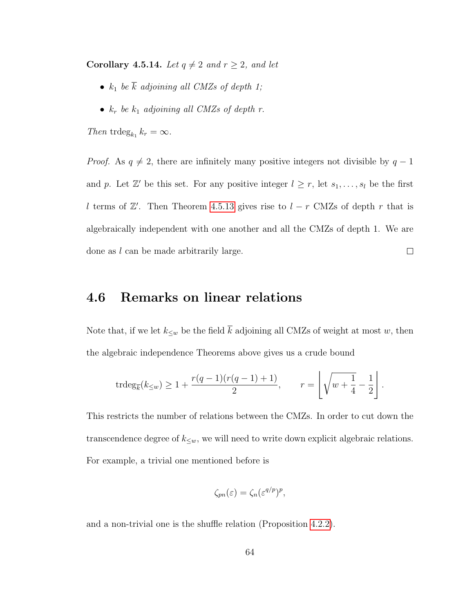Corollary 4.5.14. Let  $q \neq 2$  and  $r \geq 2$ , and let

- $k_1$  be  $\overline{k}$  adjoining all CMZs of depth 1;
- $k_r$  be  $k_1$  adjoining all CMZs of depth r.

Then trdeg<sub> $k_1$ </sub>  $k_r = \infty$ .

*Proof.* As  $q \neq 2$ , there are infinitely many positive integers not divisible by  $q - 1$ and p. Let  $\mathbb{Z}'$  be this set. For any positive integer  $l \geq r$ , let  $s_1, \ldots, s_l$  be the first l terms of  $\mathbb{Z}'$ . Then Theorem [4.5.13](#page-67-0) gives rise to  $l - r$  CMZs of depth r that is algebraically independent with one another and all the CMZs of depth 1. We are done as l can be made arbitrarily large.  $\Box$ 

### 4.6 Remarks on linear relations

Note that, if we let  $k_{\leq w}$  be the field  $\overline{k}$  adjoining all CMZs of weight at most w, then the algebraic independence Theorems above gives us a crude bound

$$
\operatorname{trdeg}_{\overline{k}}(k_{\leq w}) \geq 1 + \frac{r(q-1)(r(q-1)+1)}{2}, \qquad r = \left\lfloor \sqrt{w + \frac{1}{4}} - \frac{1}{2} \right\rfloor.
$$

This restricts the number of relations between the CMZs. In order to cut down the transcendence degree of  $k_{\leq w}$ , we will need to write down explicit algebraic relations. For example, a trivial one mentioned before is

$$
\zeta_{pn}(\varepsilon) = \zeta_n(\varepsilon^{q/p})^p,
$$

and a non-trivial one is the shuffle relation (Proposition [4.2.2\)](#page-42-0).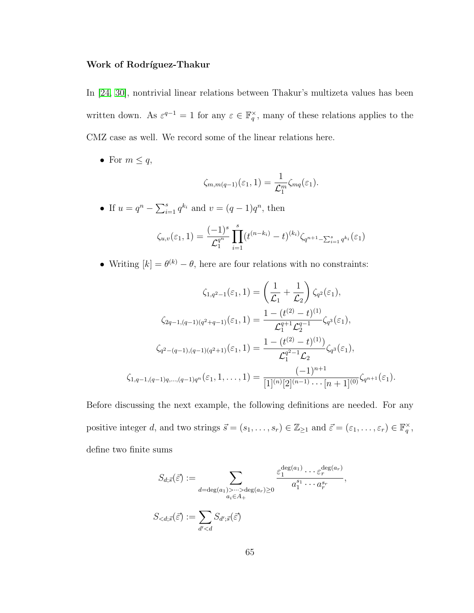### Work of Rodríguez-Thakur

In [\[24,](#page-82-2) [30\]](#page-82-3), nontrivial linear relations between Thakur's multizeta values has been written down. As  $\varepsilon^{q-1} = 1$  for any  $\varepsilon \in \mathbb{F}_q^{\times}$ , many of these relations applies to the CMZ case as well. We record some of the linear relations here.

• For  $m \leq q$ ,

$$
\zeta_{m,m(q-1)}(\varepsilon_1,1)=\frac{1}{\mathcal{L}_1^m}\zeta_{mq}(\varepsilon_1).
$$

• If  $u = q^n - \sum_{i=1}^s q^{k_i}$  and  $v = (q-1)q^n$ , then

$$
\zeta_{u,v}(\varepsilon_1, 1) = \frac{(-1)^s}{\mathcal{L}_1^{q^n}} \prod_{i=1}^s (t^{(n-k_i)} - t)^{(k_i)} \zeta_{q^{n+1} - \sum_{i=1}^s q^{k_i}}(\varepsilon_1)
$$

• Writing  $[k] = \theta^{(k)} - \theta$ , here are four relations with no constraints:

$$
\zeta_{1,q^2-1}(\varepsilon_1, 1) = \left(\frac{1}{\mathcal{L}_1} + \frac{1}{\mathcal{L}_2}\right) \zeta_{q^2}(\varepsilon_1),
$$
  

$$
\zeta_{2q-1,(q-1)(q^2+q-1)}(\varepsilon_1, 1) = \frac{1 - (t^{(2)} - t)^{(1)}}{\mathcal{L}_1^{q+1}\mathcal{L}_2^{q-1}} \zeta_{q^3}(\varepsilon_1),
$$
  

$$
\zeta_{q^2-(q-1),(q-1)(q^2+1)}(\varepsilon_1, 1) = \frac{1 - (t^{(2)} - t)^{(1)}}{\mathcal{L}_1^{q^2-1}\mathcal{L}_2} \zeta_{q^3}(\varepsilon_1),
$$
  

$$
\zeta_{1,q-1,(q-1)q,\dots,(q-1)q^n}(\varepsilon_1, 1, \dots, 1) = \frac{(-1)^{n+1}}{[1]^{(n)}[2]^{(n-1)} \cdots [n+1]^{(0)}} \zeta_{q^{n+1}}(\varepsilon_1).
$$

Before discussing the next example, the following definitions are needed. For any positive integer d, and two strings  $\vec{s} = (s_1, \ldots, s_r) \in \mathbb{Z}_{\geq 1}$  and  $\vec{\varepsilon} = (\varepsilon_1, \ldots, \varepsilon_r) \in \mathbb{F}_q^{\times}$ , define two finite sums

$$
S_{d; \vec{s}}(\vec{\varepsilon}) := \sum_{\substack{d = \deg(a_1) > \dots > \deg(a_r) \ge 0 \\ a_i \in A_+}} \frac{\varepsilon_1^{\deg(a_1)} \dots \varepsilon_r^{\deg(a_r)}}{a_1^{s_1} \dots a_r^{s_r}},
$$

$$
S_{
$$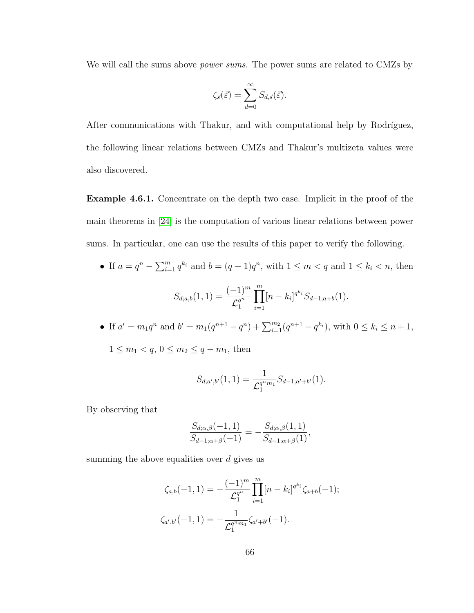We will call the sums above *power sums*. The power sums are related to CMZs by

$$
\zeta_{\vec{s}}(\vec{\varepsilon}) = \sum_{d=0}^{\infty} S_{d,\vec{s}}(\vec{\varepsilon}).
$$

After communications with Thakur, and with computational help by Rodríguez, the following linear relations between CMZs and Thakur's multizeta values were also discovered.

Example 4.6.1. Concentrate on the depth two case. Implicit in the proof of the main theorems in [\[24\]](#page-82-2) is the computation of various linear relations between power sums. In particular, one can use the results of this paper to verify the following.

- If  $a = q^n \sum_{i=1}^m q^{k_i}$  and  $b = (q-1)q^n$ , with  $1 \le m < q$  and  $1 \le k_i < n$ , then  $S_{d;a,b}(1,1) = \frac{(-1)^m}{a^{a^n}}$  $\overline{{\mathcal L}_1^{q^n}}$ 1  $\prod^m$  $i=1$  $[n - k_i]^{q^{k_i}} S_{d-1;a+b}(1).$
- If  $a' = m_1 q^n$  and  $b' = m_1 (q^{n+1} q^n) + \sum_{i=1}^{m_2} (q^{n+1} q^{k_i})$ , with  $0 \le k_i \le n+1$ ,  $1 \le m_1 < q, 0 \le m_2 \le q - m_1$ , then

$$
S_{d;a',b'}(1,1) = \frac{1}{\mathcal{L}_1^{q^m m_1}} S_{d-1;a'+b'}(1).
$$

By observing that

$$
\frac{S_{d;\alpha,\beta}(-1,1)}{S_{d-1;\alpha+\beta}(-1)} = -\frac{S_{d;\alpha,\beta}(1,1)}{S_{d-1;\alpha+\beta}(1)},
$$

summing the above equalities over  $d$  gives us

$$
\zeta_{a,b}(-1,1) = -\frac{(-1)^m}{\mathcal{L}_1^{q^n}} \prod_{i=1}^m [n-k_i]^{q^{k_i}} \zeta_{a+b}(-1);
$$
  

$$
\zeta_{a',b'}(-1,1) = -\frac{1}{\mathcal{L}_1^{q^m m_1}} \zeta_{a'+b'}(-1).
$$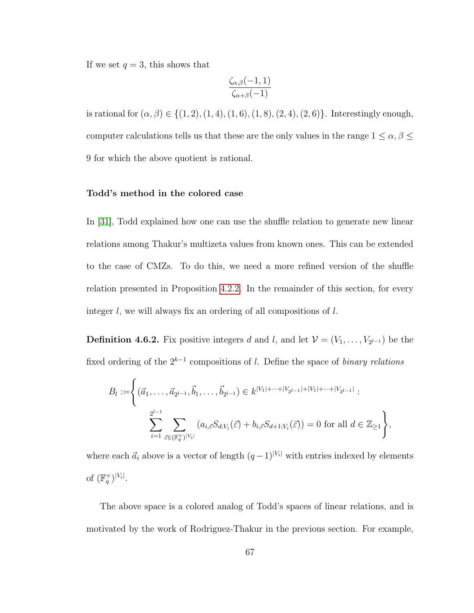If we set  $q = 3$ , this shows that

$$
\frac{\zeta_{\alpha,\beta}(-1,1)}{\zeta_{\alpha+\beta}(-1)}
$$

is rational for  $(\alpha, \beta) \in \{(1, 2), (1, 4), (1, 6), (1, 8), (2, 4), (2, 6)\}.$  Interestingly enough, computer calculations tells us that these are the only values in the range  $1 \leq \alpha, \beta \leq$ 9 for which the above quotient is rational.

### Todd's method in the colored case

In [\[31\]](#page-82-4), Todd explained how one can use the shuffle relation to generate new linear relations among Thakur's multizeta values from known ones. This can be extended to the case of CMZs. To do this, we need a more refined version of the shuffle relation presented in Proposition [4.2.2.](#page-42-0) In the remainder of this section, for every integer l, we will always fix an ordering of all compositions of l.

**Definition 4.6.2.** Fix positive integers d and l, and let  $\mathcal{V} = (V_1, \ldots, V_{2^{l-1}})$  be the fixed ordering of the  $2^{k-1}$  compositions of l. Define the space of *binary relations* 

$$
B_l := \left\{ (\vec{a}_1, \dots, \vec{a}_{2^{l-1}}, \vec{b}_1, \dots, \vec{b}_{2^{l-1}}) \in k^{|V_1| + \dots + |V_{2^{l-1}}| + |V_1| + \dots + |V_{2^{l-1}}|} : \sum_{i=1}^{2^{l-1}} \sum_{\vec{\varepsilon} \in (\mathbb{F}_q^{\times})^{|V_i|}} (a_{i,\vec{\varepsilon}} S_{d;V_i}(\vec{\varepsilon}) + b_{i,\vec{\varepsilon}} S_{d+1;V_i}(\vec{\varepsilon})) = 0 \text{ for all } d \in \mathbb{Z}_{\ge 1} \right\},
$$

where each  $\vec{a}_i$  above is a vector of length  $(q-1)^{|V_i|}$  with entries indexed by elements of  $(\mathbb{F}_q^{\times})^{|V_i|}$ .

The above space is a colored analog of Todd's spaces of linear relations, and is motivated by the work of Rodriguez-Thakur in the previous section. For example,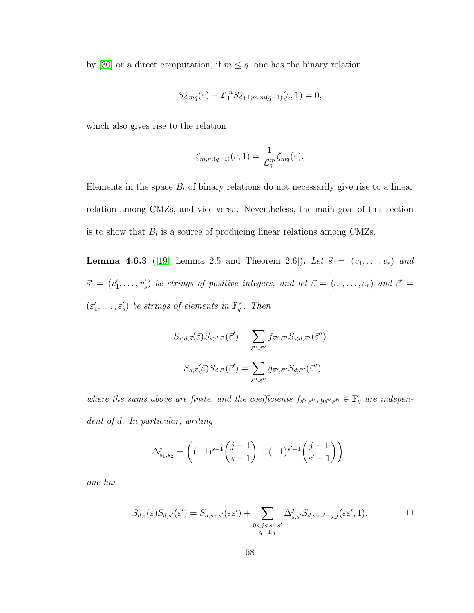by [\[30\]](#page-82-0) or a direct computation, if  $m \leq q$ , one has the binary relation

$$
S_{d;mq}(\varepsilon)-\mathcal{L}_1^m S_{d+1;m,m(q-1)}(\varepsilon,1)=0,
$$

which also gives rise to the relation

$$
\zeta_{m,m(q-1)}(\varepsilon,1)=\frac{1}{\mathcal{L}_1^m}\zeta_{mq}(\varepsilon).
$$

Elements in the space  $B_l$  of binary relations do not necessarily give rise to a linear relation among CMZs, and vice versa. Nevertheless, the main goal of this section is to show that  $B_l$  is a source of producing linear relations among CMZs.

<span id="page-72-0"></span>**Lemma 4.6.3** ([\[19,](#page-81-0) Lemma 2.5 and Theorem 2.6]). Let  $\vec{s} = (v_1, \ldots, v_r)$  and  $\vec{s}' = (v'_1, \ldots, v'_s)$  be strings of positive integers, and let  $\vec{\varepsilon} = (\varepsilon_1, \ldots, \varepsilon_r)$  and  $\vec{\varepsilon}' =$  $(\varepsilon_1', \ldots, \varepsilon_s')$  be strings of elements in  $\mathbb{F}_q^{\times}$ . Then

$$
S_{
$$
S_{d;\vec{s}}(\vec{\varepsilon})S_{d;\vec{s}'}(\vec{\varepsilon}') = \sum_{\vec{s}'',\vec{\varepsilon}''} g_{\vec{s}'',\vec{\varepsilon}''} S_{d;\vec{s}''}(\vec{\varepsilon}'')
$$
$$

where the sums above are finite, and the coefficients  $f_{\vec{s}'',\vec{\epsilon}''}, g_{\vec{s}'',\vec{\epsilon}''} \in \mathbb{F}_q$  are independent of d. In particular, writing

$$
\Delta_{s_1, s_2}^j = \left( (-1)^{s-1} {j-1 \choose s-1} + (-1)^{s'-1} {j-1 \choose s'-1} \right),
$$

one has

$$
S_{d;s}(\varepsilon)S_{d;s'}(\varepsilon') = S_{d;s+s'}(\varepsilon \varepsilon') + \sum_{\substack{0 < j < s+s'\\q-1|j}} \Delta^j_{s,s'} S_{d;s+s'-j,j}(\varepsilon \varepsilon', 1). \square
$$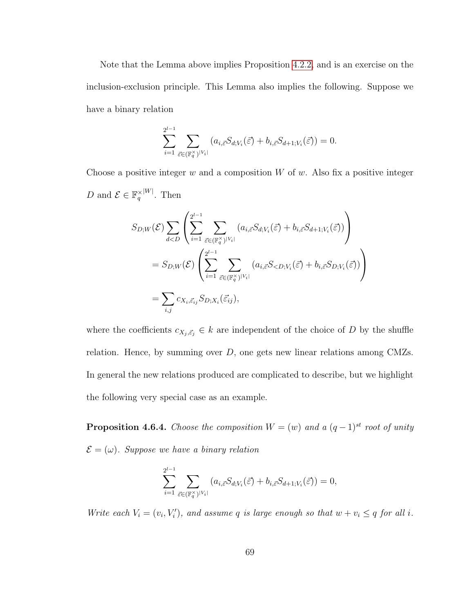Note that the Lemma above implies Proposition [4.2.2,](#page-42-0) and is an exercise on the inclusion-exclusion principle. This Lemma also implies the following. Suppose we have a binary relation

$$
\sum_{i=1}^{2^{l-1}} \sum_{\vec{\varepsilon} \in (\mathbb{F}_q^{\times})^{|V_i|}} (a_{i,\vec{\varepsilon}} S_{d;V_i}(\vec{\varepsilon}) + b_{i,\vec{\varepsilon}} S_{d+1;V_i}(\vec{\varepsilon})) = 0.
$$

Choose a positive integer  $w$  and a composition  $W$  of  $w$ . Also fix a positive integer D and  $\mathcal{E} \in \mathbb{F}_q^{\times}$  $|W|$ . Then

$$
S_{D;W}(\mathcal{E}) \sum_{d  

$$
= S_{D;W}(\mathcal{E}) \left( \sum_{i=1}^{2^{l-1}} \sum_{\vec{\varepsilon} \in (\mathbb{F}_q^{\times})|V_i|} (a_{i,\vec{\varepsilon}} S_{  

$$
= \sum_{i,j} c_{X_i, \vec{\varepsilon}_{ij}} S_{D;X_i}(\vec{\varepsilon}_{ij}),
$$
$$
$$

where the coefficients  $c_{X_j, \vec{\varepsilon}_j} \in k$  are independent of the choice of D by the shuffle relation. Hence, by summing over  $D$ , one gets new linear relations among CMZs. In general the new relations produced are complicated to describe, but we highlight the following very special case as an example.

**Proposition 4.6.4.** Choose the composition  $W = (w)$  and a  $(q-1)^{st}$  root of unity  $\mathcal{E} = (\omega)$ . Suppose we have a binary relation

$$
\sum_{i=1}^{2^{l-1}}\sum_{\vec{\varepsilon}\in(\mathbb{F}_q^{\times})^{|V_i|}}\left(a_{i,\vec{\varepsilon}}S_{d;V_i}(\vec{\varepsilon})+b_{i,\vec{\varepsilon}}S_{d+1;V_i}(\vec{\varepsilon})\right)=0,
$$

Write each  $V_i = (v_i, V'_i)$ , and assume q is large enough so that  $w + v_i \leq q$  for all i.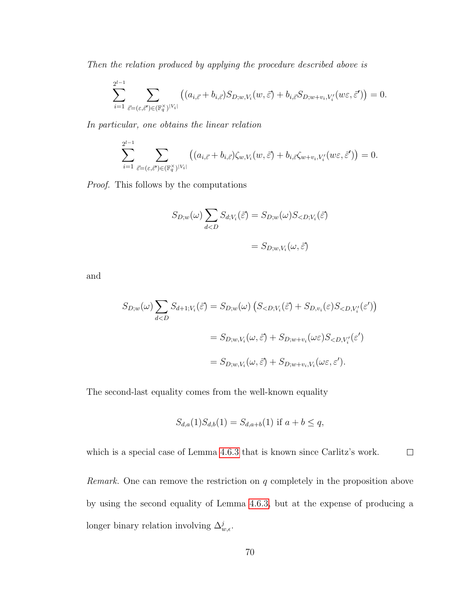Then the relation produced by applying the procedure described above is

$$
\sum_{i=1}^{2^{l-1}} \sum_{\vec{\varepsilon} = (\varepsilon, \vec{\varepsilon}') \in (\mathbb{F}_q^{\times})^{|V_i|}} \left( (a_{i, \vec{\varepsilon}} + b_{i, \vec{\varepsilon}}) S_{D; w, V_i}(w, \vec{\varepsilon}) + b_{i, \vec{\varepsilon}} S_{D; w + v_i, V'_i}(w \varepsilon, \vec{\varepsilon}') \right) = 0.
$$

In particular, one obtains the linear relation

$$
\sum_{i=1}^{2^{l-1}} \sum_{\vec{\varepsilon}=(\varepsilon,\vec{\varepsilon}')\in (\mathbb{F}_q^{\times})^{|V_i|}} \left( (a_{i,\vec{\varepsilon}}+b_{i,\vec{\varepsilon}})\zeta_{w,V_i}(w,\vec{\varepsilon})+b_{i,\vec{\varepsilon}}\zeta_{w+v_i,V'_i}(w\varepsilon,\vec{\varepsilon}') \right) = 0.
$$

Proof. This follows by the computations

$$
S_{D;w}(\omega) \sum_{d
$$
= S_{D;w,V_i}(\omega, \vec{\varepsilon})
$$
$$

and

$$
S_{D;w}(\omega) \sum_{d  

$$
= S_{D;w,V_i}(\omega, \vec{\varepsilon}) + S_{D;w+v_i}(\omega \varepsilon) S_{  

$$
= S_{D;w,V_i}(\omega, \vec{\varepsilon}) + S_{D;w+v_i,V_i}(\omega \varepsilon, \varepsilon').
$$
$$
$$

The second-last equality comes from the well-known equality

$$
S_{d,a}(1)S_{d,b}(1) = S_{d,a+b}(1) \text{ if } a+b \le q,
$$

which is a special case of Lemma [4.6.3](#page-72-0) that is known since Carlitz's work.  $\Box$ 

Remark. One can remove the restriction on q completely in the proposition above by using the second equality of Lemma [4.6.3,](#page-72-0) but at the expense of producing a longer binary relation involving  $\Delta_{w,\epsilon}^j$ .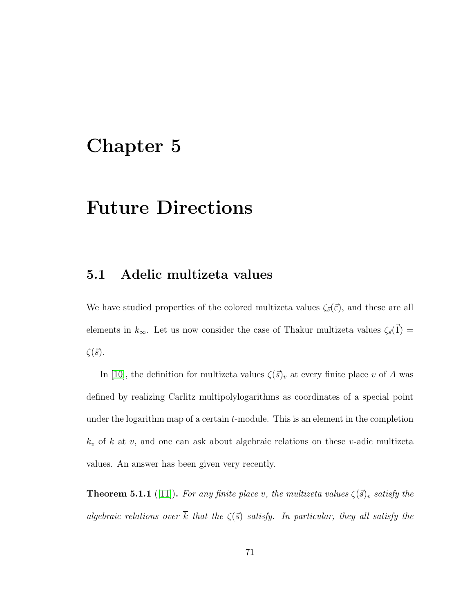### Chapter 5

# Future Directions

#### 5.1 Adelic multizeta values

We have studied properties of the colored multizeta values  $\zeta_{\vec{s}}(\vec{\varepsilon})$ , and these are all elements in  $k_{\infty}$ . Let us now consider the case of Thakur multizeta values  $\zeta_{\vec{s}}(\vec{1}) =$  $\zeta(\vec{s})$ .

In [\[10\]](#page-80-0), the definition for multizeta values  $\zeta(\vec{s})_v$  at every finite place v of A was defined by realizing Carlitz multipolylogarithms as coordinates of a special point under the logarithm map of a certain *t*-module. This is an element in the completion  $k_v$  of k at v, and one can ask about algebraic relations on these v-adic multizeta values. An answer has been given very recently.

<span id="page-75-0"></span>**Theorem 5.1.1** ([\[11\]](#page-80-1)). For any finite place v, the multizeta values  $\zeta(\vec{s})_v$  satisfy the algebraic relations over  $\overline{k}$  that the  $\zeta(\overline{s})$  satisfy. In particular, they all satisfy the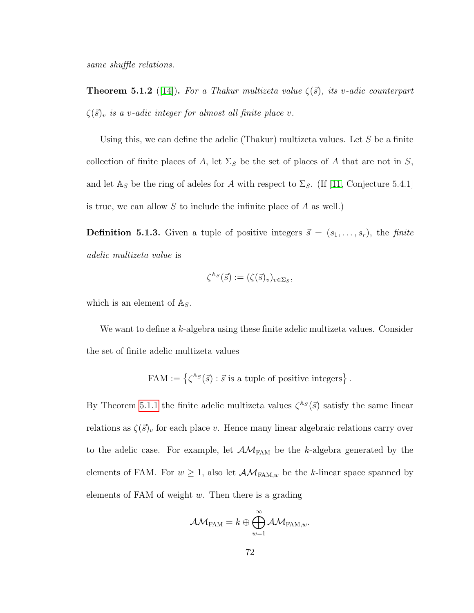same shuffle relations.

**Theorem 5.1.2** ([\[14\]](#page-80-2)). For a Thakur multizeta value  $\zeta(\vec{s})$ , its v-adic counterpart  $\zeta(\vec{s})_v$  is a v-adic integer for almost all finite place v.

Using this, we can define the adelic (Thakur) multizeta values. Let  $S$  be a finite collection of finite places of A, let  $\Sigma_S$  be the set of places of A that are not in S, and let  $\mathbb{A}_S$  be the ring of adeles for A with respect to  $\Sigma_S$ . (If [\[11,](#page-80-1) Conjecture 5.4.1] is true, we can allow  $S$  to include the infinite place of  $A$  as well.)

**Definition 5.1.3.** Given a tuple of positive integers  $\vec{s} = (s_1, \ldots, s_r)$ , the finite adelic multizeta value is

$$
\zeta^{\mathbb{A}_S}(\vec{s}) := (\zeta(\vec{s})_v)_{v \in \Sigma_S},
$$

which is an element of  $\mathbb{A}_S$ .

We want to define a k-algebra using these finite adelic multizeta values. Consider the set of finite adelic multizeta values

$$
FAM := \left\{ \zeta^{\mathbb{A}_S}(\vec{s}) : \vec{s} \text{ is a tuple of positive integers} \right\}.
$$

By Theorem [5.1.1](#page-75-0) the finite adelic multizeta values  $\zeta^{\mathbb{A}s}(\vec{s})$  satisfy the same linear relations as  $\zeta(\vec{s})_v$  for each place v. Hence many linear algebraic relations carry over to the adelic case. For example, let  $\mathcal{AM}_{FAM}$  be the k-algebra generated by the elements of FAM. For  $w \geq 1$ , also let  $\mathcal{AM}_{\text{FAM},w}$  be the k-linear space spanned by elements of FAM of weight  $w$ . Then there is a grading

$$
\mathcal{AM}_{\text{FAM}} = k \oplus \bigoplus_{w=1}^{\infty} \mathcal{AM}_{\text{FAM},w}.
$$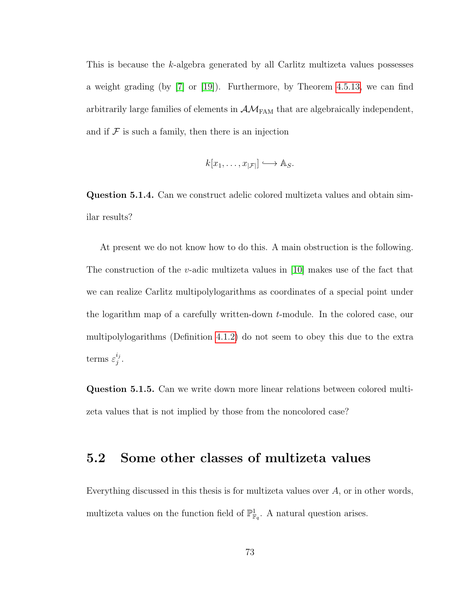This is because the k-algebra generated by all Carlitz multizeta values possesses a weight grading (by [\[7\]](#page-80-3) or [\[19\]](#page-81-0)). Furthermore, by Theorem [4.5.13,](#page-67-0) we can find arbitrarily large families of elements in  $\mathcal{AM}_{\text{FAM}}$  that are algebraically independent, and if  $\mathcal F$  is such a family, then there is an injection

$$
k[x_1,\ldots,x_{|\mathcal{F}|}] \hookrightarrow \mathbb{A}_S.
$$

Question 5.1.4. Can we construct adelic colored multizeta values and obtain similar results?

At present we do not know how to do this. A main obstruction is the following. The construction of the v-adic multizeta values in [\[10\]](#page-80-0) makes use of the fact that we can realize Carlitz multipolylogarithms as coordinates of a special point under the logarithm map of a carefully written-down t-module. In the colored case, our multipolylogarithms (Definition [4.1.2\)](#page-35-0) do not seem to obey this due to the extra terms  $\varepsilon_i^{i_j}$  $\frac{i_j}{j}$  .

Question 5.1.5. Can we write down more linear relations between colored multizeta values that is not implied by those from the noncolored case?

### 5.2 Some other classes of multizeta values

Everything discussed in this thesis is for multizeta values over A, or in other words, multizeta values on the function field of  $\mathbb{P}^1_{\mathbb{F}_q}$ . A natural question arises.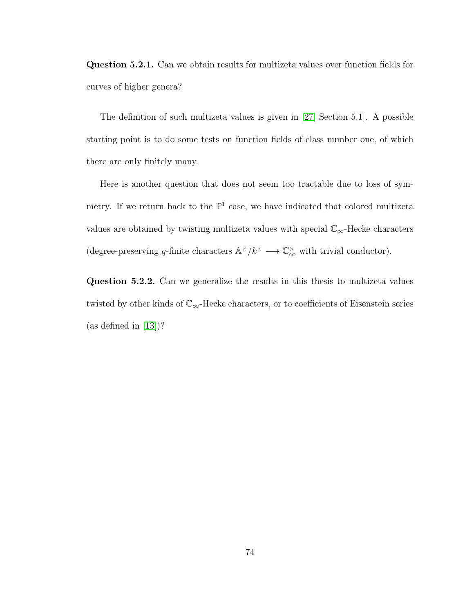Question 5.2.1. Can we obtain results for multizeta values over function fields for curves of higher genera?

The definition of such multizeta values is given in [\[27,](#page-82-1) Section 5.1]. A possible starting point is to do some tests on function fields of class number one, of which there are only finitely many.

Here is another question that does not seem too tractable due to loss of symmetry. If we return back to the  $\mathbb{P}^1$  case, we have indicated that colored multizeta values are obtained by twisting multizeta values with special  $\mathbb{C}_{\infty}$ -Hecke characters (degree-preserving q-finite characters  $\mathbb{A}^{\times}/k^{\times} \longrightarrow \mathbb{C}_{\infty}^{\times}$  with trivial conductor).

Question 5.2.2. Can we generalize the results in this thesis to multizeta values twisted by other kinds of  $\mathbb{C}_{\infty}$ -Hecke characters, or to coefficients of Eisenstein series (as defined in [\[13\]](#page-80-4))?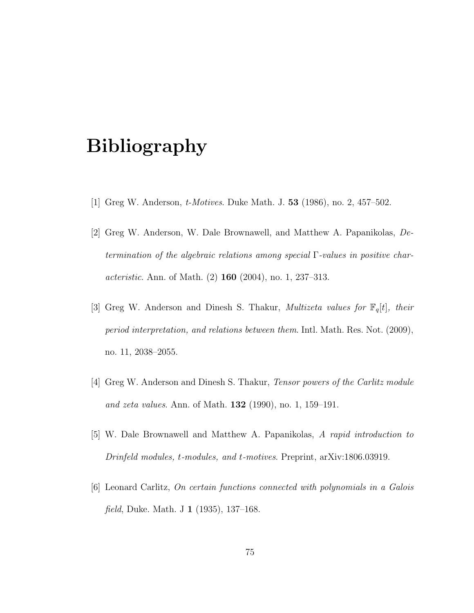# Bibliography

- [1] Greg W. Anderson, t-Motives. Duke Math. J. 53 (1986), no. 2, 457–502.
- [2] Greg W. Anderson, W. Dale Brownawell, and Matthew A. Papanikolas, Determination of the algebraic relations among special Γ-values in positive char*acteristic.* Ann. of Math.  $(2)$  160  $(2004)$ , no. 1, 237–313.
- [3] Greg W. Anderson and Dinesh S. Thakur, *Multizeta values for*  $\mathbb{F}_q[t]$ , their period interpretation, and relations between them. Intl. Math. Res. Not. (2009), no. 11, 2038–2055.
- [4] Greg W. Anderson and Dinesh S. Thakur, Tensor powers of the Carlitz module and zeta values. Ann. of Math. 132 (1990), no. 1, 159–191.
- [5] W. Dale Brownawell and Matthew A. Papanikolas, A rapid introduction to Drinfeld modules, t-modules, and t-motives. Preprint, arXiv:1806.03919.
- [6] Leonard Carlitz, On certain functions connected with polynomials in a Galois field, Duke. Math. J 1 (1935), 137–168.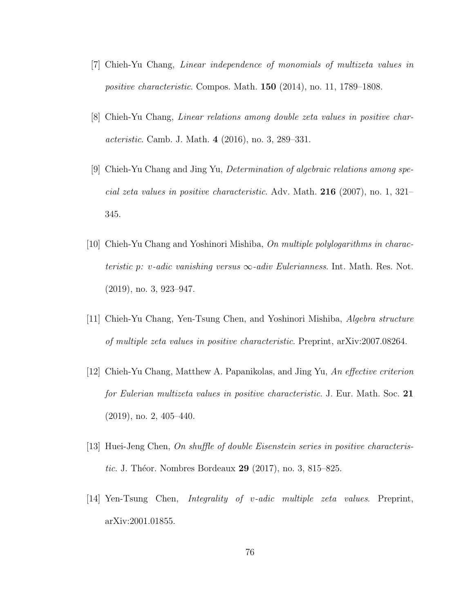- <span id="page-80-3"></span>[7] Chieh-Yu Chang, Linear independence of monomials of multizeta values in positive characteristic. Compos. Math. 150 (2014), no. 11, 1789–1808.
- [8] Chieh-Yu Chang, Linear relations among double zeta values in positive characteristic. Camb. J. Math. 4 (2016), no. 3, 289–331.
- [9] Chieh-Yu Chang and Jing Yu, Determination of algebraic relations among special zeta values in positive characteristic. Adv. Math. 216 (2007), no. 1, 321– 345.
- <span id="page-80-0"></span>[10] Chieh-Yu Chang and Yoshinori Mishiba, On multiple polylogarithms in characteristic p: v-adic vanishing versus  $\infty$ -adiv Eulerianness. Int. Math. Res. Not. (2019), no. 3, 923–947.
- <span id="page-80-1"></span>[11] Chieh-Yu Chang, Yen-Tsung Chen, and Yoshinori Mishiba, Algebra structure of multiple zeta values in positive characteristic. Preprint, arXiv:2007.08264.
- [12] Chieh-Yu Chang, Matthew A. Papanikolas, and Jing Yu, An effective criterion for Eulerian multizeta values in positive characteristic. J. Eur. Math. Soc. 21 (2019), no. 2, 405–440.
- <span id="page-80-4"></span>[13] Huei-Jeng Chen, On shuffle of double Eisenstein series in positive characteristic. J. Théor. Nombres Bordeaux  $29$  (2017), no. 3, 815–825.
- <span id="page-80-2"></span>[14] Yen-Tsung Chen, Integrality of v-adic multiple zeta values. Preprint, arXiv:2001.01855.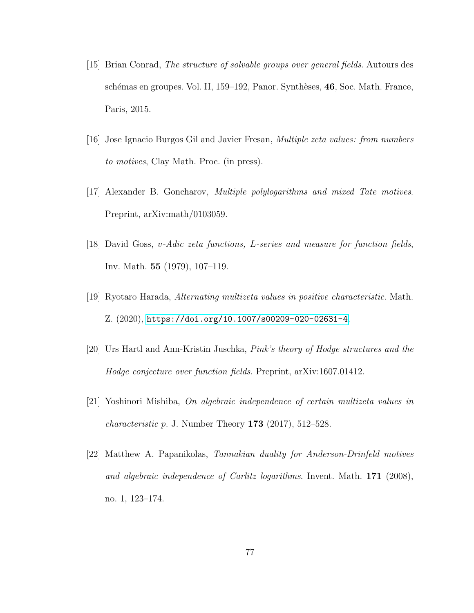- [15] Brian Conrad, The structure of solvable groups over general fields. Autours des schémas en groupes. Vol. II, 159–192, Panor. Synthèses, 46, Soc. Math. France, Paris, 2015.
- [16] Jose Ignacio Burgos Gil and Javier Fresan, Multiple zeta values: from numbers to motives, Clay Math. Proc. (in press).
- [17] Alexander B. Goncharov, Multiple polylogarithms and mixed Tate motives. Preprint, arXiv:math/0103059.
- [18] David Goss, v-Adic zeta functions, L-series and measure for function fields, Inv. Math. 55 (1979), 107–119.
- <span id="page-81-0"></span>[19] Ryotaro Harada, Alternating multizeta values in positive characteristic. Math. Z. (2020), <https://doi.org/10.1007/s00209-020-02631-4>.
- [20] Urs Hartl and Ann-Kristin Juschka, Pink's theory of Hodge structures and the Hodge conjecture over function fields. Preprint, arXiv:1607.01412.
- [21] Yoshinori Mishiba, On algebraic independence of certain multizeta values in *characteristic p.* J. Number Theory  $173$  (2017),  $512-528$ .
- [22] Matthew A. Papanikolas, Tannakian duality for Anderson-Drinfeld motives and algebraic independence of Carlitz logarithms. Invent. Math. 171 (2008), no. 1, 123–174.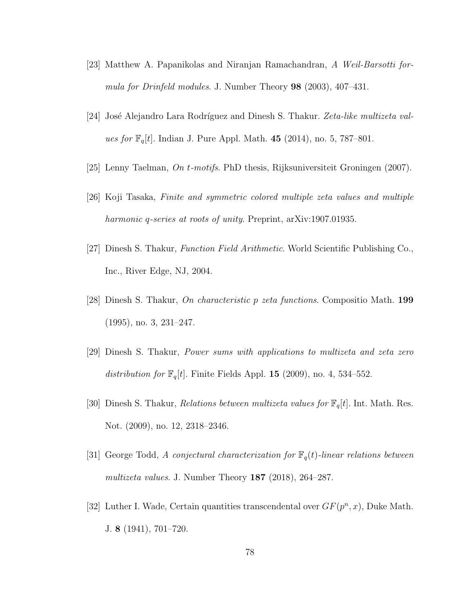- [23] Matthew A. Papanikolas and Niranjan Ramachandran, A Weil-Barsotti formula for Drinfeld modules. J. Number Theory 98 (2003), 407–431.
- [24] José Alejandro Lara Rodríguez and Dinesh S. Thakur. Zeta-like multizeta values for  $\mathbb{F}_q[t]$ . Indian J. Pure Appl. Math. 45 (2014), no. 5, 787–801.
- [25] Lenny Taelman, On t-motifs. PhD thesis, Rijksuniversiteit Groningen (2007).
- [26] Koji Tasaka, Finite and symmetric colored multiple zeta values and multiple harmonic q-series at roots of unity. Preprint, arXiv:1907.01935.
- <span id="page-82-1"></span>[27] Dinesh S. Thakur, Function Field Arithmetic. World Scientific Publishing Co., Inc., River Edge, NJ, 2004.
- [28] Dinesh S. Thakur, On characteristic p zeta functions. Compositio Math. 199 (1995), no. 3, 231–247.
- [29] Dinesh S. Thakur, Power sums with applications to multizeta and zeta zero distribution for  $\mathbb{F}_q[t]$ . Finite Fields Appl. 15 (2009), no. 4, 534–552.
- <span id="page-82-0"></span>[30] Dinesh S. Thakur, *Relations between multizeta values for*  $\mathbb{F}_q[t]$ . Int. Math. Res. Not. (2009), no. 12, 2318–2346.
- [31] George Todd, A conjectural characterization for  $\mathbb{F}_q(t)$ -linear relations between multizeta values. J. Number Theory 187 (2018), 264–287.
- [32] Luther I. Wade, Certain quantities transcendental over  $GF(p^n, x)$ , Duke Math. J. 8 (1941), 701–720.